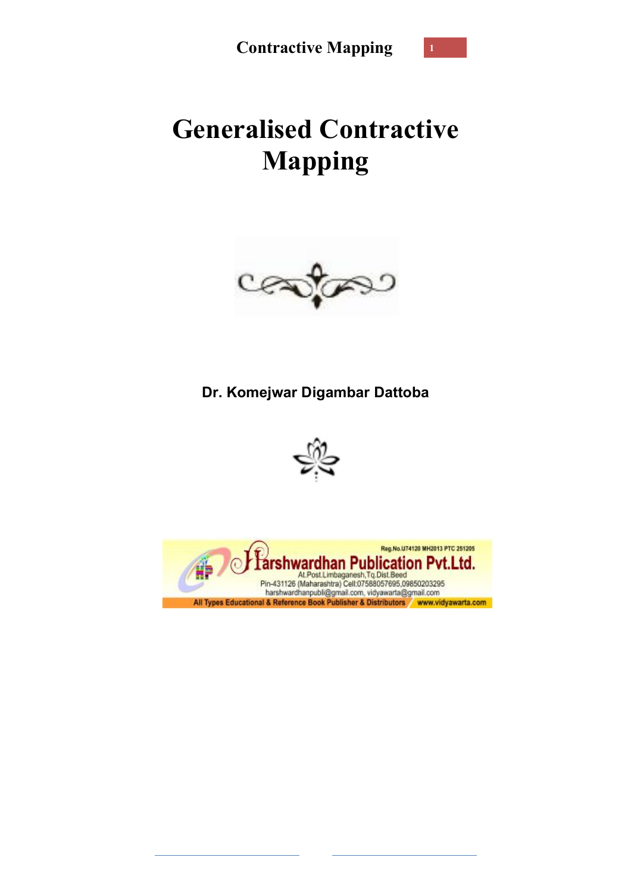# **Generalised Contractive Mapping**



# **Dr. Komejwar Digambar Dattoba**



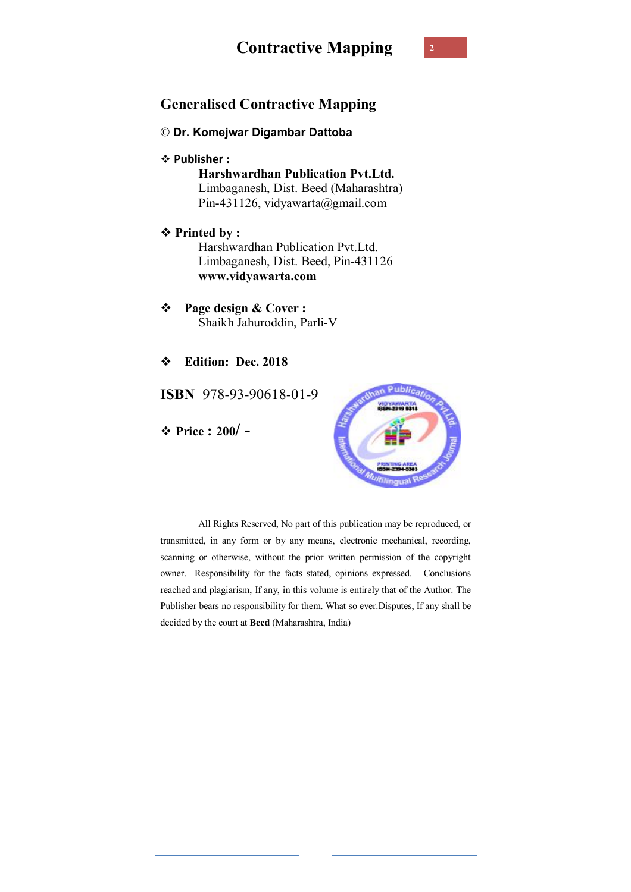

#### **Generalised Contractive Mapping**

#### **© Dr. Komejwar Digambar Dattoba**

#### **Publisher :**

**Harshwardhan Publication Pvt.Ltd.** Limbaganesh, Dist. Beed (Maharashtra) Pin-431126, vidyawarta@gmail.com

#### **Printed by :**

Harshwardhan Publication Pvt.Ltd. Limbaganesh, Dist. Beed, Pin-431126 **www.vidyawarta.com**

- **Page design & Cover :** Shaikh Jahuroddin, Parli-V
- **Edition: Dec. 2018**

**ISBN** 978-93-90618-01-9

**Price : 200/ -**



All Rights Reserved, No part of this publication may be reproduced, or transmitted, in any form or by any means, electronic mechanical, recording, scanning or otherwise, without the prior written permission of the copyright owner. Responsibility for the facts stated, opinions expressed. Conclusions reached and plagiarism, If any, in this volume is entirely that of the Author. The Publisher bears no responsibility for them. What so ever.Disputes, If any shall be decided by the court at **Beed** (Maharashtra, India)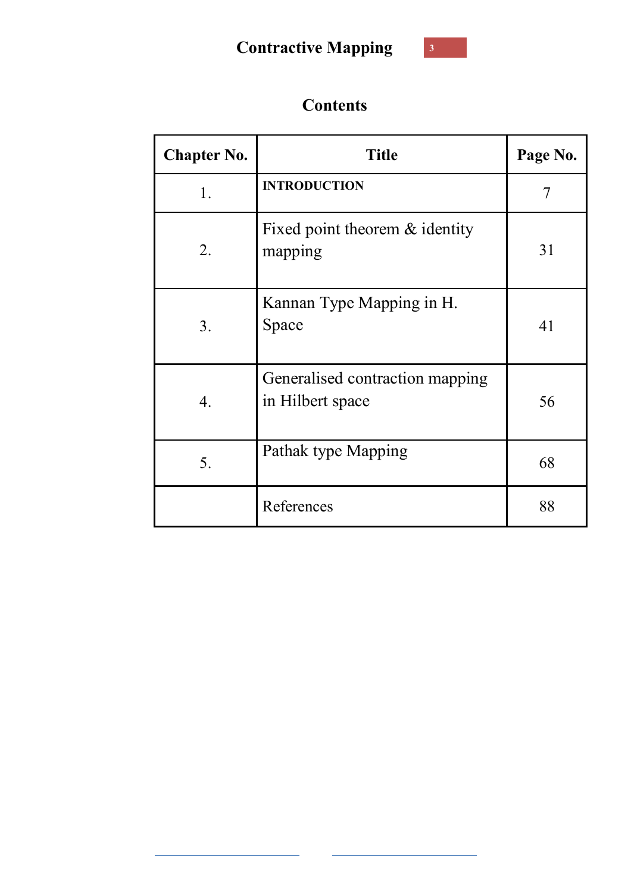

# **Contents**

| <b>Chapter No.</b> | <b>Title</b>                                        | Page No. |
|--------------------|-----------------------------------------------------|----------|
| 1.                 | <b>INTRODUCTION</b>                                 | 7        |
| 2.                 | Fixed point theorem & identity<br>mapping           | 31       |
| 3.                 | Kannan Type Mapping in H.<br>Space                  | 41       |
| 4.                 | Generalised contraction mapping<br>in Hilbert space | 56       |
| 5.                 | Pathak type Mapping                                 | 68       |
|                    | References                                          | 88       |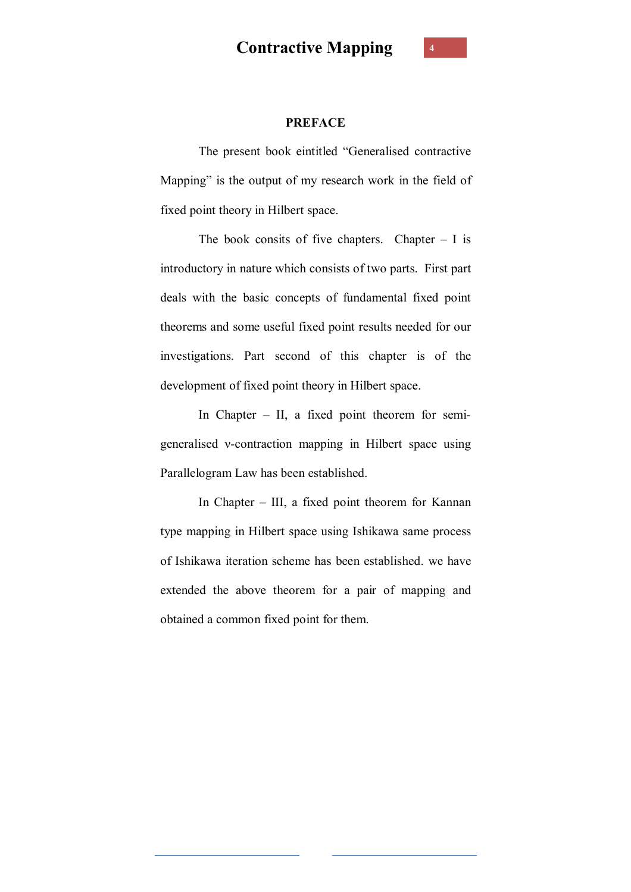#### **PREFACE**

The present book eintitled "Generalised contractive Mapping" is the output of my research work in the field of fixed point theory in Hilbert space.

The book consits of five chapters. Chapter  $-1$  is introductory in nature which consists of two parts. First part deals with the basic concepts of fundamental fixed point theorems and some useful fixed point results needed for our investigations. Part second of this chapter is of the development of fixed point theory in Hilbert space.

In Chapter – II, a fixed point theorem for semigeneralised ν-contraction mapping in Hilbert space using Parallelogram Law has been established.

In Chapter – III, a fixed point theorem for Kannan type mapping in Hilbert space using Ishikawa same process of Ishikawa iteration scheme has been established. we have extended the above theorem for a pair of mapping and obtained a common fixed point for them.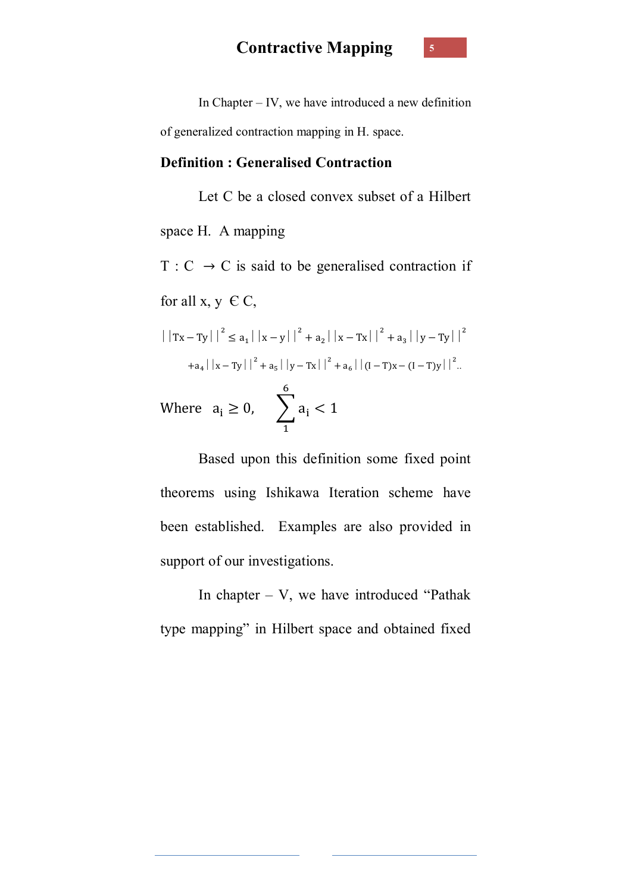

In Chapter – IV, we have introduced a new definition of generalized contraction mapping in H. space.

#### **Definition : Generalised Contraction**

Let C be a closed convex subset of a Hilbert space H. A mapping

 $T: C \rightarrow C$  is said to be generalised contraction if

for all  $x, y \in C$ ,

$$
||Tx - Ty||^{2} \le a_{1} ||x - y||^{2} + a_{2} ||x - Tx||^{2} + a_{3} ||y - Ty||^{2}
$$
  
+ 
$$
a_{4} ||x - Ty||^{2} + a_{5} ||y - Tx||^{2} + a_{6} ||(I - T)x - (I - T)y||^{2}
$$
  
Where  $a_{i} \ge 0$ , 
$$
\sum_{1}^{6} a_{i} < 1
$$

Based upon this definition some fixed point theorems using Ishikawa Iteration scheme have been established. Examples are also provided in support of our investigations.

In chapter – V, we have introduced "Pathak type mapping" in Hilbert space and obtained fixed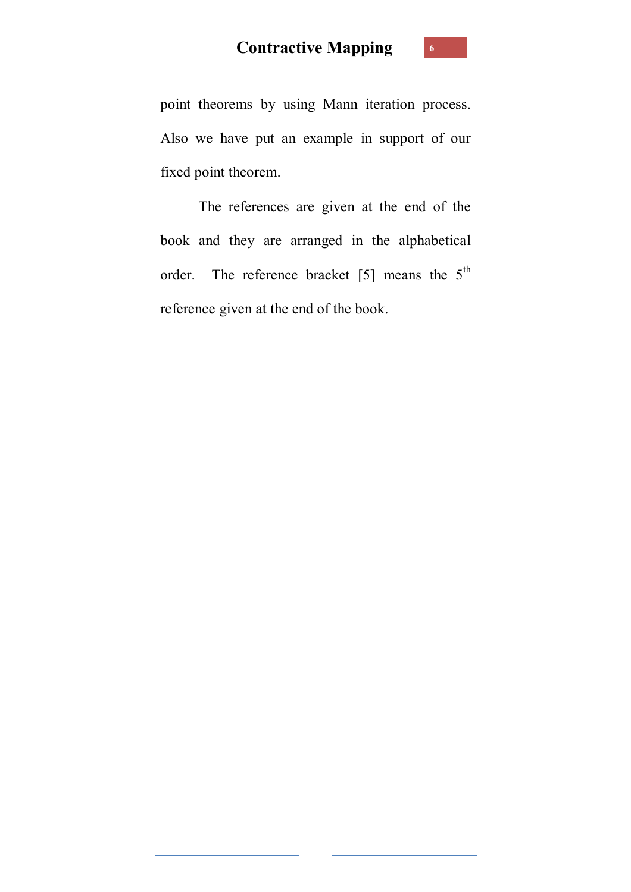point theorems by using Mann iteration process. Also we have put an example in support of our fixed point theorem.

The references are given at the end of the book and they are arranged in the alphabetical order. The reference bracket [5] means the  $5<sup>th</sup>$ reference given at the end of the book.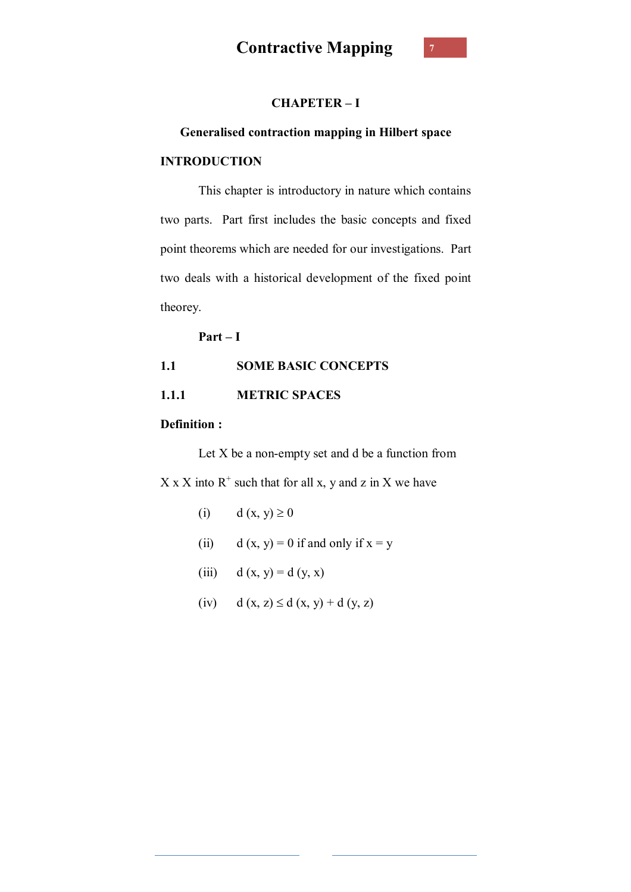#### **CHAPETER – I**

# **Generalised contraction mapping in Hilbert space INTRODUCTION**

This chapter is introductory in nature which contains two parts. Part first includes the basic concepts and fixed point theorems which are needed for our investigations. Part two deals with a historical development of the fixed point theorey.

**Part – I**

#### **1.1 SOME BASIC CONCEPTS**

#### **1.1.1 METRIC SPACES**

#### **Definition :**

Let X be a non-empty set and d be a function from  $X \times X$  into  $R^+$  such that for all x, y and z in X we have

- (i) d (x, y)  $\geq 0$
- (ii) d  $(x, y) = 0$  if and only if  $x = y$
- (iii)  $d(x, y) = d(y, x)$
- (iv) d (x, z)  $\leq d$  (x, y) + d (y, z)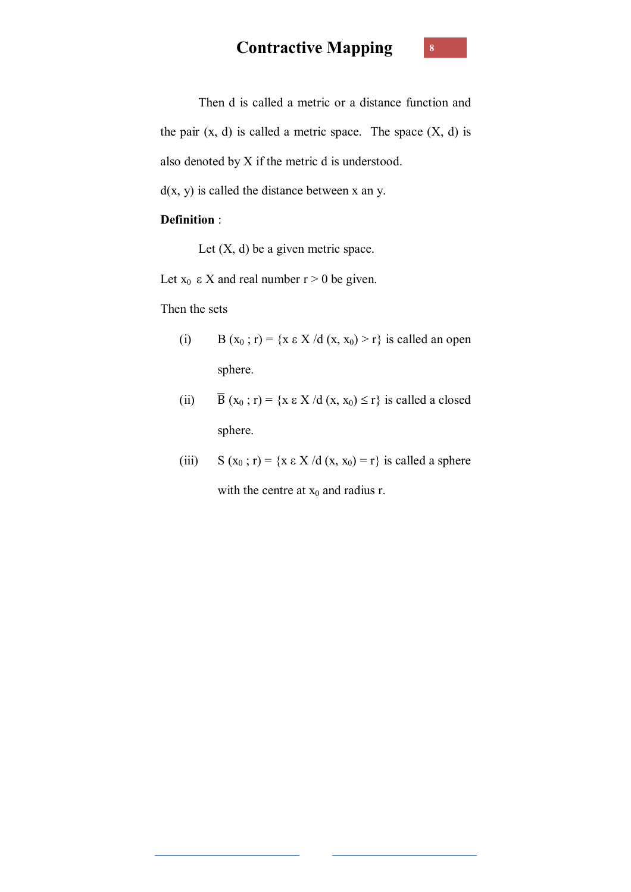

Then d is called a metric or a distance function and the pair  $(x, d)$  is called a metric space. The space  $(X, d)$  is also denoted by X if the metric d is understood.

 $d(x, y)$  is called the distance between x an y.

#### **Definition** :

Let  $(X, d)$  be a given metric space.

Let  $x_0 \in X$  and real number  $r > 0$  be given.

Then the sets

- (i) B  $(x_0; r) = {x \in X / d (x, x_0) > r}$  is called an open sphere.
- (ii)  $\overline{B}(x_0; r) = \{x \in X \setminus d(x, x_0) \le r\}$  is called a closed sphere.
- (iii) S  $(x_0; r) = {x \in X / d(x, x_0) = r}$  is called a sphere

with the centre at  $x_0$  and radius r.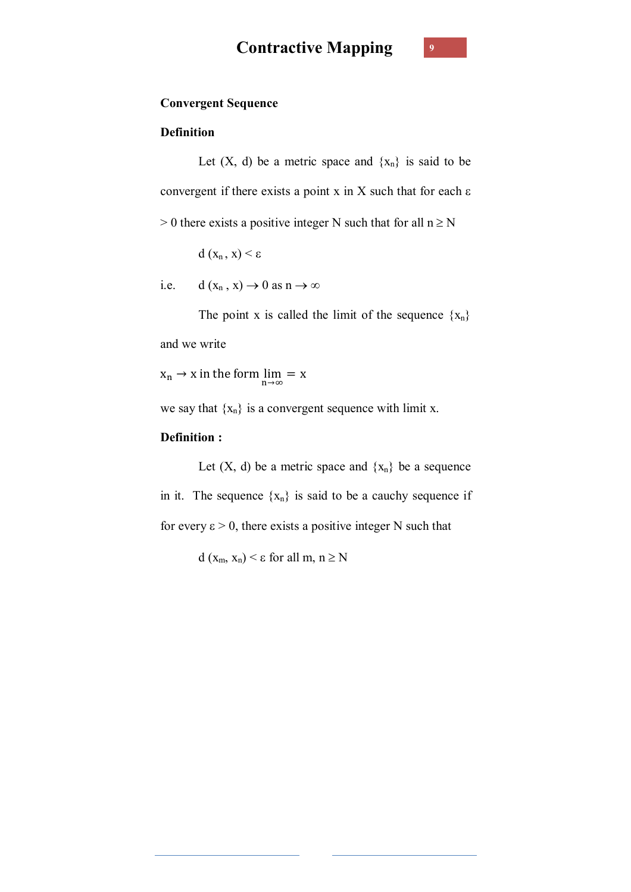#### **Convergent Sequence**

#### **Definition**

Let  $(X, d)$  be a metric space and  $\{x_n\}$  is said to be convergent if there exists a point x in X such that for each  $\varepsilon$  $> 0$  there exists a positive integer N such that for all  $n \ge N$ 

d  $(x_n, x) < \varepsilon$ 

i.e.  $d(x_n, x) \to 0$  as  $n \to \infty$ 

The point x is called the limit of the sequence  $\{x_n\}$ and we write

 $x_n \to x$  in the form  $\lim_{n \to \infty} = x$ 

we say that  $\{x_n\}$  is a convergent sequence with limit x.

#### **Definition :**

Let  $(X, d)$  be a metric space and  $\{x_n\}$  be a sequence in it. The sequence  $\{x_n\}$  is said to be a cauchy sequence if for every  $\epsilon > 0$ , there exists a positive integer N such that

d  $(x_m, x_n) < \varepsilon$  for all m,  $n \ge N$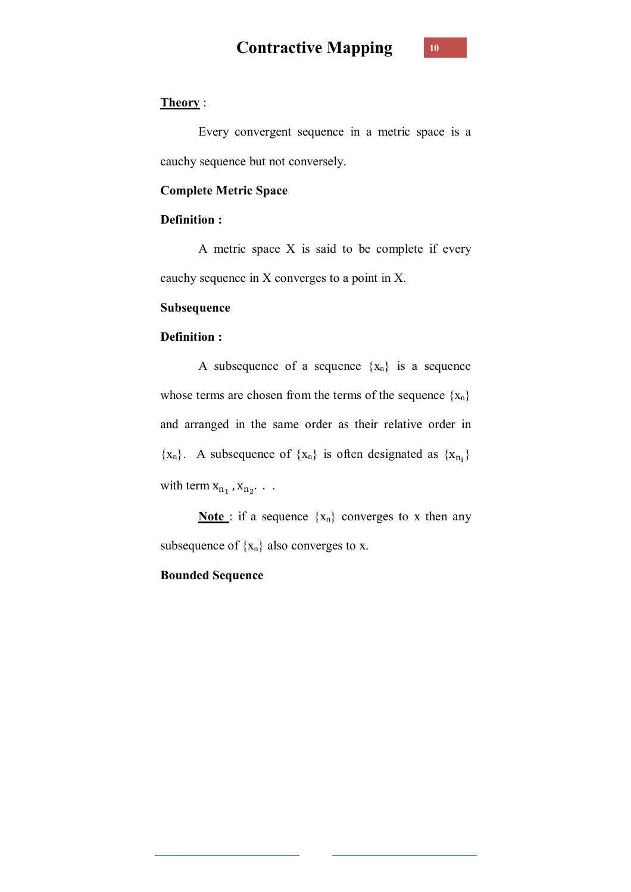#### **Theory** :

Every convergent sequence in a metric space is a cauchy sequence but not conversely.

#### **Complete Metric Space**

#### **Definition :**

A metric space X is said to be complete if every cauchy sequence in X converges to a point in X.

#### **Subsequence**

#### **Definition :**

A subsequence of a sequence  $\{x_n\}$  is a sequence whose terms are chosen from the terms of the sequence  $\{x_n\}$ and arranged in the same order as their relative order in  $\{x_n\}$ . A subsequence of  $\{x_n\}$  is often designated as  $\{x_{n_i}\}\$ with term  $x_{n_1}$ ,  $x_{n_2}$ ...

**<u>Note</u>**: if a sequence  $\{x_n\}$  converges to x then any subsequence of  $\{x_n\}$  also converges to x.

#### **Bounded Sequence**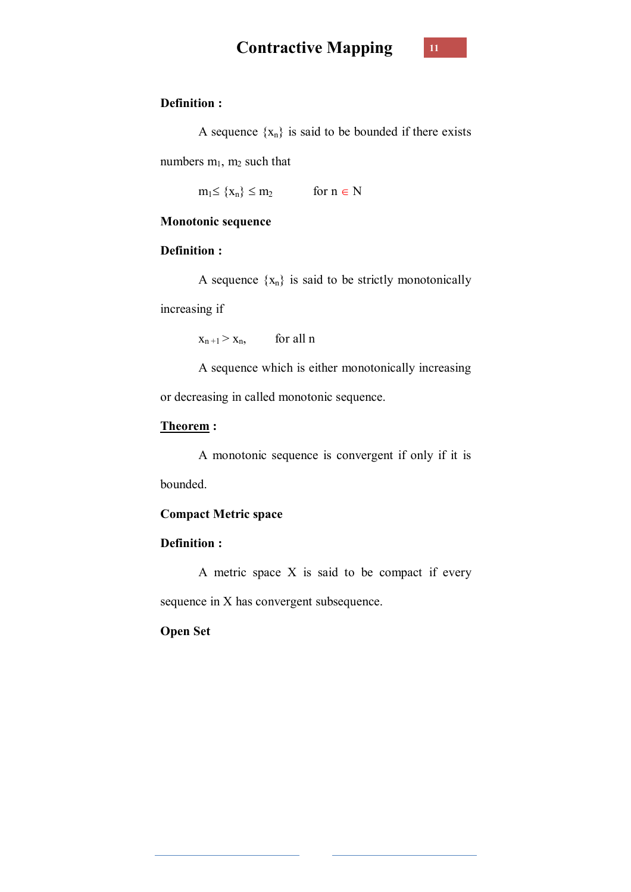#### **Definition :**

A sequence  $\{x_n\}$  is said to be bounded if there exists

numbers  $m_1$ ,  $m_2$  such that

 $m_1 \leq \{x_n\} \leq m_2$  for  $n \in N$ 

#### **Monotonic sequence**

#### **Definition :**

A sequence  $\{x_n\}$  is said to be strictly monotonically

increasing if

 $x_{n+1} > x_n$ , for all n

A sequence which is either monotonically increasing or decreasing in called monotonic sequence.

#### **Theorem :**

A monotonic sequence is convergent if only if it is bounded.

#### **Compact Metric space**

#### **Definition :**

A metric space X is said to be compact if every sequence in X has convergent subsequence.

#### **Open Set**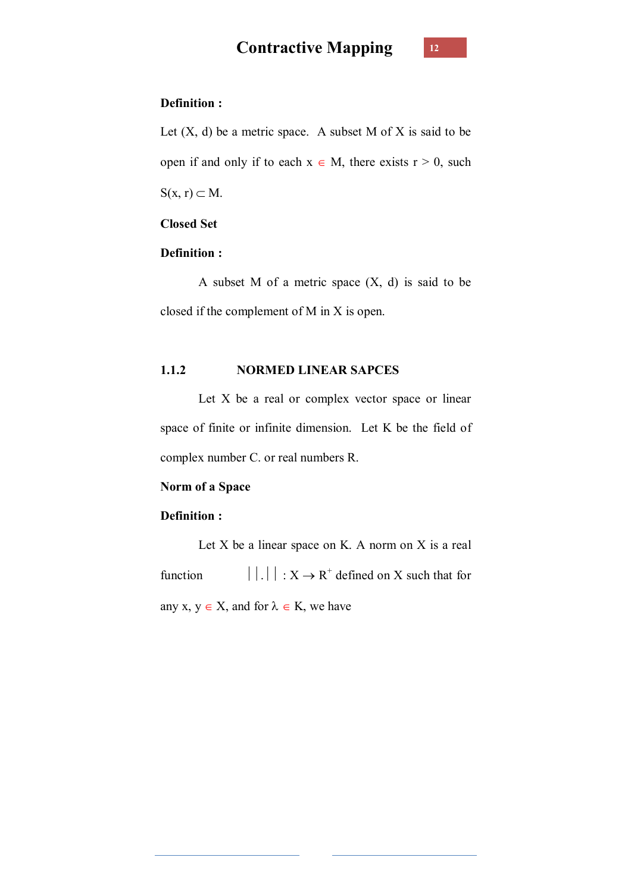#### **Definition :**

Let  $(X, d)$  be a metric space. A subset M of X is said to be open if and only if to each  $x \in M$ , there exists  $r > 0$ , such  $S(x, r) \subset M$ .

#### **Closed Set**

#### **Definition :**

A subset  $M$  of a metric space  $(X, d)$  is said to be closed if the complement of M in X is open.

#### **1.1.2 NORMED LINEAR SAPCES**

Let X be a real or complex vector space or linear space of finite or infinite dimension. Let K be the field of complex number C. or real numbers R.

#### **Norm of a Space**

#### **Definition :**

Let  $X$  be a linear space on  $K$ . A norm on  $X$  is a real function  $||.|| : X \rightarrow R^+$  defined on X such that for any x,  $y \in X$ , and for  $\lambda \in K$ , we have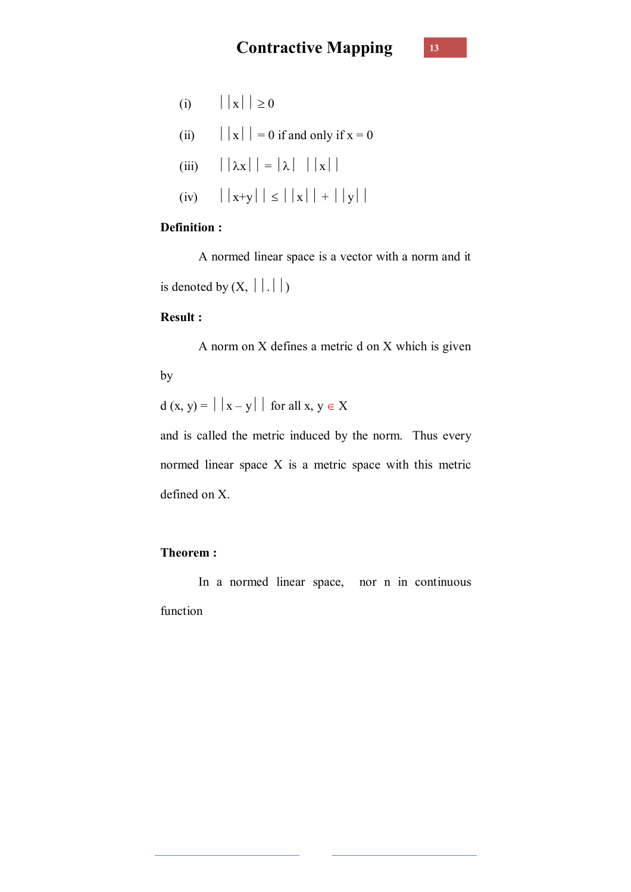```
(i) ||x|| \ge 0
```
- (ii)  $\left| \begin{array}{c} x \\ x \end{array} \right| = 0$  if and only if  $x = 0$
- (iii)  $|\lambda x| = |\lambda| |\lambda x|$
- (iv)  $|x+y| \leq |x| + |y|$

#### **Definition :**

A normed linear space is a vector with a norm and it is denoted by  $(X, \|\|, \|\)$ 

#### **Result :**

A norm on X defines a metric d on X which is given by

 $d(x, y) = | |x - y| |$  for all  $x, y \in X$ 

and is called the metric induced by the norm. Thus every normed linear space X is a metric space with this metric defined on X.

#### **Theorem :**

In a normed linear space, nor n in continuous function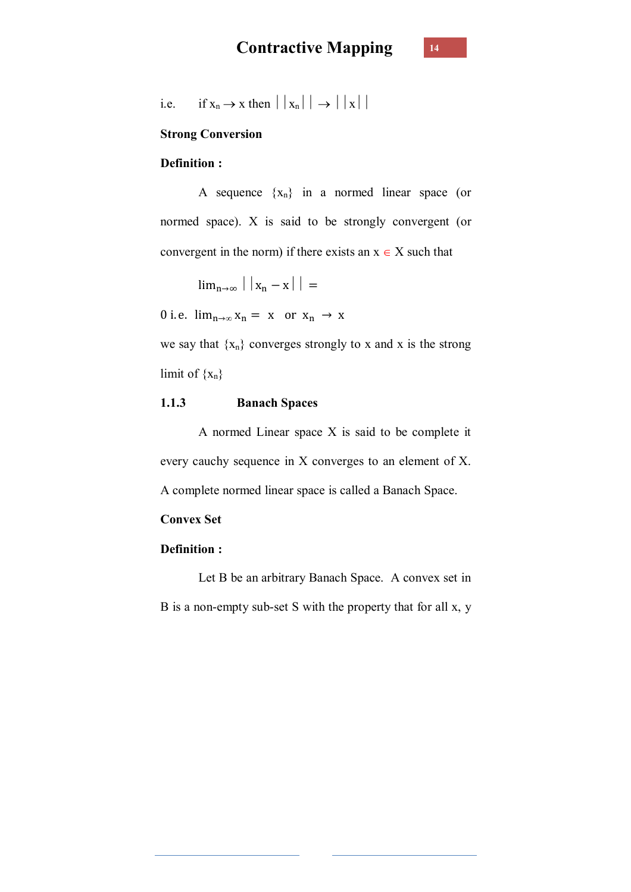```
i.e. if x_n \to x then ||x_n|| \to ||x||
```
#### **Strong Conversion**

#### **Definition :**

A sequence  $\{x_n\}$  in a normed linear space (or normed space). X is said to be strongly convergent (or convergent in the norm) if there exists an  $x \in X$  such that

 $\lim_{n\to\infty}$   $\left| \left| x_n - x \right| \right| =$ 

0 i.e.  $\lim_{n\to\infty} x_n = x$  or  $x_n \to x$ 

we say that  $\{x_n\}$  converges strongly to x and x is the strong limit of  $\{x_n\}$ 

#### **1.1.3 Banach Spaces**

A normed Linear space X is said to be complete it every cauchy sequence in X converges to an element of X. A complete normed linear space is called a Banach Space.

#### **Convex Set**

#### **Definition :**

Let B be an arbitrary Banach Space. A convex set in B is a non-empty sub-set S with the property that for all x, y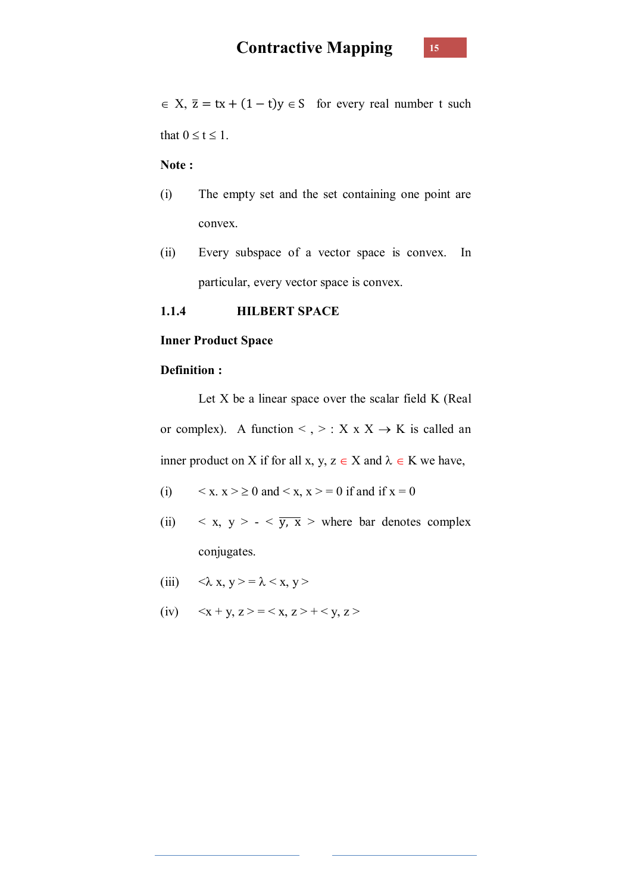$\in X$ ,  $\overline{z} = tx + (1-t)y \in S$  for every real number t such that  $0 \le t \le 1$ .

**Note :** 

- (i) The empty set and the set containing one point are convex.
- (ii) Every subspace of a vector space is convex. In particular, every vector space is convex.

#### **1.1.4 HILBERT SPACE**

#### **Inner Product Space**

#### **Definition :**

Let  $X$  be a linear space over the scalar field  $K$  (Real or complex). A function  $\lt$ ,  $>$  : X x X  $\to$  K is called an inner product on X if for all x, y,  $z \in X$  and  $\lambda \in K$  we have,

- (i)  $\langle x, x \rangle \ge 0$  and  $\langle x, x \rangle = 0$  if and if  $x = 0$
- (ii)  $\langle x, y \rangle \langle y, x \rangle$  where bar denotes complex conjugates.
- (iii)  $<\lambda x, y> = \lambda < x, y>$
- (iv)  $\langle x + y, z \rangle = \langle x, z \rangle + \langle y, z \rangle$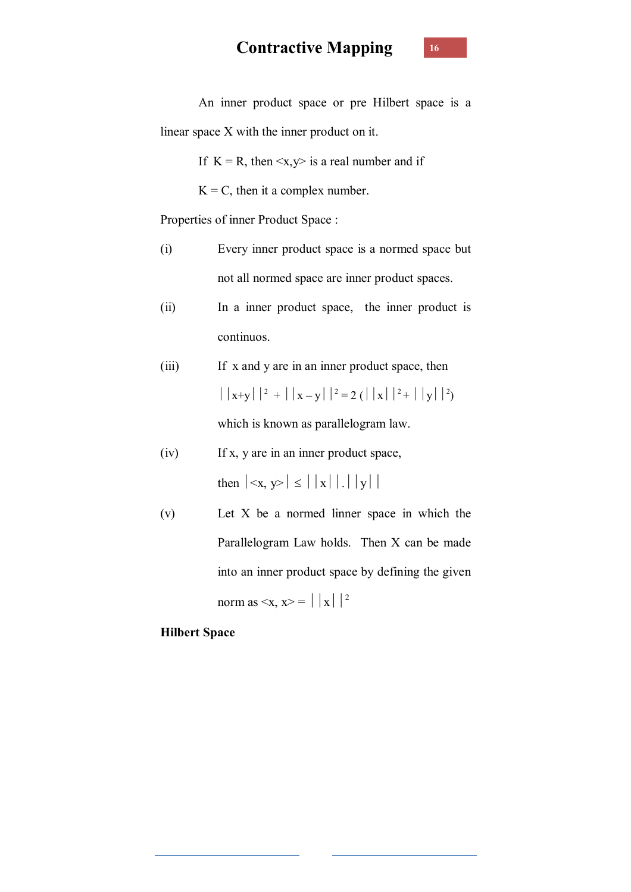An inner product space or pre Hilbert space is a linear space X with the inner product on it.

If  $K = R$ , then  $\langle x, y \rangle$  is a real number and if

 $K = C$ , then it a complex number.

Properties of inner Product Space :

- (i) Every inner product space is a normed space but not all normed space are inner product spaces.
- (ii) In a inner product space, the inner product is continuos.
- (iii) If x and y are in an inner product space, then  $\left| \int \left| x+y \right| \right|^{2} + \left| \int \left| x-y \right| \right|^{2} = 2 \left( \left| \left| x \right| \right|^{2} + \left| \left| y \right| \right|^{2} \right)$

which is known as parallelogram law.

- (iv) If x, y are in an inner product space, then  $||\leq |x| |x| |y|$
- (v) Let X be a normed linner space in which the Parallelogram Law holds. Then X can be made into an inner product space by defining the given norm as  $\langle x, x \rangle = |x| |^2$

#### **Hilbert Space**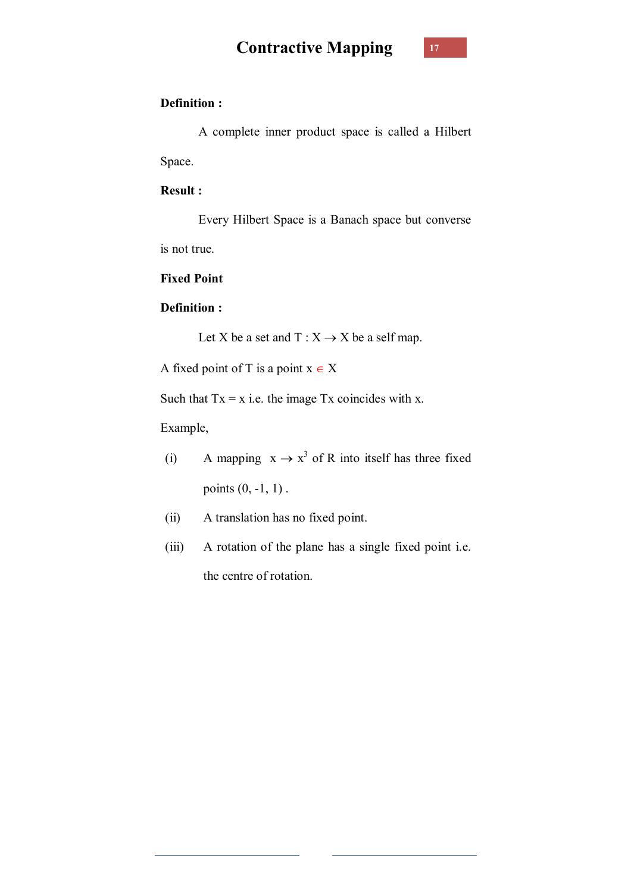#### **Definition :**

A complete inner product space is called a Hilbert Space.

**Result :** 

Every Hilbert Space is a Banach space but converse is not true.

#### **Fixed Point**

#### **Definition :**

Let X be a set and  $T : X \rightarrow X$  be a self map.

A fixed point of T is a point  $x \in X$ 

Such that  $Tx = x$  i.e. the image Tx coincides with x.

Example,

- (i) A mapping  $x \rightarrow x^3$  of R into itself has three fixed points  $(0, -1, 1)$ .
- (ii) A translation has no fixed point.
- (iii) A rotation of the plane has a single fixed point i.e. the centre of rotation.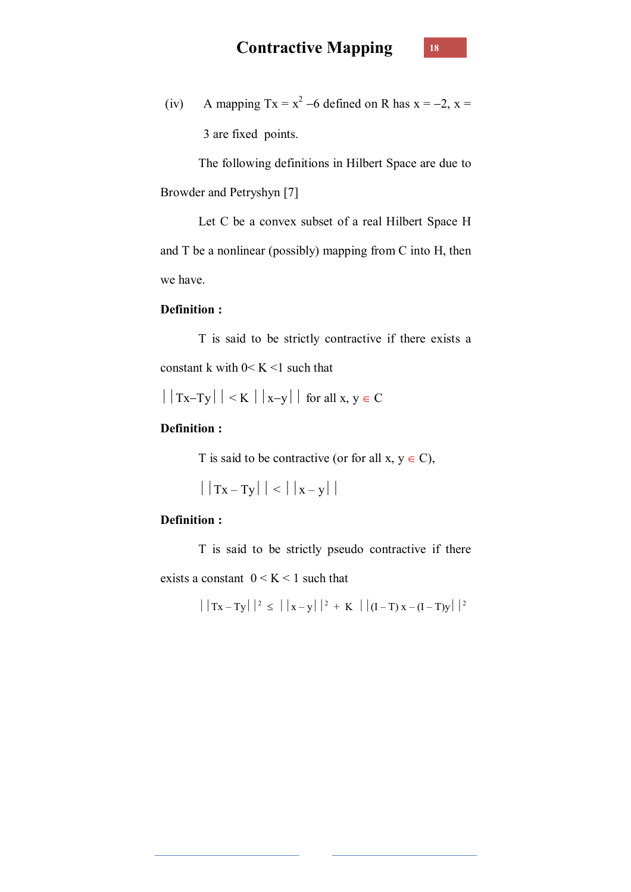The following definitions in Hilbert Space are due to Browder and Petryshyn [7]

Let C be a convex subset of a real Hilbert Space H and T be a nonlinear (possibly) mapping from C into H, then we have.

#### **Definition :**

T is said to be strictly contractive if there exists a constant k with  $0 < K < 1$  such that

 $\left| \begin{array}{c} | \text{Tx-Ty} | & \text{K} \\ \text{K} & | \text{x-y} | \end{array} \right|$  for all x, y  $\in \mathbb{C}$ 

#### **Definition :**

T is said to be contractive (or for all  $x, y \in C$ ),

 $||Tx - Ty|| < ||x - y||$ 

#### **Definition :**

T is said to be strictly pseudo contractive if there exists a constant  $0 \le K \le 1$  such that

 $\left| \int_{-\infty}^{\infty} |Tx - Ty| \right|^2 \leq \left| \int_{-\infty}^{\infty} |x - y| \right|^2 + K \left| \int_{-\infty}^{\infty} |(I - T)x - (I - T)y| \right|^2$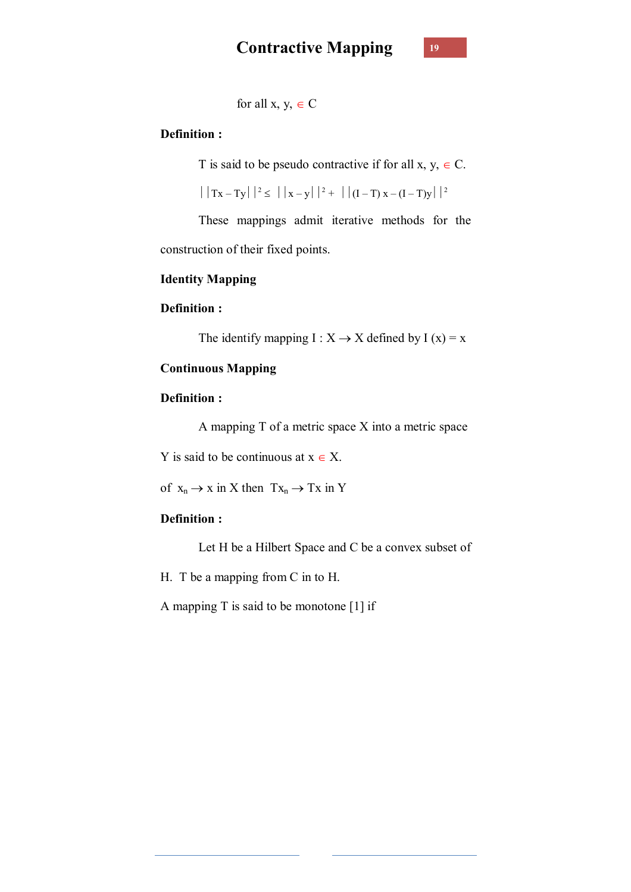```
for all x, y_0 \in C
```
#### **Definition :**

T is said to be pseudo contractive if for all x,  $y, \in C$ .

 $\left| \int_{-\infty}^{\infty} |T x - Ty| \right|^2 \leq \left| \int_{-\infty}^{\infty} |x - y| \right|^2 + \left| \int_{-\infty}^{\infty} (I - T) x - (I - T) y \right| \right|^2$ 

These mappings admit iterative methods for the construction of their fixed points.

#### **Identity Mapping**

#### **Definition :**

The identify mapping  $I : X \rightarrow X$  defined by  $I(x) = x$ 

#### **Continuous Mapping**

#### **Definition :**

A mapping T of a metric space X into a metric space

Y is said to be continuous at  $x \in X$ .

of  $x_n \to x$  in X then  $Tx_n \to Tx$  in Y

#### **Definition :**

Let H be a Hilbert Space and C be a convex subset of

H. T be a mapping from C in to H.

A mapping T is said to be monotone [1] if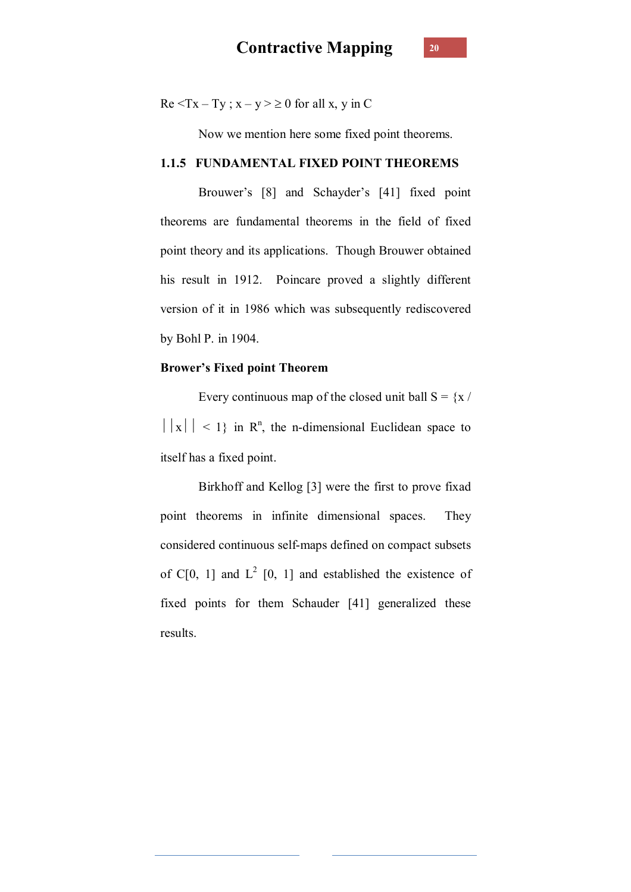$Re \leq Tx - Ty$ ;  $x - y \geq 0$  for all x, y in C

Now we mention here some fixed point theorems.

#### **1.1.5 FUNDAMENTAL FIXED POINT THEOREMS**

Brouwer's [8] and Schayder's [41] fixed point theorems are fundamental theorems in the field of fixed point theory and its applications. Though Brouwer obtained his result in 1912. Poincare proved a slightly different version of it in 1986 which was subsequently rediscovered by Bohl P. in 1904.

#### **Brower's Fixed point Theorem**

Every continuous map of the closed unit ball  $S = \{x \mid x\}$  $||x|| < 1$  in R<sup>n</sup>, the n-dimensional Euclidean space to itself has a fixed point.

Birkhoff and Kellog [3] were the first to prove fixad point theorems in infinite dimensional spaces. They considered continuous self-maps defined on compact subsets of  $C[0, 1]$  and  $L^2[0, 1]$  and established the existence of fixed points for them Schauder [41] generalized these results.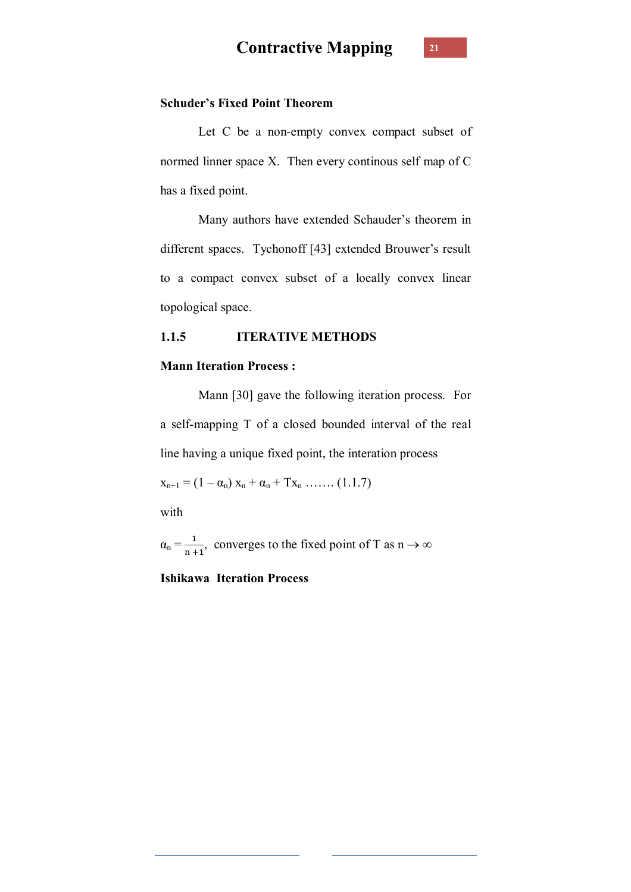#### **Schuder's Fixed Point Theorem**

Let C be a non-empty convex compact subset of normed linner space X. Then every continous self map of C has a fixed point.

Many authors have extended Schauder's theorem in different spaces. Tychonoff [43] extended Brouwer's result to a compact convex subset of a locally convex linear topological space.

#### **1.1.5 ITERATIVE METHODS**

#### **Mann Iteration Process :**

Mann [30] gave the following iteration process. For a self-mapping T of a closed bounded interval of the real line having a unique fixed point, the interation process

$$
x_{n+1} = (1 - \alpha_n) x_n + \alpha_n + Tx_n \dots \dots (1.1.7)
$$

with

 $\alpha_n = \frac{1}{n}$  $\frac{1}{n+1}$ , converges to the fixed point of T as  $n \to \infty$ 

#### **Ishikawa Iteration Process**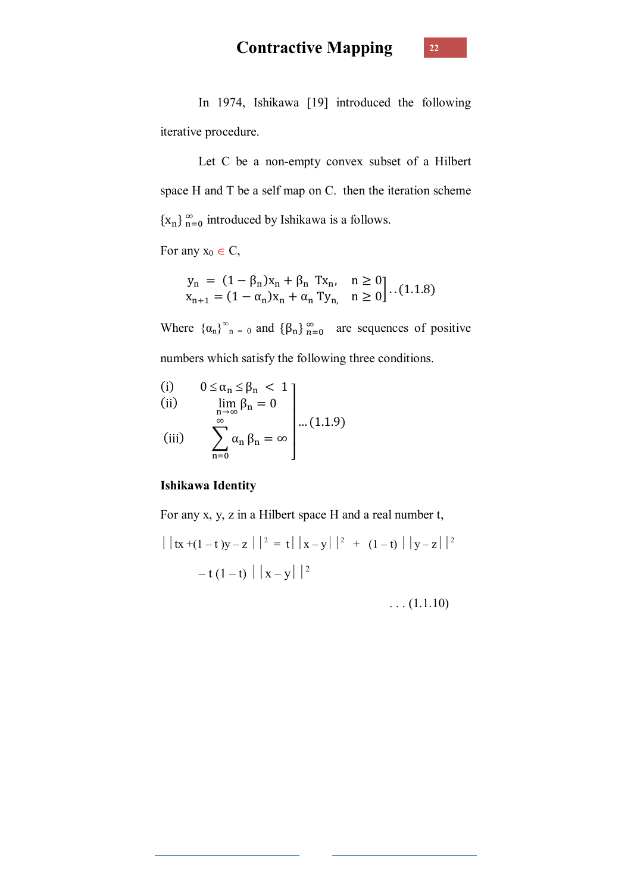In 1974, Ishikawa [19] introduced the following iterative procedure.

Let C be a non-empty convex subset of a Hilbert space H and T be a self map on C. then the iteration scheme  ${x_n}$   $_{n=0}^{\infty}$  introduced by Ishikawa is a follows.

For any  $x_0 \in C$ ,

$$
y_n = (1 - \beta_n)x_n + \beta_n Tx_n, \quad n \ge 0
$$
  

$$
x_{n+1} = (1 - \alpha_n)x_n + \alpha_n Ty_n, \quad n \ge 0
$$
...(1.1.8)

Where  $\{\alpha_n\}_{n=0}^{\infty}$  and  $\{\beta_n\}_{n=0}^{\infty}$  are sequences of positive numbers which satisfy the following three conditions.

(i) 
$$
0 \le \alpha_n \le \beta_n < 1
$$
  
\n(ii)  $\lim_{n \to \infty} \beta_n = 0$   
\n(iii)  $\sum_{n=0}^{\infty} \alpha_n \beta_n = \infty$  ...(1.1.9)

#### **Ishikawa Identity**

For any x, y, z in a Hilbert space H and a real number t,

tx +(1 – t )y – z 2 = tx – y 2 + (1 – t) y – z 2 t (1 – t) x – y 2

 $\ldots$  (1.1.10)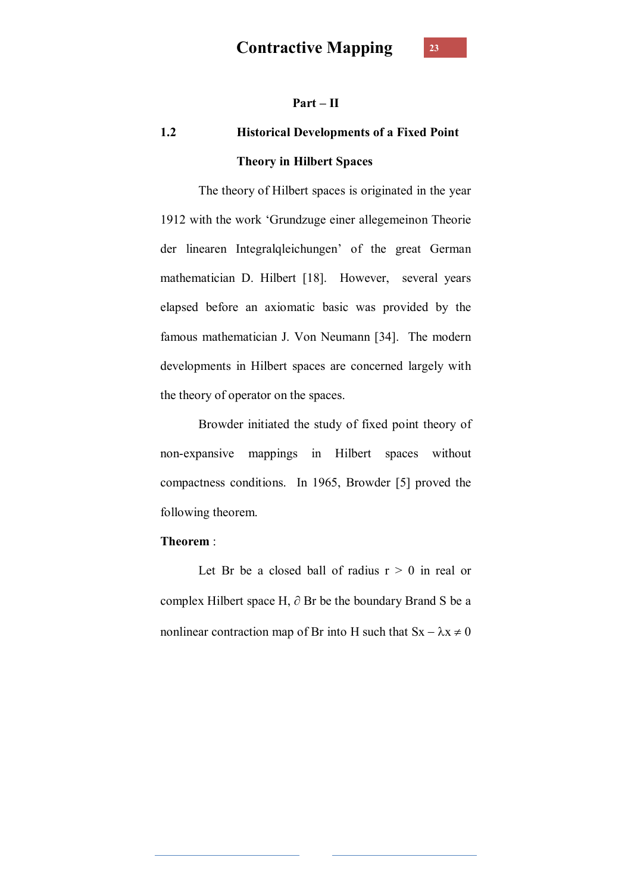#### **Part – II**

# **1.2 Historical Developments of a Fixed Point Theory in Hilbert Spaces**

The theory of Hilbert spaces is originated in the year 1912 with the work 'Grundzuge einer allegemeinon Theorie der linearen Integralqleichungen' of the great German mathematician D. Hilbert [18]. However, several years elapsed before an axiomatic basic was provided by the famous mathematician J. Von Neumann [34]. The modern developments in Hilbert spaces are concerned largely with the theory of operator on the spaces.

Browder initiated the study of fixed point theory of non-expansive mappings in Hilbert spaces without compactness conditions. In 1965, Browder [5] proved the following theorem.

#### **Theorem** :

Let Br be a closed ball of radius  $r > 0$  in real or complex Hilbert space H,  $\partial$  Br be the boundary Brand S be a nonlinear contraction map of Br into H such that  $Sx - \lambda x \neq 0$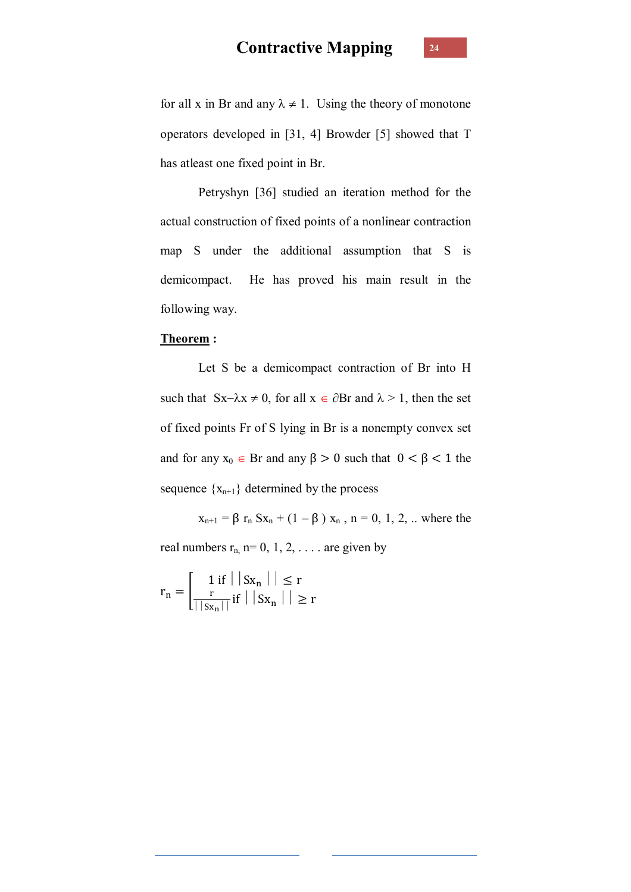for all x in Br and any  $\lambda \neq 1$ . Using the theory of monotone operators developed in [31, 4] Browder [5] showed that T has atleast one fixed point in Br.

Petryshyn [36] studied an iteration method for the actual construction of fixed points of a nonlinear contraction map S under the additional assumption that S is demicompact. He has proved his main result in the following way.

#### **Theorem :**

Let S be a demicompact contraction of Br into H such that  $Sx-\lambda x \neq 0$ , for all  $x \in \partial B$ r and  $\lambda > 1$ , then the set of fixed points Fr of S lying in Br is a nonempty convex set and for any  $x_0 \in$  Br and any  $\beta > 0$  such that  $0 < \beta < 1$  the sequence  $\{x_{n+1}\}\$  determined by the process

 $x_{n+1} = \beta r_n S x_n + (1 - \beta) x_n$ ,  $n = 0, 1, 2, ...$  where the real numbers  $r_{n}$ , n= 0, 1, 2, ... are given by

 $r_n =$ 1 if  $|\,|Sx_n| \,|\leq r$ ୰  $\frac{r}{\vert \vert s x_n \vert \vert}$  if  $\vert \vert s x_n \vert \vert \geq r$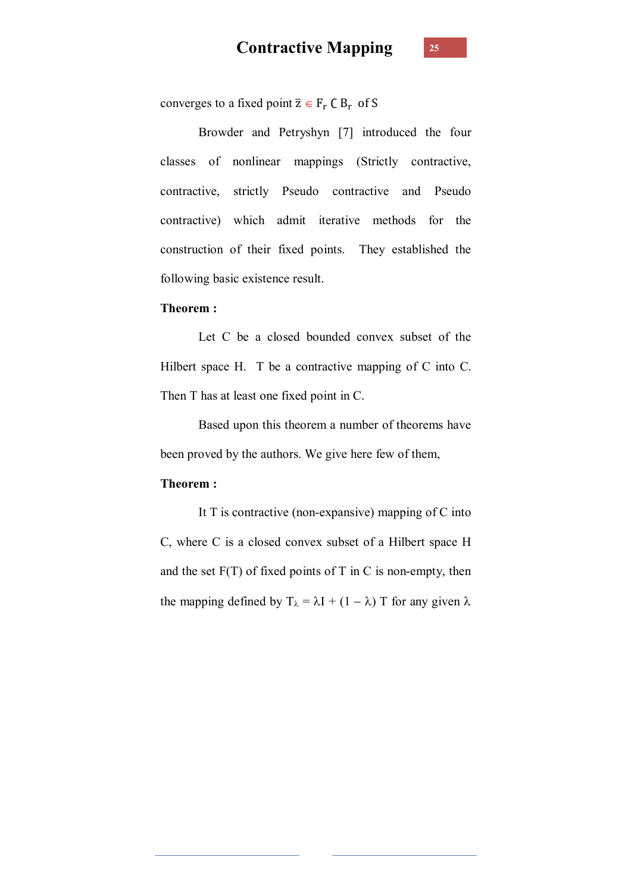converges to a fixed point  $\overline{z} \in F_r \cap B_r$  of S

Browder and Petryshyn [7] introduced the four classes of nonlinear mappings (Strictly contractive, contractive, strictly Pseudo contractive and Pseudo contractive) which admit iterative methods for the construction of their fixed points. They established the following basic existence result.

#### **Theorem :**

Let C be a closed bounded convex subset of the Hilbert space H. T be a contractive mapping of C into C. Then T has at least one fixed point in C.

Based upon this theorem a number of theorems have been proved by the authors. We give here few of them,

#### **Theorem :**

It T is contractive (non-expansive) mapping of C into C, where C is a closed convex subset of a Hilbert space H and the set  $F(T)$  of fixed points of T in C is non-empty, then the mapping defined by  $T_{\lambda} = \lambda I + (1 - \lambda) T$  for any given  $\lambda$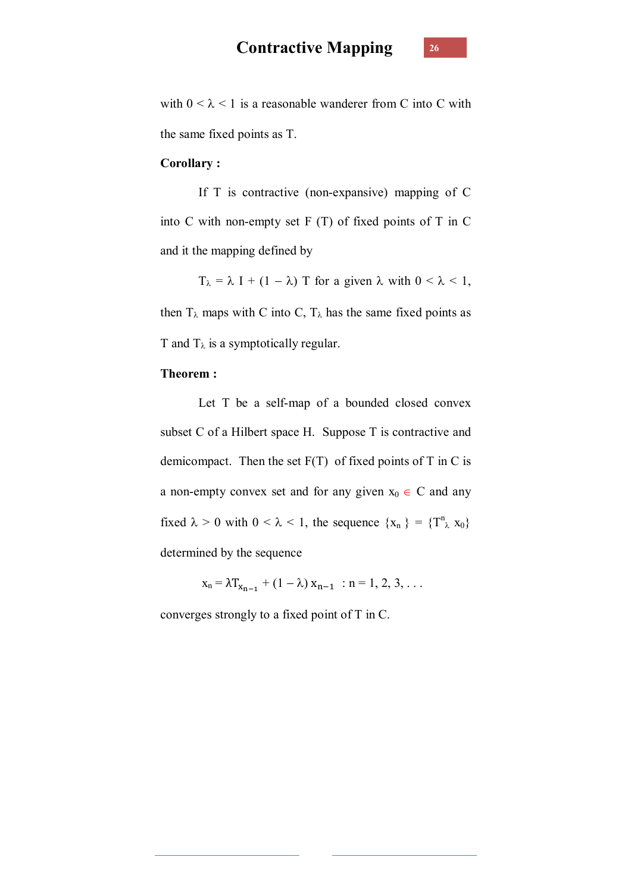the same fixed points as T.

**Corollary :** 

If T is contractive (non-expansive) mapping of C into C with non-empty set F (T) of fixed points of T in C and it the mapping defined by

 $T_{\lambda} = \lambda I + (1 - \lambda) T$  for a given  $\lambda$  with  $0 < \lambda < 1$ , then  $T_{\lambda}$  maps with C into C,  $T_{\lambda}$  has the same fixed points as T and  $T_{\lambda}$  is a symptotically regular.

#### **Theorem :**

Let T be a self-map of a bounded closed convex subset C of a Hilbert space H. Suppose T is contractive and demicompact. Then the set  $F(T)$  of fixed points of T in C is a non-empty convex set and for any given  $x_0 \in C$  and any fixed  $\lambda > 0$  with  $0 < \lambda < 1$ , the sequence  $\{x_n\} = \{T^n_{\lambda} x_0\}$ determined by the sequence

 $x_n = \lambda T_{x_{n-1}} + (1 - \lambda) x_{n-1}$  : n = 1, 2, 3, ...

converges strongly to a fixed point of T in C.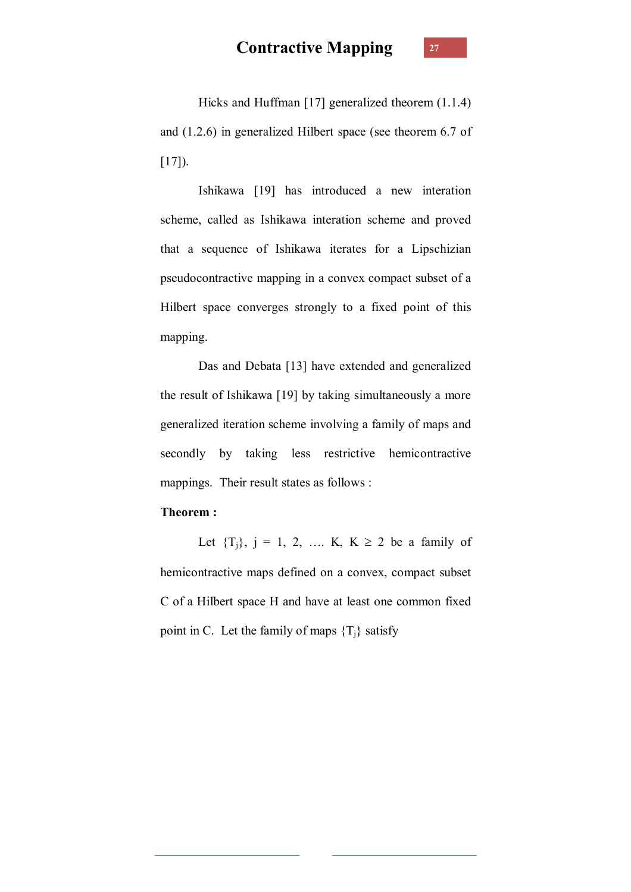Hicks and Huffman [17] generalized theorem (1.1.4) and (1.2.6) in generalized Hilbert space (see theorem 6.7 of  $[17]$ ).

Ishikawa [19] has introduced a new interation scheme, called as Ishikawa interation scheme and proved that a sequence of Ishikawa iterates for a Lipschizian pseudocontractive mapping in a convex compact subset of a Hilbert space converges strongly to a fixed point of this mapping.

Das and Debata [13] have extended and generalized the result of Ishikawa [19] by taking simultaneously a more generalized iteration scheme involving a family of maps and secondly by taking less restrictive hemicontractive mappings. Their result states as follows :

#### **Theorem :**

Let  ${T_i}$ ,  $i = 1, 2, \ldots K$ ,  $K \geq 2$  be a family of hemicontractive maps defined on a convex, compact subset C of a Hilbert space H and have at least one common fixed point in C. Let the family of maps  ${T_i}$  satisfy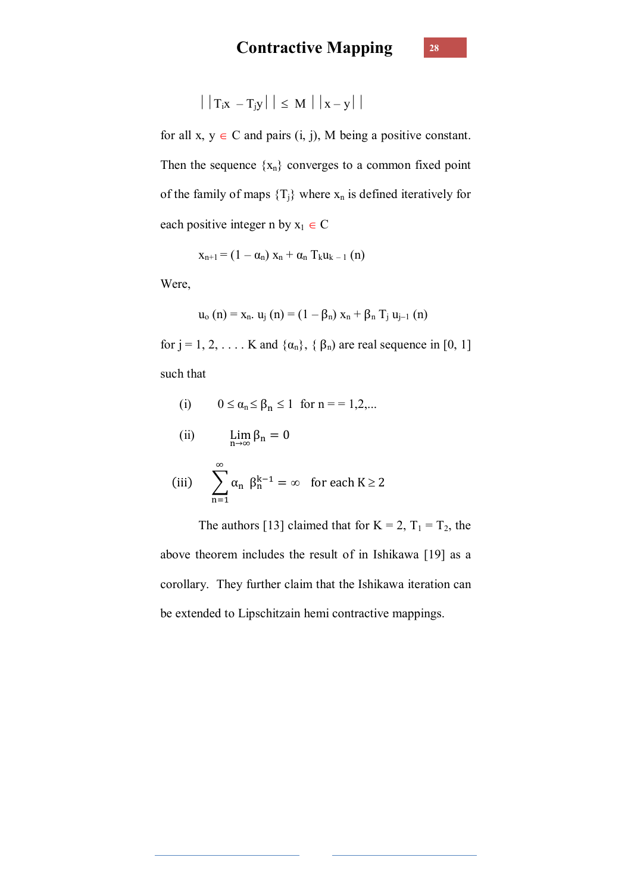$$
\left| \ \left| T_{i}x - T_{j}y \right| \ \right| \leq M \left| \ \left| x - y \right| \ \right|
$$

for all  $x, y \in C$  and pairs (i, j), M being a positive constant. Then the sequence  $\{x_n\}$  converges to a common fixed point of the family of maps  ${T<sub>j</sub>}$  where  $x<sub>n</sub>$  is defined iteratively for each positive integer n by  $x_1 \in C$ 

$$
x_{n+1}\!=\!\left(1-\alpha_n\right)x_n+\alpha_n\;T_ku_{k\;-1}\left(n\right)
$$

Were,

$$
u_o(n) = x_n. u_j(n) = (1 - \beta_n) x_n + \beta_n T_j u_{j-1}(n)
$$

for  $j = 1, 2, \ldots$  K and  $\{\alpha_n\}$ ,  $\{\beta_n\}$  are real sequence in [0, 1] such that

(i)  $0 \le \alpha_n \le \beta_n \le 1$  for  $n = 1, 2, ...$ 

(ii) 
$$
\lim_{n \to \infty} \beta_n = 0
$$

(iii) 
$$
\sum_{n=1}^{\infty} \alpha_n \beta_n^{k-1} = \infty \text{ for each } K \ge 2
$$

The authors [13] claimed that for  $K = 2$ ,  $T_1 = T_2$ , the above theorem includes the result of in Ishikawa [19] as a corollary. They further claim that the Ishikawa iteration can be extended to Lipschitzain hemi contractive mappings.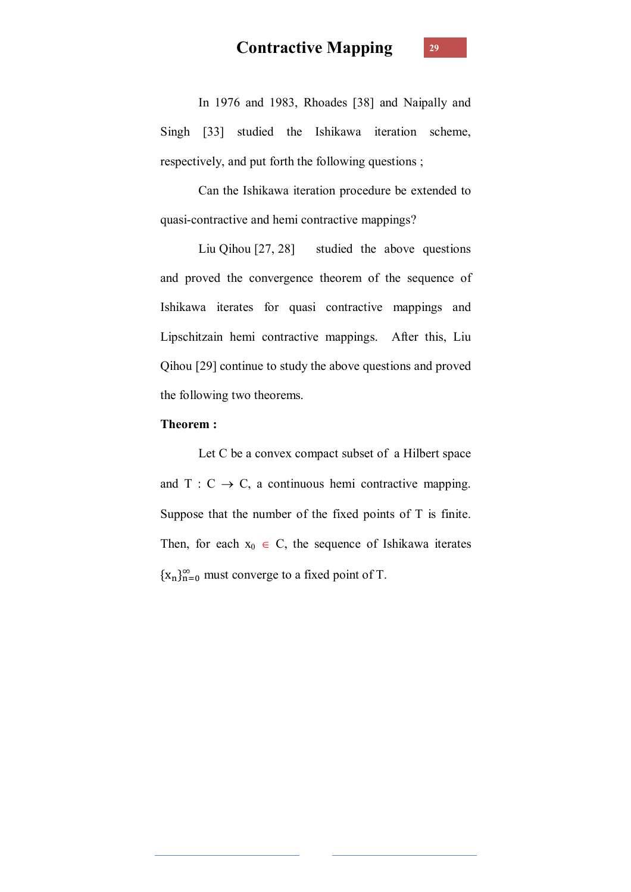In 1976 and 1983, Rhoades [38] and Naipally and Singh [33] studied the Ishikawa iteration scheme, respectively, and put forth the following questions ;

Can the Ishikawa iteration procedure be extended to quasi-contractive and hemi contractive mappings?

Liu Qihou [27, 28] studied the above questions and proved the convergence theorem of the sequence of Ishikawa iterates for quasi contractive mappings and Lipschitzain hemi contractive mappings. After this, Liu Qihou [29] continue to study the above questions and proved the following two theorems.

#### **Theorem :**

Let C be a convex compact subset of a Hilbert space and  $T : C \rightarrow C$ , a continuous hemi contractive mapping. Suppose that the number of the fixed points of T is finite. Then, for each  $x_0 \in C$ , the sequence of Ishikawa iterates  ${x_n}_{n=0}^{\infty}$  must converge to a fixed point of T.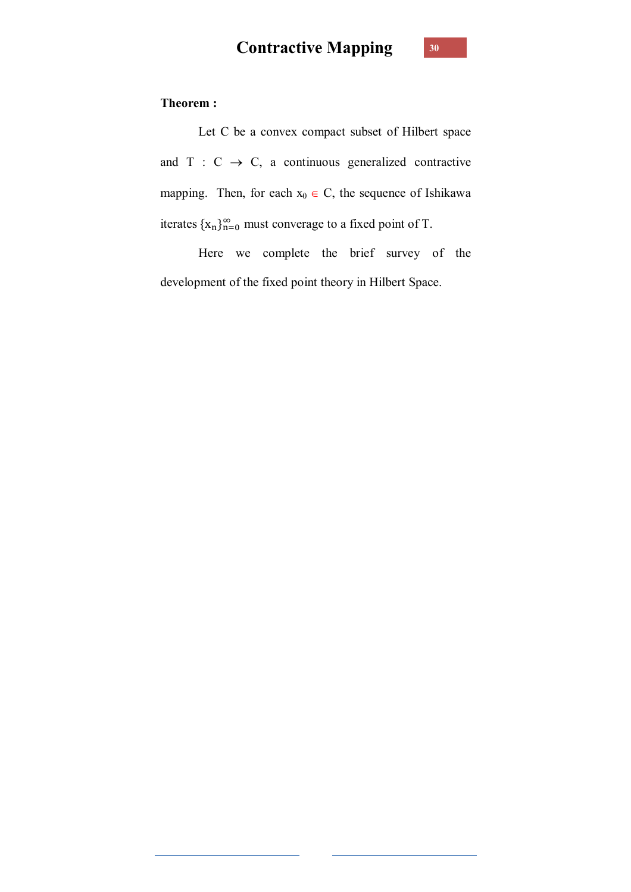#### **Theorem :**

Let C be a convex compact subset of Hilbert space and T :  $C \rightarrow C$ , a continuous generalized contractive mapping. Then, for each  $x_0 \in C$ , the sequence of Ishikawa iterates  $\{x_n\}_{n=0}^{\infty}$  must converage to a fixed point of T.

Here we complete the brief survey of the development of the fixed point theory in Hilbert Space.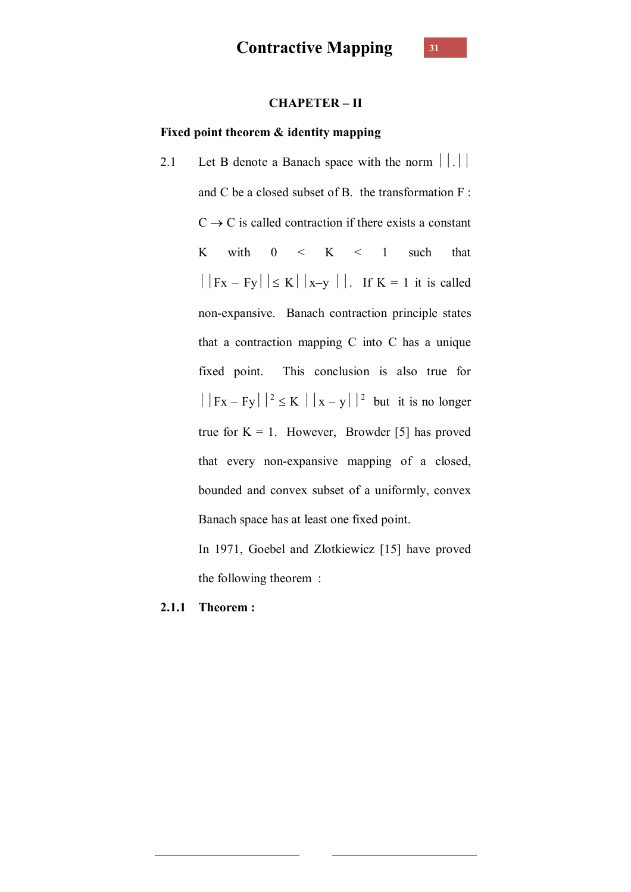#### **CHAPETER – II**

#### **Fixed point theorem & identity mapping**

2.1 Let B denote a Banach space with the norm  $||.||.||$ and C be a closed subset of B. the transformation F :  $C \rightarrow C$  is called contraction if there exists a constant K with  $0 \leq K \leq 1$  such that  $\left| \left| \begin{array}{c} F_X - F_Y \end{array} \right| \leq K \left| \begin{array}{c} x-y \end{array} \right|$ . If  $K = 1$  it is called non-expansive. Banach contraction principle states that a contraction mapping C into C has a unique fixed point. This conclusion is also true for  $\left| \int \left| \int F(x - F(y)) \right|^{2} \le K \right| \left| x - y \right| \left|^{2} \right|$  but it is no longer true for  $K = 1$ . However, Browder [5] has proved that every non-expansive mapping of a closed, bounded and convex subset of a uniformly, convex Banach space has at least one fixed point.

> In 1971, Goebel and Zlotkiewicz [15] have proved the following theorem :

**2.1.1 Theorem :**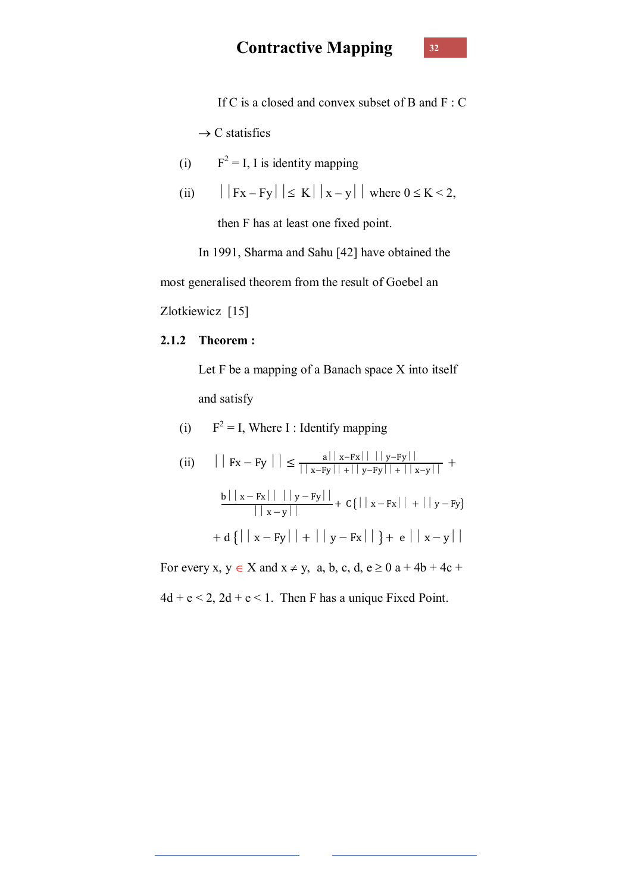If C is a closed and convex subset of B and F : C

 $\rightarrow$  C statisfies

 $(i)$  $2 = I$ , I is identity mapping

(ii)  $\left| \left| \begin{matrix} Fx - Fy \end{matrix} \right| \le K \left| \left| x - y \right| \right| \right|$  where  $0 \le K < 2$ ,

then F has at least one fixed point.

In 1991, Sharma and Sahu [42] have obtained the

most generalised theorem from the result of Goebel an

Zlotkiewicz [15]

#### **2.1.2 Theorem :**

 $(i)$ 

Let F be a mapping of a Banach space X into itself and satisfy

(ii)  $\left| \begin{array}{c} | \text{Fx} - \text{Fy} | \end{array} \right| \le \frac{a||x - \text{Fx}|| + ||y - \text{Fy}||}{||x - \text{Fx}|| + ||x - \text{Fx}|| + ||y - \text{Fy}||}$  $\frac{|x - F_X| + |y - F_Y|}{|x - F_Y| + |y - F_Y| + |x - y|}$  +  $b \mid |x - Fx| \mid |y - Fy|$  $\frac{1}{|x-y||}$  + C{ $\frac{1}{|x-y||}$  + C{ $\frac{1}{|x-y||}$  +  $\frac{1}{|y-y||}$  $+ d \{ ||x - Fy|| + ||y - Fx|| \} + e ||x - y||$ 

 $2 = I$ , Where I : Identify mapping

For every x,  $y \in X$  and  $x \neq y$ , a, b, c, d,  $e \ge 0$  a + 4b + 4c +

 $4d + e < 2$ ,  $2d + e < 1$ . Then F has a unique Fixed Point.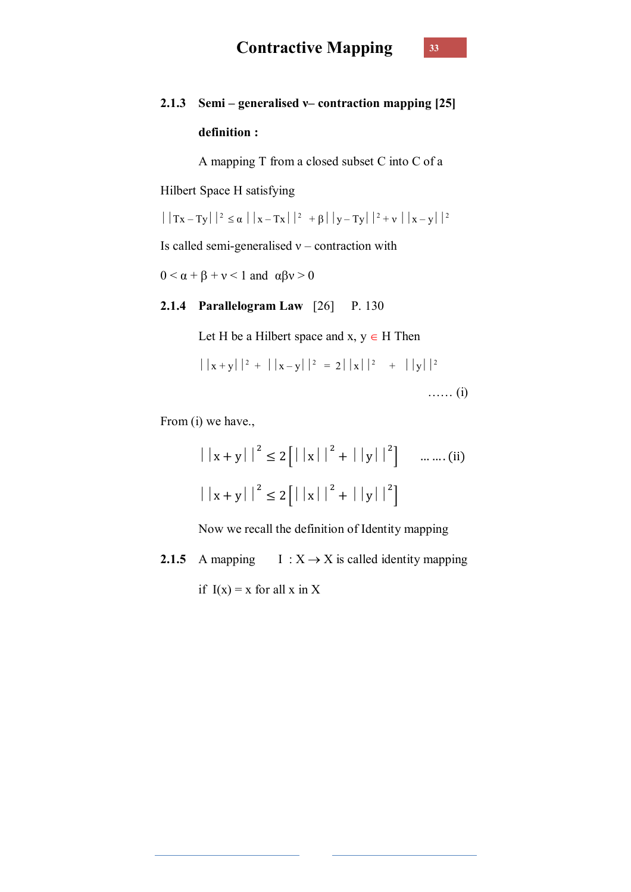# **2.1.3 Semi – generalised ν– contraction mapping [25] definition :**

A mapping T from a closed subset C into C of a

Hilbert Space H satisfying

$$
\left|\;\left|\; |Tx - Ty|\; \right|^2 \leq \alpha\; \left|\; \left|x - Tx\right|\; \right|^2\; + \beta\; \left|\; \left|y - Ty\right|\; \right|^2 + \nu\; \left|\; \left|x - y\right|\; \right|^2
$$

Is called semi-generalised  $v$  – contraction with

 $0 < \alpha + \beta + \nu < 1$  and  $\alpha\beta\nu > 0$ 

#### **2.1.4 Parallelogram Law** [26] P. 130

Let H be a Hilbert space and  $x, y \in H$  Then

$$
||x+y||^2 + ||x-y||^2 = 2||x||^2 + ||y||^2
$$
  
...... (i)

From (i) we have.,

$$
||x+y||^2 \le 2[||x||^2 + ||y||^2]
$$
 .......(ii)  
 $||x+y||^2 \le 2[||x||^2 + ||y||^2]$ 

Now we recall the definition of Identity mapping

**2.1.5** A mapping  $I: X \rightarrow X$  is called identity mapping if  $I(x) = x$  for all x in X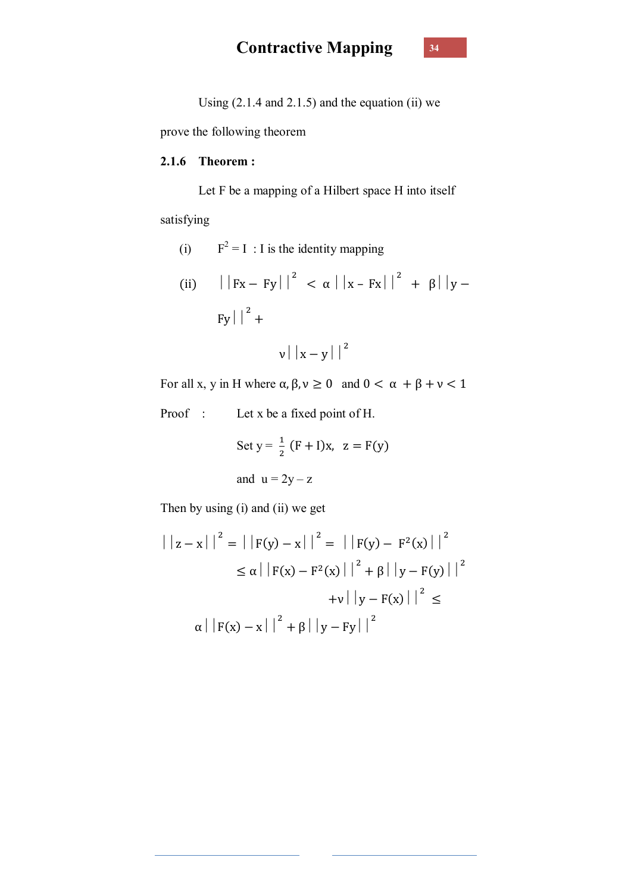Using  $(2.1.4$  and  $2.1.5)$  and the equation  $(ii)$  we

prove the following theorem

#### **2.1.6 Theorem :**

Let F be a mapping of a Hilbert space H into itself satisfying

 $(i)$  $2 = I$ : I is the identity mapping (ii)  $\left| \left| \frac{F}{X} - F_y \right| \right|^2 < \alpha \left| \left| \frac{X - F_X}{X} \right| \right|^2 + \beta \left| \left| y - \frac{X}{Y} \right| \right|$  $\left| \begin{array}{c} 2 \\ 1 \end{array} \right|$  +  $v \mid |x-y| \mid^2$ 

For all x, y in H where  $\alpha, \beta, \nu \ge 0$  and  $0 < \alpha + \beta + \nu < 1$ 

Proof : Let x be a fixed point of H.

Set 
$$
y = \frac{1}{2} (F + I)x
$$
,  $z = F(y)$   
and  $u = 2y - z$ 

Then by using (i) and (ii) we get

$$
||z - x||^{2} = ||F(y) - x||^{2} = ||F(y) - F^{2}(x)||^{2}
$$
  
\n
$$
\leq \alpha ||F(x) - F^{2}(x)||^{2} + \beta ||y - F(y)||^{2}
$$
  
\n
$$
+v ||y - F(x)||^{2} \leq \alpha ||F(x) - x||^{2} + \beta ||y - F(y)||^{2}
$$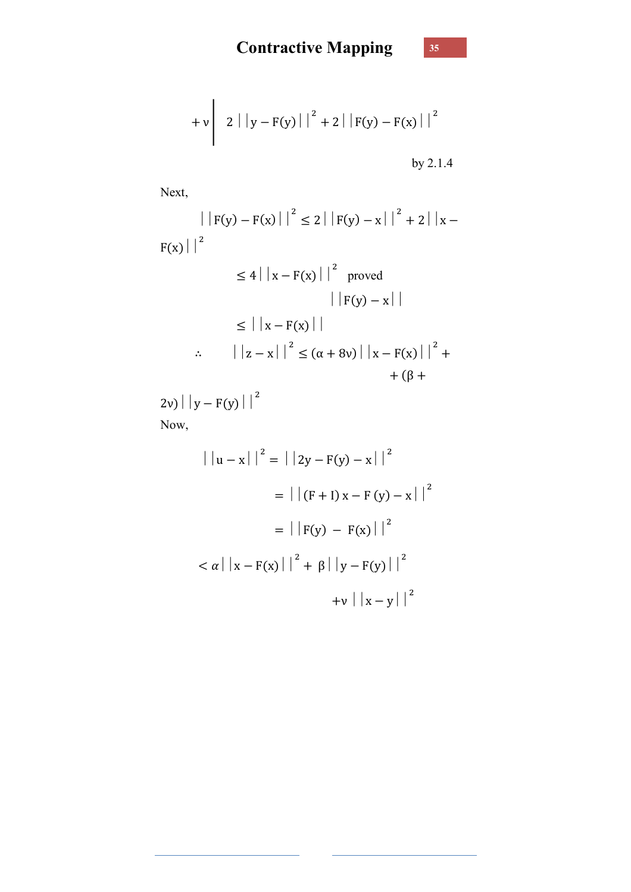+ ν ቮ 2 y − F(y) ଶ + 2F(y) − F(x) ଶ

by 2.1.4

Next,

$$
||F(y) - F(x)||^{2} \le 2 ||F(y) - x||^{2} + 2 ||x - F(x)||^{2}
$$
  
\n
$$
\le 4 ||x - F(x)||^{2} \text{ proved}
$$
  
\n
$$
||F(y) - x||
$$
  
\n
$$
\le ||x - F(x)||
$$
  
\n
$$
\therefore ||z - x||^{2} \le (\alpha + 8\nu) ||x - F(x)||^{2} +
$$
  
\n
$$
+ (\beta +
$$

2v)  $|\,|y - F(y)| \,|\,|^2$ 

Now,

$$
||u - x||^{2} = ||2y - F(y) - x||^{2}
$$
  
=  $|| (F + I) x - F (y) - x ||^{2}$   
=  $|| F(y) - F(x) ||^{2}$   
<  $\alpha ||x - F(x)||^{2} + \beta ||y - F(y) ||^{2}$   
+  $\gamma ||x - y||^{2}$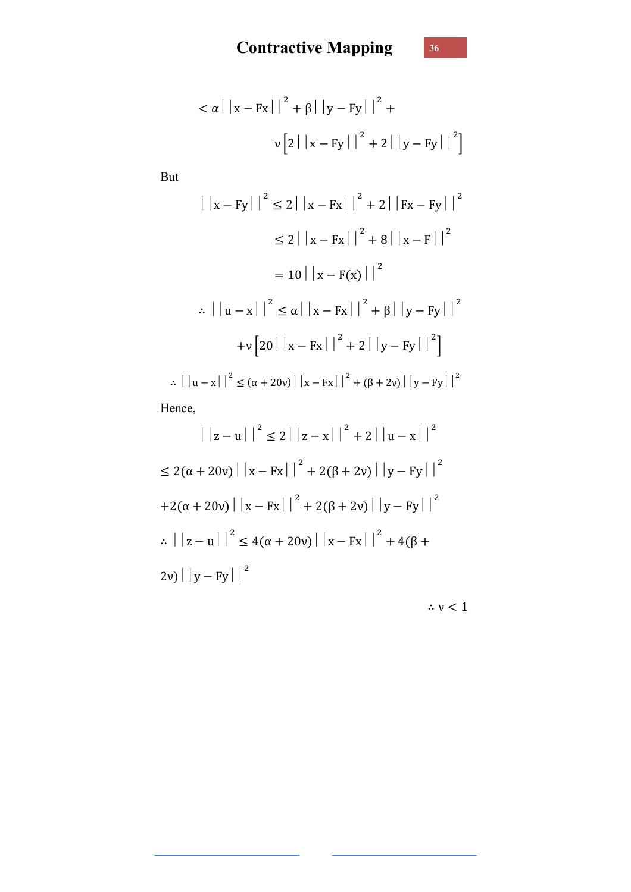$$
< \alpha
$$
 ||x - Fx||<sup>2</sup> +  $\beta$  ||y - Fy||<sup>2</sup> +  
v [2 ||x - Fy||<sup>2</sup> + 2 ||y - Fy||<sup>2</sup>]

But

$$
\left| \left| x - F y \right| \right|^2 \le 2 \left| \left| x - F x \right| \right|^2 + 2 \left| \left| F x - F y \right| \right|^2
$$
  
\n
$$
\le 2 \left| \left| x - F x \right| \right|^2 + 8 \left| \left| x - F \right| \right|^2
$$
  
\n
$$
= 10 \left| \left| x - F (x) \right| \right|^2
$$
  
\n
$$
\therefore \left| \left| u - x \right| \right|^2 \le \alpha \left| \left| x - F x \right| \right|^2 + \beta \left| \left| y - F y \right| \right|^2
$$
  
\n
$$
+ \nu \left[ 20 \left| \left| x - F x \right| \right|^2 + 2 \left| \left| y - F y \right| \right|^2 \right]
$$
  
\n
$$
\therefore \left| \left| u - x \right| \right|^2 \le (\alpha + 20 \nu) \left| \left| x - F x \right| \right|^2 + (\beta + 2 \nu) \left| \left| y - F y \right| \right|^2
$$

Hence,

$$
||z - u||^{2} \le 2 ||z - x||^{2} + 2 ||u - x||^{2}
$$
  
\n
$$
\le 2(\alpha + 20v) ||x - Fx||^{2} + 2(\beta + 2v) ||y - Fy||^{2}
$$
  
\n
$$
+ 2(\alpha + 20v) ||x - Fx||^{2} + 2(\beta + 2v) ||y - Fy||^{2}
$$
  
\n
$$
\therefore ||z - u||^{2} \le 4(\alpha + 20v) ||x - Fx||^{2} + 4(\beta + 2v) ||y - Fy||^{2}
$$

∴ ν < 1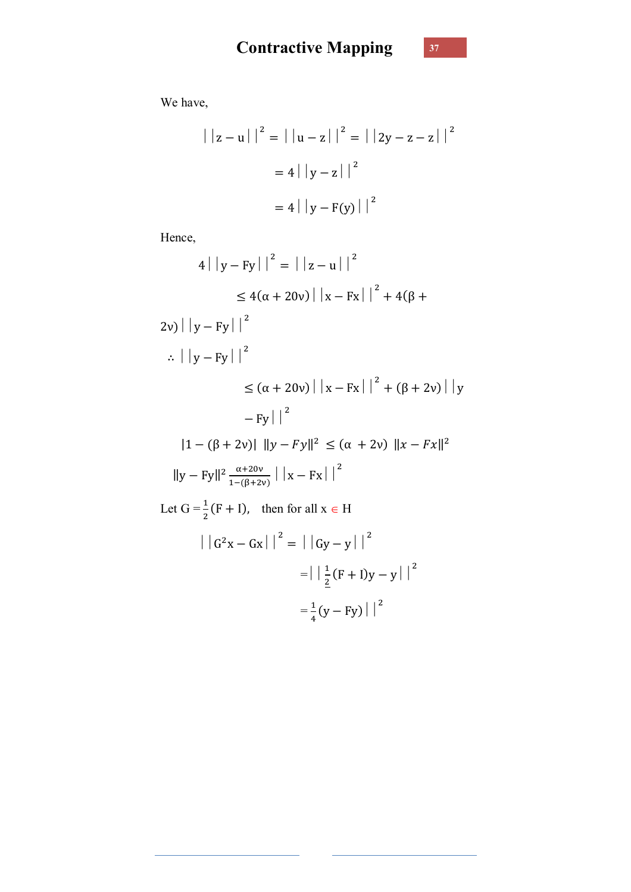We have,

$$
||z - u||^{2} = ||u - z||^{2} = ||2y - z - z||^{2}
$$

$$
= 4||y - z||^{2}
$$

$$
= 4||y - F(y)||^{2}
$$

Hence,

$$
4||y - Fy||^{2} = ||z - u||^{2}
$$
  
\n
$$
\leq 4(\alpha + 20v) ||x - Fx||^{2} + 4(\beta + 2v) ||y - Fy||^{2}
$$
  
\n
$$
\therefore ||y - Fy||^{2}
$$
  
\n
$$
\leq (\alpha + 20v) ||x - Fx||^{2} + (\beta + 2v) ||y - Fy||^{2}
$$
  
\n
$$
||1 - (\beta + 2v) ||y - Fy||^{2} \leq (\alpha + 2v) ||x - Fx||^{2}
$$
  
\n
$$
||y - Fy||^{2} \frac{\alpha + 20v}{1 - (\beta + 2v)} ||x - Fx||^{2}
$$
  
\nLet  $G = \frac{1}{2}(F + I)$ , then for all  $x \in H$   
\n
$$
||G^{2}x - Gx||^{2} = ||Gy - y||^{2}
$$
  
\n
$$
= ||\frac{1}{2}(F + I)y - y||^{2}
$$
  
\n
$$
= \frac{1}{4}(y - Fy) ||^{2}
$$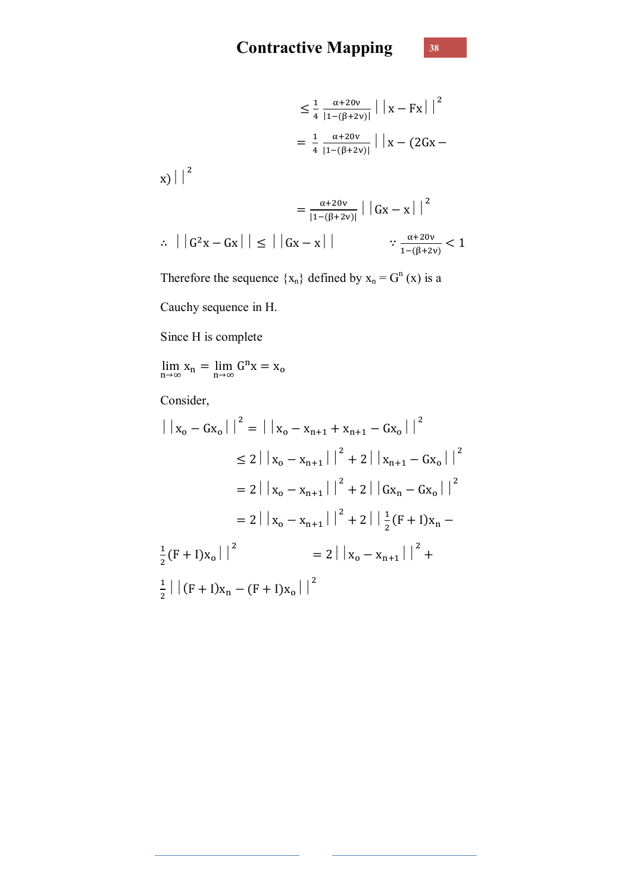$$
\leq \frac{1}{4} \frac{\alpha + 20\nu}{|1 - (\beta + 2\nu)|} \left| \left| x - F_X \right| \right|^2
$$

$$
= \frac{1}{4} \frac{\alpha + 20\nu}{|1 - (\beta + 2\nu)|} \left| \left| x - (2GX - X) \right| \right|^2
$$

$$
= \frac{\alpha + 20\nu}{|1 - (\beta + 2\nu)|} \left| \left| GX - X \right| \right|^2
$$

$$
\therefore \left| \left| G^2X - GX \right| \right| \leq \left| \left| GX - X \right| \right| \qquad \therefore \frac{\alpha + 20\nu}{1 - (\beta + 2\nu)} < 1
$$

Therefore the sequence  $\{x_n\}$  defined by  $x_n = G^n(x)$  is a

Cauchy sequence in H.

Since H is complete

$$
\lim_{n\to\infty}x_n=\lim_{n\to\infty}G^nx=x_o
$$

Consider,

$$
||x_{o} - Gx_{o}||^{2} = ||x_{o} - x_{n+1} + x_{n+1} - Gx_{o}||^{2}
$$
  
\n
$$
\leq 2 ||x_{o} - x_{n+1}||^{2} + 2 ||x_{n+1} - Gx_{o}||^{2}
$$
  
\n
$$
= 2 ||x_{o} - x_{n+1}||^{2} + 2 ||Gx_{n} - Gx_{o}||^{2}
$$
  
\n
$$
= 2 ||x_{o} - x_{n+1}||^{2} + 2 ||\frac{1}{2}(F + I)x_{n} -
$$
  
\n
$$
\frac{1}{2}(F + I)x_{o}||^{2} = 2 ||x_{o} - x_{n+1}||^{2} +
$$
  
\n
$$
\frac{1}{2} ||(F + I)x_{n} - (F + I)x_{o}||^{2}
$$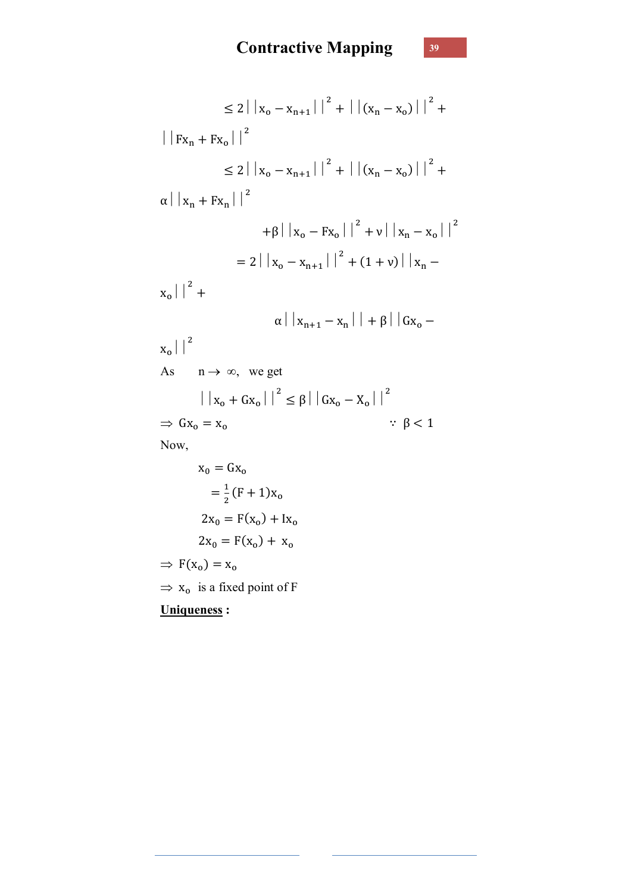$$
\leq 2 \left| \left| x_{o} - x_{n+1} \right| \right|^{2} + \left| \left| (x_{n} - x_{o}) \right| \right|^{2} + \left| \left| Fx_{n} + Fx_{o} \right| \right|^{2}
$$
\n
$$
\leq 2 \left| \left| x_{o} - x_{n+1} \right| \right|^{2} + \left| \left| (x_{n} - x_{o}) \right| \right|^{2} + \alpha \left| \left| x_{n} + Fx_{n} \right| \right|^{2}
$$
\n
$$
+ \beta \left| \left| x_{o} - Fx_{o} \right| \right|^{2} + \nu \left| \left| x_{n} - x_{o} \right| \right|^{2}
$$
\n
$$
= 2 \left| \left| x_{o} - x_{n+1} \right| \right|^{2} + (1 + \nu) \left| \left| x_{n} - x_{o} \right| \right|^{2}
$$
\n
$$
x_{o} \left| \left| \right|^{2} + \alpha \left| \left| x_{n+1} - x_{n} \right| \right| + \beta \left| \left| Gx_{o} - x_{o} \right| \right|^{2}
$$
\nAs  $n \to \infty$ , we get  
\n
$$
\left| \left| x_{o} + Gx_{o} \right| \right|^{2} \leq \beta \left| \left| Gx_{o} - X_{o} \right| \right|^{2}
$$
\n
$$
\Rightarrow Gx_{o} = x_{o} \qquad \qquad \because \beta < 1
$$
\nNow,  
\n
$$
x_{0} = Gx_{o}
$$
\n
$$
= \frac{1}{2} (F + 1)x_{o}
$$
\n
$$
2x_{0} = F(x_{o}) + Ix_{o}
$$
\n
$$
2x_{0} = F(x_{o}) + x_{o}
$$
\n
$$
\Rightarrow F(x_{o}) = x_{o}
$$
\n
$$
\Rightarrow x_{o} \text{ is a fixed point of } F
$$
\nUniqueness :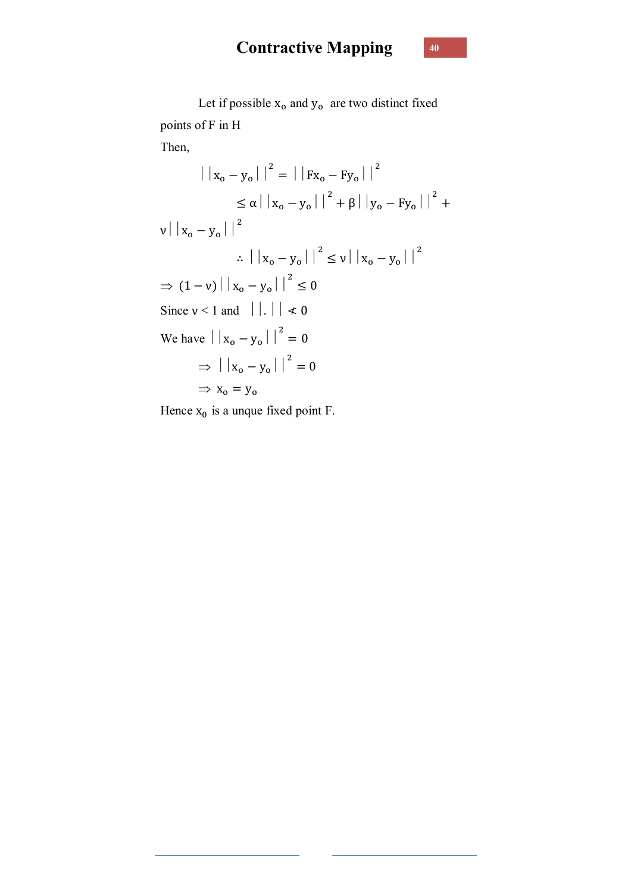Let if possible  $x_0$  and  $y_0$  are two distinct fixed points of F in H

Then,

$$
||x_{o} - y_{o}||^{2} = ||Fx_{o} - Fy_{o}||^{2}
$$
  
\n
$$
\leq \alpha ||x_{o} - y_{o}||^{2} + \beta ||y_{o} - Fy_{o}||^{2} + \gamma ||x_{o} - y_{o}||^{2}
$$
  
\n
$$
\therefore ||x_{o} - y_{o}||^{2} \leq \gamma ||x_{o} - y_{o}||^{2}
$$
  
\n
$$
\Rightarrow (1 - \gamma)||x_{o} - y_{o}||^{2} \leq 0
$$
  
\nSince  $\gamma < 1$  and  $||...|| \neq 0$   
\nWe have  $||x_{o} - y_{o}||^{2} = 0$   
\n
$$
\Rightarrow ||x_{o} - y_{o}||^{2} = 0
$$
  
\n
$$
\Rightarrow |x_{o} - y_{o}||^{2} = 0
$$
  
\n
$$
\Rightarrow x_{o} = y_{o}
$$

Hence  $x_0$  is a unque fixed point F.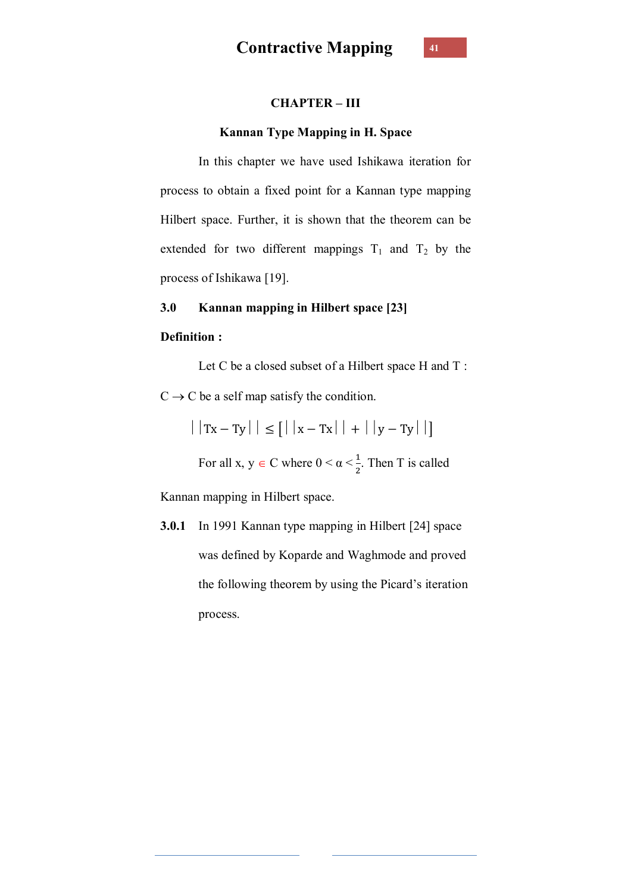## **CHAPTER – III**

## **Kannan Type Mapping in H. Space**

In this chapter we have used Ishikawa iteration for process to obtain a fixed point for a Kannan type mapping Hilbert space. Further, it is shown that the theorem can be extended for two different mappings  $T_1$  and  $T_2$  by the process of Ishikawa [19].

## **3.0 Kannan mapping in Hilbert space [23]**

## **Definition :**

Let C be a closed subset of a Hilbert space H and T :

 $C \rightarrow C$  be a self map satisfy the condition.

 $|\left|Tx - Ty\right| | \leq \left| \left| \left| x - Tx \right| \right| + \left| \left| y - Ty \right| \right| \right|$ 

For all x,  $y \in C$  where  $0 < \alpha < \frac{1}{2}$ . Then T is called

Kannan mapping in Hilbert space.

**3.0.1** In 1991 Kannan type mapping in Hilbert [24] space was defined by Koparde and Waghmode and proved the following theorem by using the Picard's iteration process.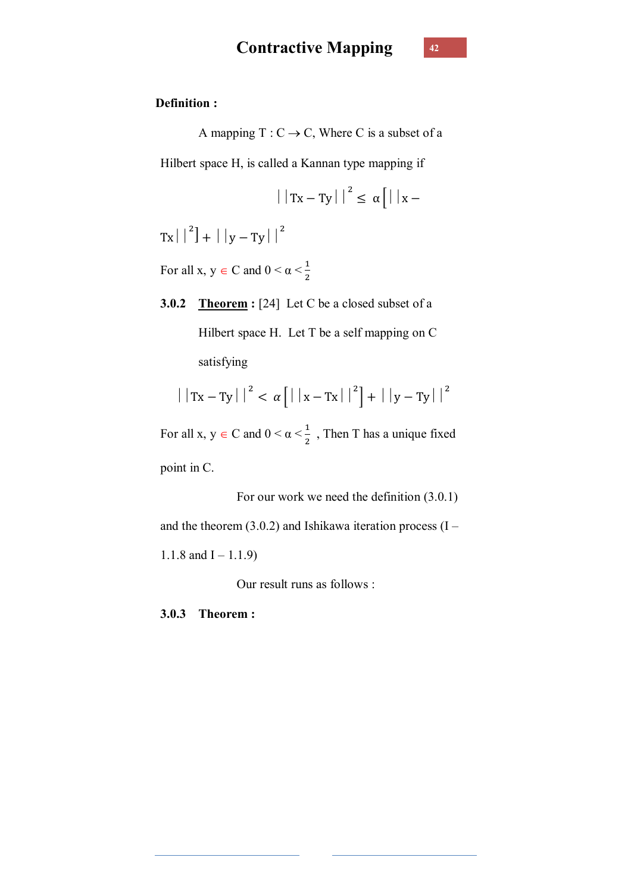## **Definition :**

A mapping  $T : C \rightarrow C$ , Where C is a subset of a

Hilbert space H, is called a Kannan type mapping if

$$
\left| \, \left| \, \mathrm{T}x - \mathrm{T}y \, \right| \, \right|^2 \leq \, \alpha \left[ \, \left| \, \, \right| x - \right]
$$

 $\left[\left| \right|^{2}\right] + \left|\left| y - \frac{\tau}{y} \right| \right|^{2}$ 

For all x,  $y \in C$  and  $0 < \alpha < \frac{1}{2}$ 

**3.0.2 Theorem :** [24] Let C be a closed subset of a

Hilbert space H. Let T be a self mapping on C satisfying

$$
\left| \left| \left| Tx - Ty \right| \right| \right|^2 < \alpha \left[ \left| \left| x - Tx \right| \right| \right]^2 \right] + \left| \left| y - Ty \right| \right|^2
$$

For all x,  $y \in C$  and  $0 \le \alpha \le \frac{1}{2}$ , Then T has a unique fixed point in C.

For our work we need the definition (3.0.1)

and the theorem  $(3.0.2)$  and Ishikawa iteration process  $(I -$ 

1.1.8 and  $I - 1.1.9$ )

Our result runs as follows :

**3.0.3 Theorem :**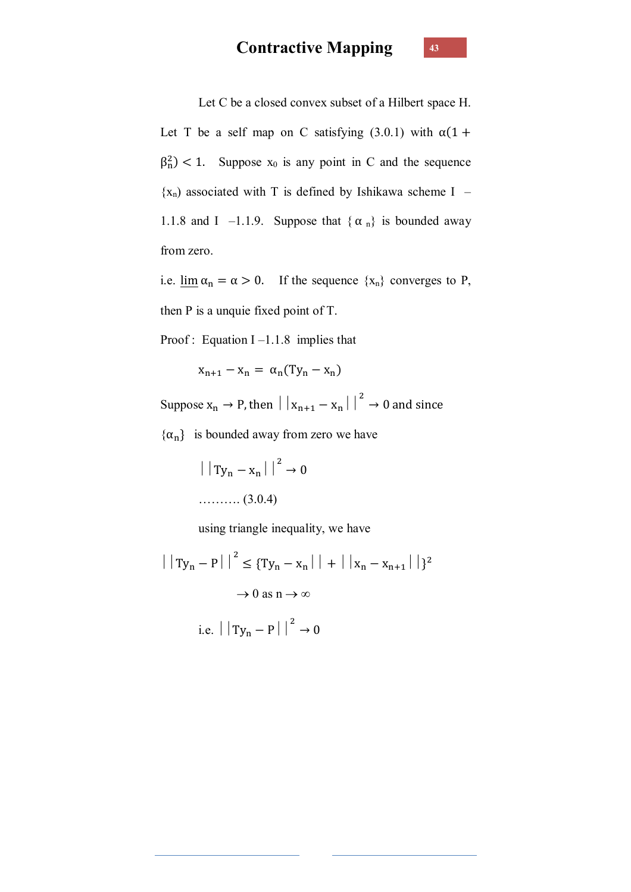Let C be a closed convex subset of a Hilbert space H. Let T be a self map on C satisfying (3.0.1) with  $\alpha(1 +$  $\beta_n^2$  < 1. Suppose  $x_0$  is any point in C and the sequence  ${x_n}$ ) associated with T is defined by Ishikawa scheme I – 1.1.8 and I –1.1.9. Suppose that  $\{\alpha_n\}$  is bounded away from zero.

i.e.  $\underline{\lim}_{n \to \infty} \alpha_n = \alpha > 0$ . If the sequence  $\{x_n\}$  converges to P, then P is a unquie fixed point of T.

Proof : Equation I –1.1.8 implies that

$$
x_{n+1} - x_n = \alpha_n (Ty_n - x_n)
$$

Suppose  $x_n \to P$ , then  $\left| \begin{array}{c} |x_{n+1} - x_n| \end{array} \right|^2 \to 0$  and since

 $\{\alpha_n\}$  is bounded away from zero we have

 $|\left|Tx_n - x_n\right|\right|^2 \to 0$ ………. (3.0.4)

using triangle inequality, we have

$$
|\left|T y_{n} - P\right|^{2} \leq \{T y_{n} - x_{n} | + |\left| x_{n} - x_{n+1} \right| |^{2}
$$
  

$$
\to 0 \text{ as } n \to \infty
$$
  
i.e. 
$$
|\left|Ty_{n} - P\right|^{2} \to 0
$$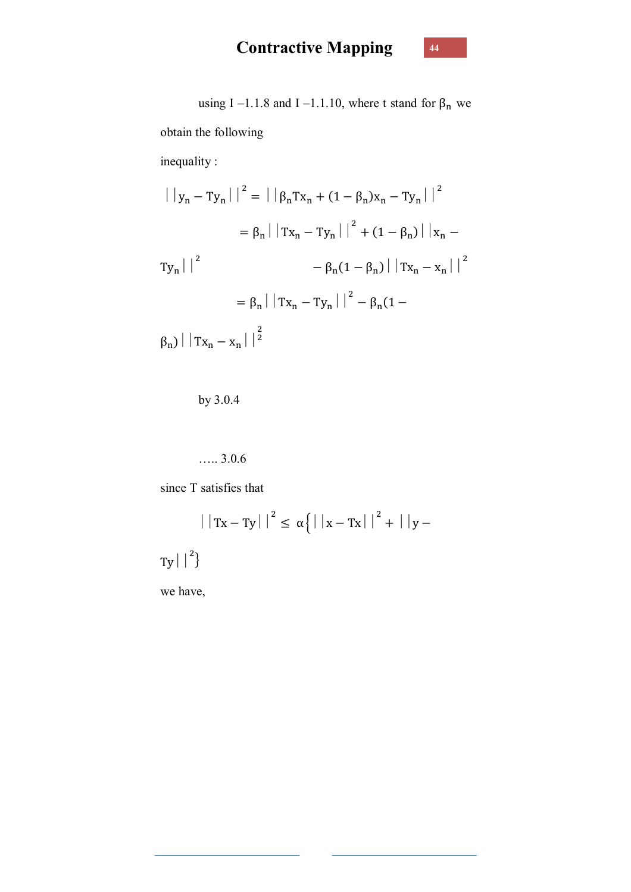using I –1.1.8 and I –1.1.10, where t stand for  $\beta_n$  we obtain the following inequality :  $|\left| y_n - Ty_n \right| |^2 = |\left| \beta_n Tx_n + (1 - \beta_n)x_n - Ty_n \right| |^2$  $= \beta_n | |Tx_n - Ty_n| |^2 + (1 - \beta_n) |x_n Ty_n \left| {}\right| ^2$  $- \beta_n (1 - \beta_n) | |Tx_n - x_n| |^2$ 

$$
= \beta_{n} | |Tx_{n} - Ty_{n}| |^{2} - \beta_{n}(1 - \frac{1}{2})
$$

$$
by 3.0.4
$$

 $(β_n)$ | | Tx<sub>n</sub> – x<sub>n</sub> | |

….. 3.0.6

since T satisfies that

$$
|\left|Tx - Ty\right||^2 \le \alpha \{|\left|x - Tx\right||^2 + |\left|y - xy\right|\right|^2\}
$$

we have,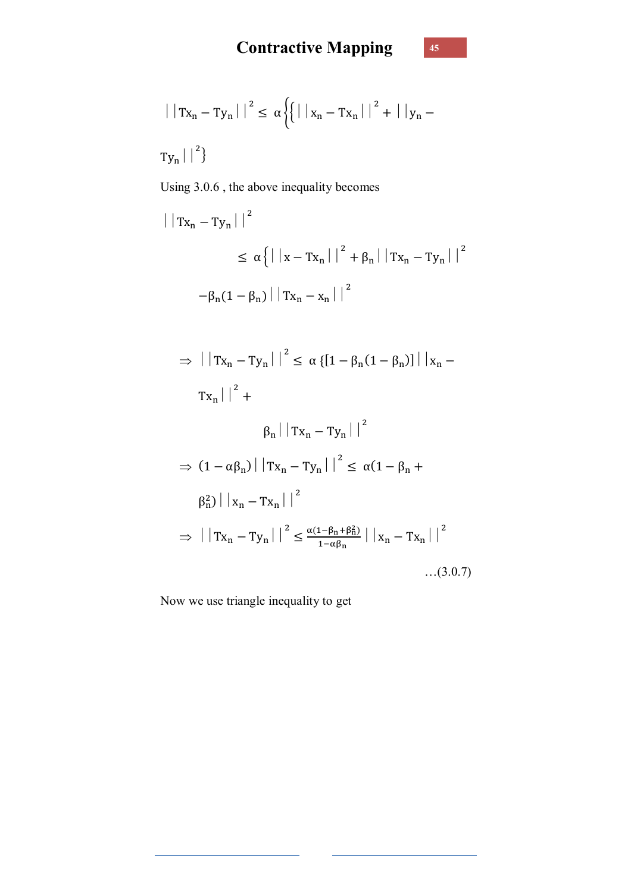$$
||Tx_n - Ty_n||^2 \le \alpha \{ ||x_n - Tx_n||^2 + ||y_n - Ty_n||^2 \}
$$

Using 3.0.6 , the above inequality becomes

$$
||Tx_n - Ty_n||^2
$$
  
\n $\le \alpha \{ ||x - Tx_n||^2 + \beta_n ||Tx_n - Ty_n||^2$   
\n $-\beta_n(1 - \beta_n) ||Tx_n - x_n||^2$ 

$$
\Rightarrow ||Tx_{n} - Ty_{n}||^{2} \leq \alpha \{ [1 - \beta_{n}(1 - \beta_{n})] ||x_{n} - Tx_{n}||^{2} +
$$
  

$$
\beta_{n} ||Tx_{n} - Ty_{n}||^{2}
$$
  

$$
\Rightarrow (1 - \alpha\beta_{n}) ||Tx_{n} - Ty_{n}||^{2} \leq \alpha(1 - \beta_{n} +
$$
  

$$
\beta_{n}^{2}) ||x_{n} - Tx_{n}||^{2}
$$
  

$$
\Rightarrow ||Tx_{n} - Ty_{n}||^{2} \leq \frac{\alpha(1 - \beta_{n} + \beta_{n}^{2})}{1 - \alpha\beta_{n}} ||x_{n} - Tx_{n}||^{2}
$$
...(3.0.7)

Now we use triangle inequality to get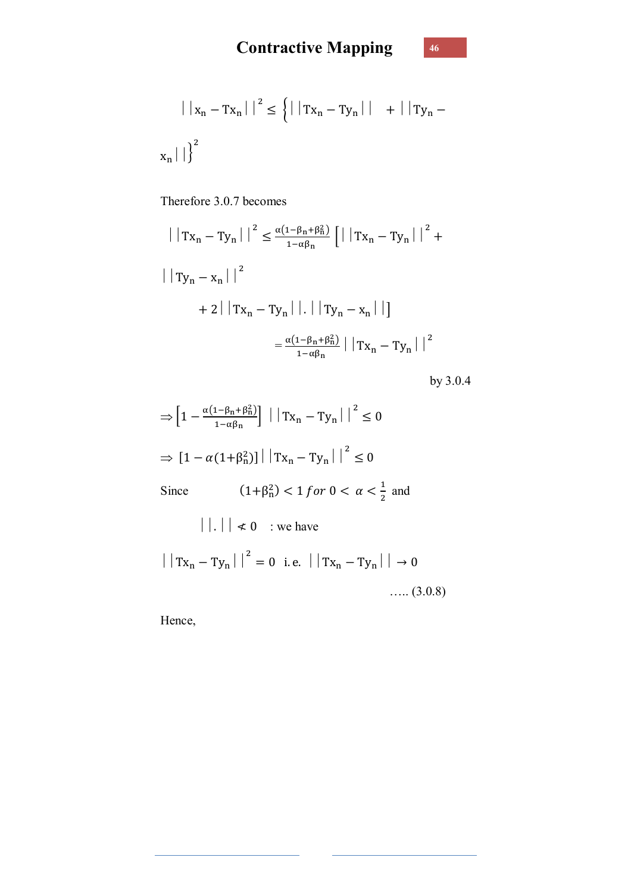$$
||x_n - Tx_n||^2 \le ||Tx_n - Ty_n|| + ||Ty_n - x_n||^2
$$

Therefore 3.0.7 becomes

$$
\left| \left| Tx_{n} - Ty_{n} \right| \right|^{2} \leq \frac{\alpha (1 - \beta_{n} + \beta_{n}^{2})}{1 - \alpha \beta_{n}} \left[ \left| \left| Tx_{n} - Ty_{n} \right| \right|^{2} + \right.
$$
  

$$
\left| \left| Ty_{n} - x_{n} \right| \right|^{2}
$$
  
+ 2 \left| \left| Tx\_{n} - Ty\_{n} \right| \right| \left| \left| Ty\_{n} - x\_{n} \right| \right| \right]  

$$
= \frac{\alpha (1 - \beta_{n} + \beta_{n}^{2})}{1 - \alpha \beta_{n}} \left| \left| Tx_{n} - Ty_{n} \right| \right|^{2}
$$

by 3.0.4

$$
\Rightarrow \left[1 - \frac{\alpha(1-\beta_n + \beta_n^2)}{1-\alpha\beta_n}\right] \mid \left|Tx_n - Ty_n\right| \mid^2 \le 0
$$
  

$$
\Rightarrow \left[1 - \alpha(1+\beta_n^2)\right] \mid \left|Tx_n - Ty_n\right| \mid^2 \le 0
$$
  
Since  $(1+\beta_n^2) < 1 \text{ for } 0 < \alpha < \frac{1}{2}$  and  

$$
\left|\left|\left|\right|\right| \le 0 \quad \text{we have}
$$
  

$$
\left|\left|Tx_n - Ty_n\right|\right| \mid^2 = 0 \quad \text{i.e.} \quad \left|\left|Tx_n - Ty_n\right|\right| \to 0
$$

$$
Tx_n - Ty_n | | = 0 \text{ i.e. } ||Tx_n - Ty_n|| \to 0
$$
  
...... (3.0.8)

Hence,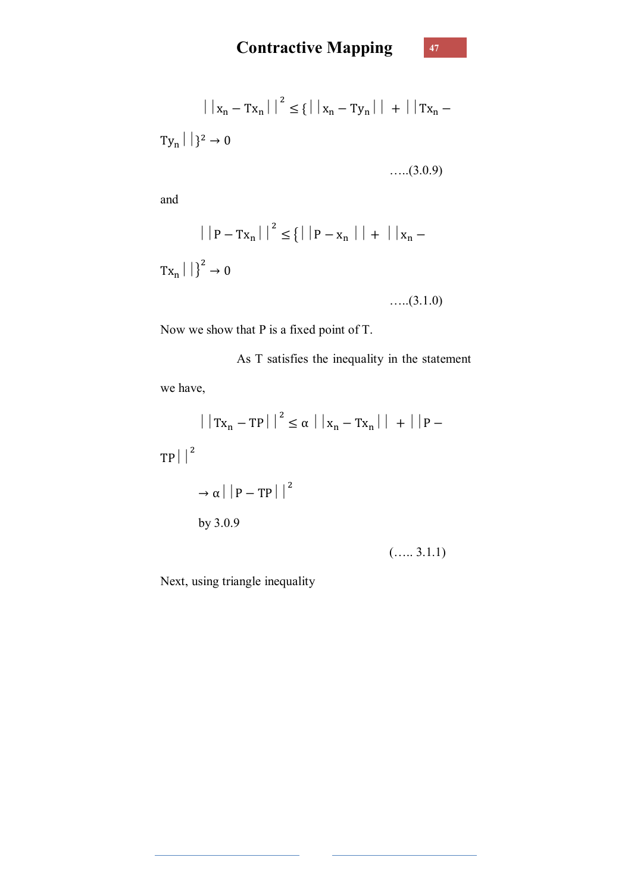$$
|\ |x_n - Tx_n| \ |^2 \leq {\{|\ |x_n - Ty_n|\ | + |\ |Tx_n - Ty_n|\ |\ } + \|\ |Tx_n - Ty_n\ |\ }\}.
$$

…..(3.0.9)

and

$$
|\left| P - Tx_n \right| |^2 \leq {\left| \left| P - x_n \right| \right| + |\left| x_n - Tx_n \right| |}^2 \to 0
$$

…..(3.1.0)

Now we show that P is a fixed point of T.

As T satisfies the inequality in the statement we have,

$$
||Tx_{n} - TP||^{2} \le \alpha ||x_{n} - Tx_{n}|| + ||P -
$$
  
TP||<sup>2</sup>  
 $\rightarrow \alpha ||P - TP||^{2}$   
by 3.0.9 (..... 3.1.1)

Next, using triangle inequality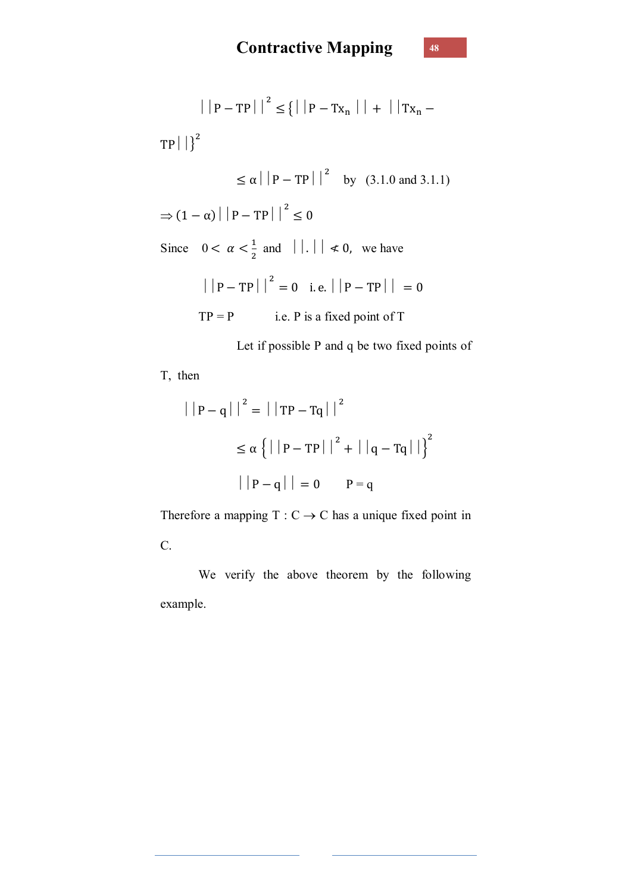$$
|\left|P - TP\right|\Big|^{2} \leq {\left|\left|P - Tx_{n}\right|\Big| + \left|\left|Tx_{n} - TP\right|\right|\right|}^{2}
$$
  
\n
$$
\leq \alpha \left|\left|P - TP\right|\right|^{2} \text{ by (3.1.0 and 3.1.1)}
$$
  
\n
$$
\Rightarrow (1 - \alpha) |\left|P - TP\right|\Big|^{2} \leq 0
$$
  
\nSince  $0 < \alpha < \frac{1}{2}$  and  $||.|| \neq 0$ , we have  
\n
$$
|\left|P - TP\right|\Big|^{2} = 0 \text{ i.e. } |\left|P - TP\right|\Big| = 0
$$
  
\n
$$
TP = P \text{ i.e. P is a fixed point of T}
$$

Let if possible P and q be two fixed points of

T, then

$$
|\left| P - q \right| \big|^{2} = |\left| TP - Tq \right| \big|^{2}
$$
  
\n
$$
\leq \alpha \left\{ \left| \left| P - TP \right| \right|^{2} + |\left| q - Tq \right| \big| \right\}^{2}
$$
  
\n
$$
|\left| P - q \right| | = 0 \qquad P = q
$$

Therefore a mapping  $T : C \rightarrow C$  has a unique fixed point in C.

We verify the above theorem by the following example.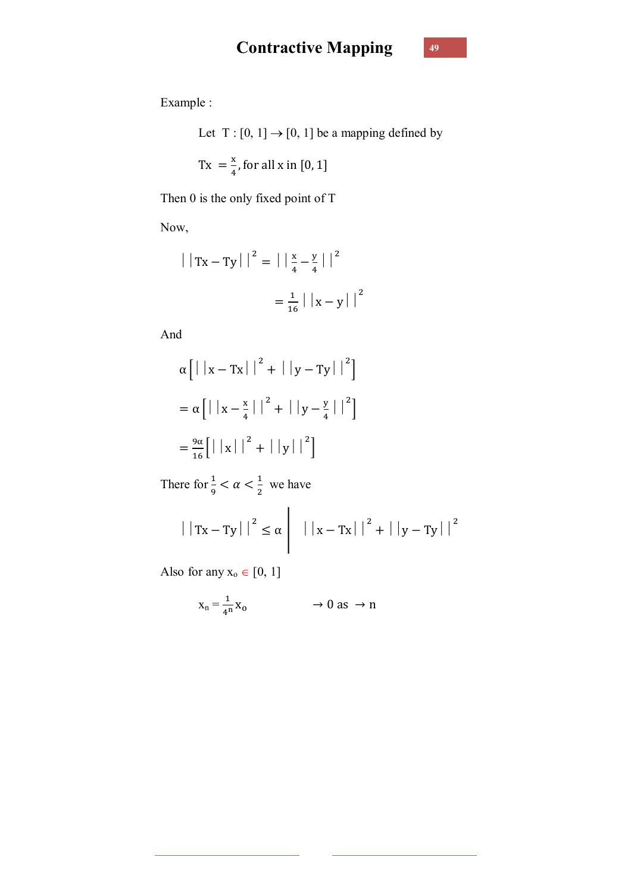Example :

Let  $T : [0, 1] \rightarrow [0, 1]$  be a mapping defined by

$$
Tx = \frac{x}{4}, \text{for all } x \text{ in } [0, 1]
$$

Then 0 is the only fixed point of T

Now,

$$
||Tx - Ty||^2 = ||\frac{x}{4} - \frac{y}{4}||^2
$$
  
=  $\frac{1}{16}||x - y||^2$ 

And

$$
\alpha \left[ \left| \left| x - Tx \right| \right|^{2} + \left| \left| y - Ty \right| \right|^{2} \right]
$$
\n
$$
= \alpha \left[ \left| \left| x - \frac{x}{4} \right| \right|^{2} + \left| \left| y - \frac{y}{4} \right| \right|^{2} \right]
$$
\n
$$
= \frac{9\alpha}{16} \left[ \left| \left| x \right| \right|^{2} + \left| \left| y \right| \right|^{2} \right]
$$

There for  $\frac{1}{9} < \alpha < \frac{1}{2}$  $\frac{1}{2}$  we have

$$
||Tx - Ty||^2 \le \alpha
$$
  $||x - Tx||^2 + ||y - Ty||^2$ 

Also for any  $x_0 \in [0, 1]$ 

$$
x_n = \frac{1}{4^n} x_0 \qquad \qquad \to 0 \text{ as } \to n
$$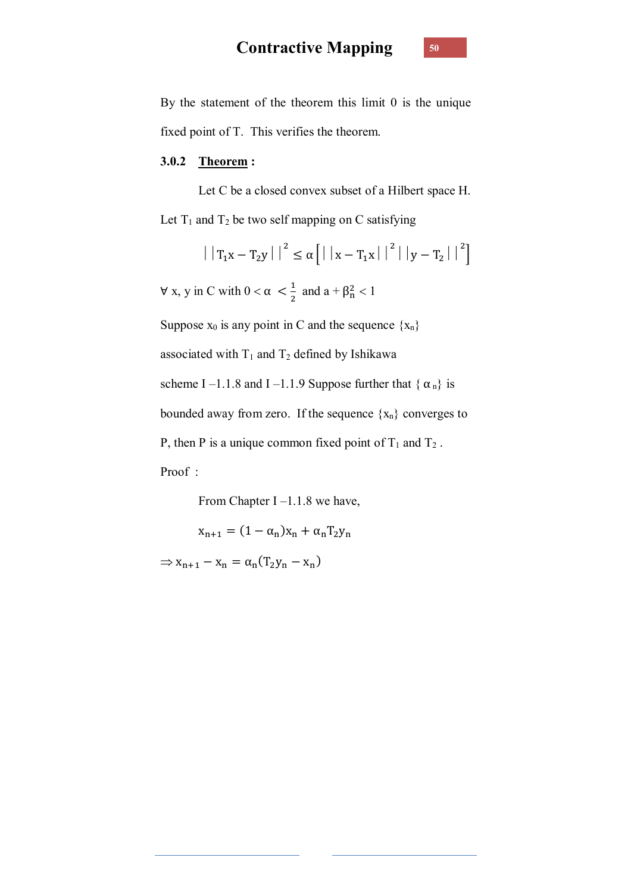By the statement of the theorem this limit 0 is the unique fixed point of T. This verifies the theorem.

## **3.0.2 Theorem :**

Let C be a closed convex subset of a Hilbert space H. Let  $T_1$  and  $T_2$  be two self mapping on C satisfying

$$
\left|\,\, \left|\, T_1x-T_2y\,\right| \,\right|^{\,2} \leq \alpha \left[\,\left|\,\, \left|\, x-T_1x\,\right| \,\right|^{\,2} \,\right|\,\left|\, y-T_2\,\right| \,\right|^{\,2}\right]
$$

 $\forall$  x, y in C with  $0 < \alpha < \frac{1}{2}$  $\frac{1}{2}$  and  $a + \beta_n^2 < 1$ 

Suppose  $x_0$  is any point in C and the sequence  $\{x_n\}$ 

associated with  $T_1$  and  $T_2$  defined by Ishikawa

scheme I –1.1.8 and I –1.1.9 Suppose further that  $\{\alpha_n\}$  is

bounded away from zero. If the sequence  $\{x_n\}$  converges to

P, then P is a unique common fixed point of  $T_1$  and  $T_2$ .

Proof :

From Chapter I-1.1.8 we have,

$$
x_{n+1} = (1 - \alpha_n)x_n + \alpha_n T_2 y_n
$$

 $\Rightarrow$  x<sub>n+1</sub> - x<sub>n</sub> =  $\alpha_n(T_2y_n - x_n)$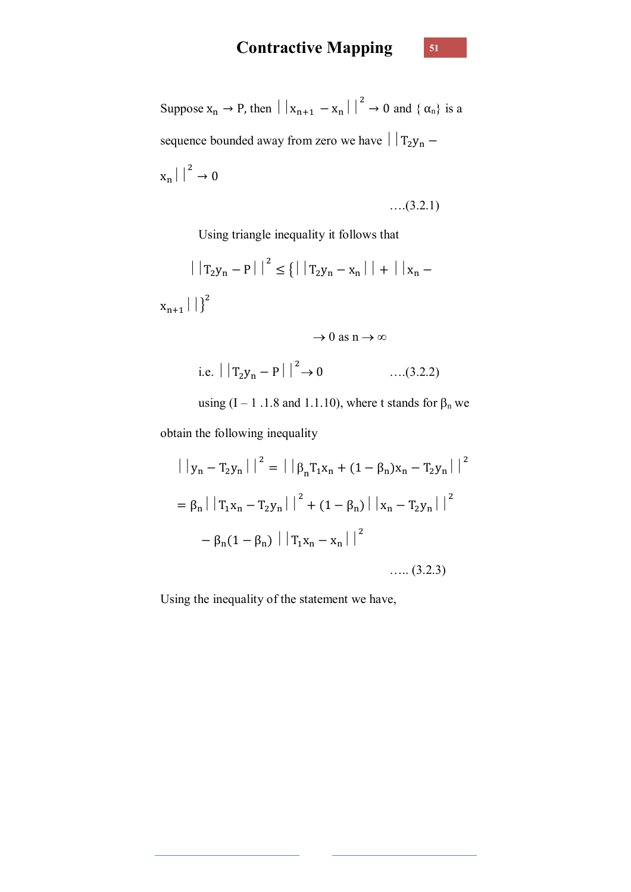Suppose  $x_n \to P$ , then  $\left| \begin{array}{cc} |x_{n+1} - x_n| \end{array} \right|^2 \to 0$  and  $\{ \alpha_n \}$  is a sequence bounded away from zero we have  $\frac{1}{T_2y_n}$  −  $x_n \mid \big|^2 \to 0$ 

….(3.2.1)

Using triangle inequality it follows that

$$
|\left|T_{2}y_{n} - P\right| |^{2} \leq \{ |\left|T_{2}y_{n} - x_{n}\right| | + |\left|x_{n} - x_{n+1}\right| |\right\}^{2}
$$

 $\rightarrow$  0 as n  $\rightarrow \infty$ 

i.e. 
$$
||T_2y_n - P||^2 \to 0
$$
 ....(3.2.2)

using  $(I - 1.1.8$  and 1.1.10), where t stands for  $\beta_n$  we obtain the following inequality

$$
||y_{n} - T_{2}y_{n}||^{2} = ||\beta_{n}T_{1}x_{n} + (1 - \beta_{n})x_{n} - T_{2}y_{n}||^{2}
$$
  
=  $\beta_{n}||T_{1}x_{n} - T_{2}y_{n}||^{2} + (1 - \beta_{n})||x_{n} - T_{2}y_{n}||^{2}$   
 $- \beta_{n}(1 - \beta_{n})||T_{1}x_{n} - x_{n}||^{2}$  ...... (3.2.3)

Using the inequality of the statement we have,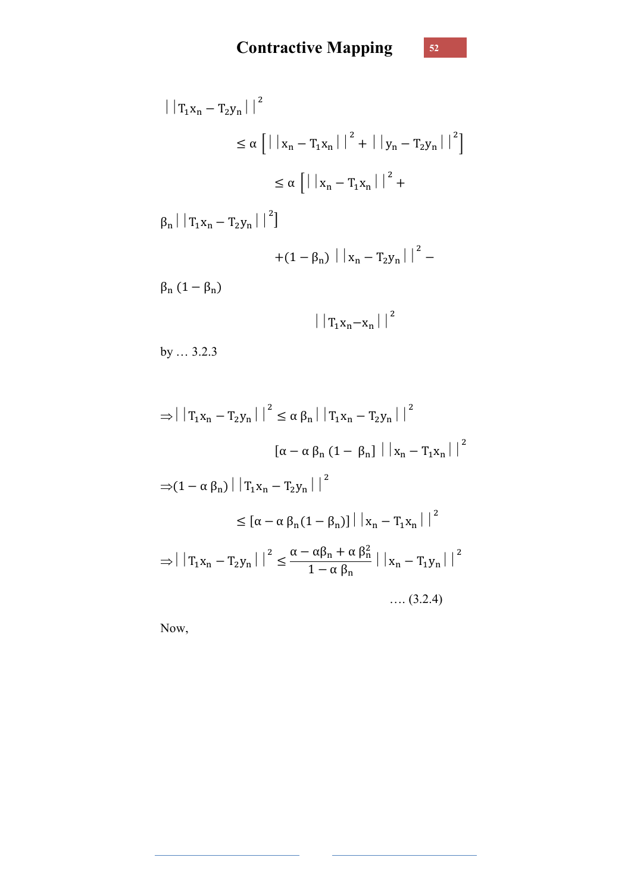$$
\left| \left| T_{1}x_{n} - T_{2}y_{n} \right| \right|^{2}
$$
\n
$$
\leq \alpha \left[ \left| \left| x_{n} - T_{1}x_{n} \right| \right|^{2} + \left| \left| y_{n} - T_{2}y_{n} \right| \right|^{2} \right]
$$
\n
$$
\leq \alpha \left[ \left| \left| x_{n} - T_{1}x_{n} \right| \right|^{2} +
$$
\n
$$
\beta_{n} \left| T_{1}x_{n} - T_{2}y_{n} \right| \right|^{2} \right]
$$
\n
$$
+ (1 - \beta_{n}) \left| \left| x_{n} - T_{2}y_{n} \right| \right|^{2} -
$$
\n
$$
\beta_{n} (1 - \beta_{n})
$$
\n
$$
\left| T_{1}x_{n} - x_{n} \right| \right|^{2}
$$

by … 3.2.3

$$
\Rightarrow ||T_1x_n - T_2y_n||^2 \le \alpha \beta_n ||T_1x_n - T_2y_n||^2
$$

$$
[\alpha - \alpha \beta_n (1 - \beta_n) ||x_n - T_1x_n||^2
$$

$$
\Rightarrow (1 - \alpha \beta_n) ||T_1x_n - T_2y_n||^2
$$

$$
\le [\alpha - \alpha \beta_n (1 - \beta_n)] ||x_n - T_1x_n||^2
$$

$$
\Rightarrow ||T_1x_n - T_2y_n||^2 \le \frac{\alpha - \alpha \beta_n + \alpha \beta_n^2}{1 - \alpha \beta_n} ||x_n - T_1y_n||^2
$$
....(3.2.4)

Now,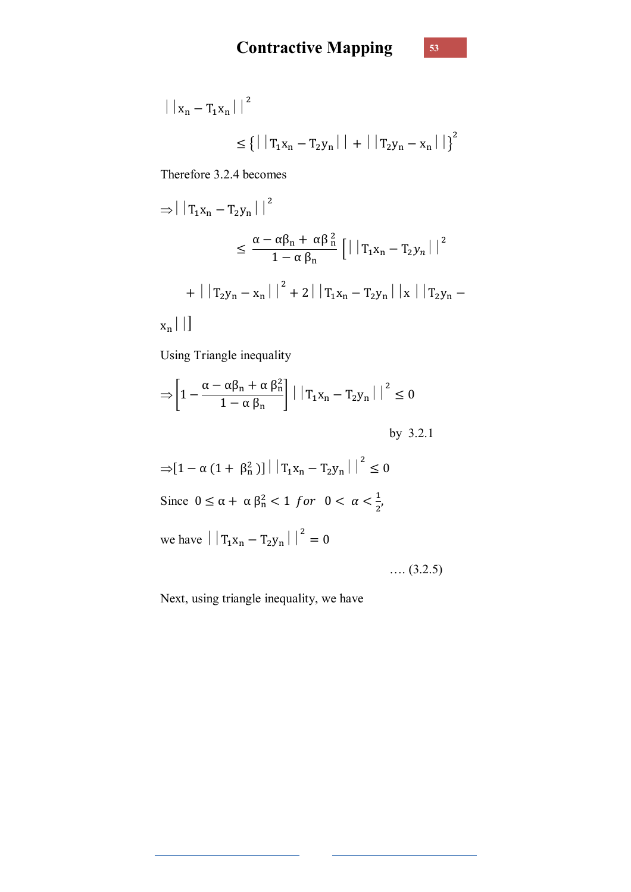$$
||x_n - T_1x_n||^2
$$
  
\n $\leq {||T_1x_n - T_2y_n|| + ||T_2y_n - x_n||}^2$ 

Therefore 3.2.4 becomes

$$
\Rightarrow ||T_1x_n - T_2y_n||^2
$$
  
\n
$$
\leq \frac{\alpha - \alpha\beta_n + \alpha\beta_n^2}{1 - \alpha\beta_n} [||T_1x_n - T_2y_n||^2
$$
  
\n
$$
+ ||T_2y_n - x_n||^2 + 2||T_1x_n - T_2y_n||x||T_2y_n - x_n||]
$$

Using Triangle inequality

$$
\Rightarrow \left[1 - \frac{\alpha - \alpha \beta_n + \alpha \beta_n^2}{1 - \alpha \beta_n}\right] | |T_1 x_n - T_2 y_n| |^2 \le 0
$$
  
by 3.2.1  

$$
\Rightarrow [1 - \alpha (1 + \beta_n^2)] | |T_1 x_n - T_2 y_n| |^2 \le 0
$$
  
Since  $0 \le \alpha + \alpha \beta_n^2 < 1$  for  $0 < \alpha < \frac{1}{2}$ ,  
we have  $||T_1 x_n - T_2 y_n||^2 = 0$  .... (3.2.5)

Next, using triangle inequality, we have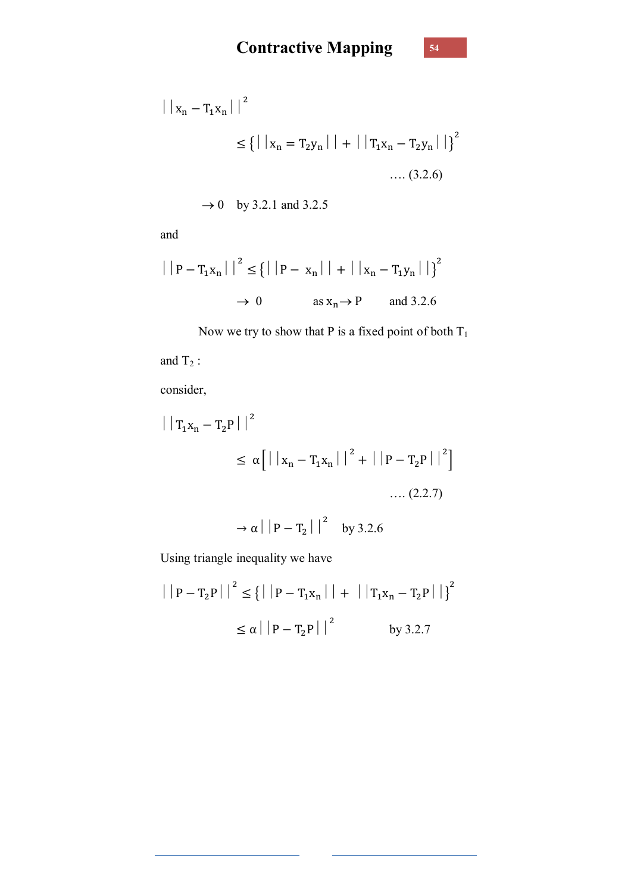$$
||x_{n} - T_{1}x_{n}||^{2}
$$
  
\n
$$
\leq {||x_{n} = T_{2}y_{n}|| + ||T_{1}x_{n} - T_{2}y_{n}||^{2}}
$$
  
\n.... (3.2.6)

$$
\rightarrow
$$
 0 by 3.2.1 and 3.2.5

and

$$
||P - T_1x_n||^2 \leq {||P - x_n|| + ||x_n - T_1y_n||}^2
$$
  
\n $\rightarrow 0$  as  $x_n \rightarrow P$  and 3.2.6

Now we try to show that P is a fixed point of both  $T_1$ 

and  $\mathrm{T}_2$  :

consider,

$$
\left| \left| T_1 x_n - T_2 P \right| \right|^2
$$
  
\n
$$
\leq \alpha \left[ \left| \left| x_n - T_1 x_n \right| \right|^2 + \left| \left| P - T_2 P \right| \right|^2 \right]
$$
  
\n.... (2.2.7)  
\n
$$
\rightarrow \alpha \left| \left| P - T_2 \right| \right|^2 \text{ by } 3.2.6
$$

Using triangle inequality we have

$$
||P - T_2P||^2 \leq {||P - T_1x_n|| + ||T_1x_n - T_2P||}^2
$$
  
 $\leq \alpha ||P - T_2P||^2$  by 3.2.7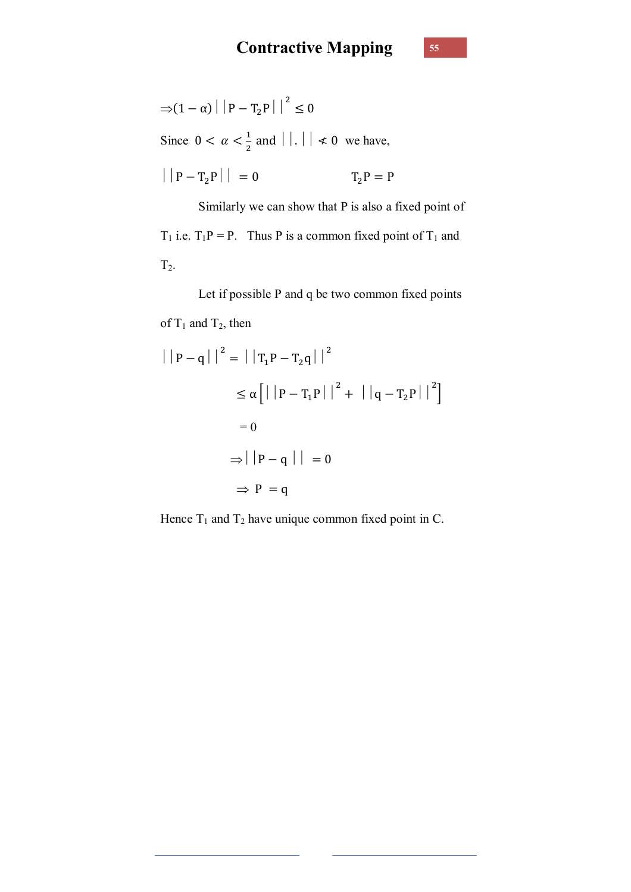$$
\Rightarrow (1-\alpha) | |P - T_2P| |^2 \le 0
$$

Since  $0 < \alpha < \frac{1}{2}$  $\frac{1}{2}$  and  $||.|| \neq 0$  we have,

$$
|\left| P - T_2 P \right| | = 0 \qquad T_2 P = P
$$

Similarly we can show that P is also a fixed point of  $T_1$  i.e.  $T_1P = P$ . Thus P is a common fixed point of  $T_1$  and  $T_2$ .

Let if possible P and q be two common fixed points of  $T_1$  and  $T_2$ , then

$$
|\left|p - q\right| \big|^2 = |\left|T_1 p - T_2 q\right| \big|^2
$$
  
\n
$$
\leq \alpha \Big[ \left| \left|p - T_1 p\right| \right|^2 + |\left|q - T_2 p\right| \big|^2 \Big]
$$
  
\n
$$
= 0
$$
  
\n
$$
\Rightarrow |\left|p - q\right| \big| = 0
$$
  
\n
$$
\Rightarrow P = q
$$

Hence  $T_1$  and  $T_2$  have unique common fixed point in C.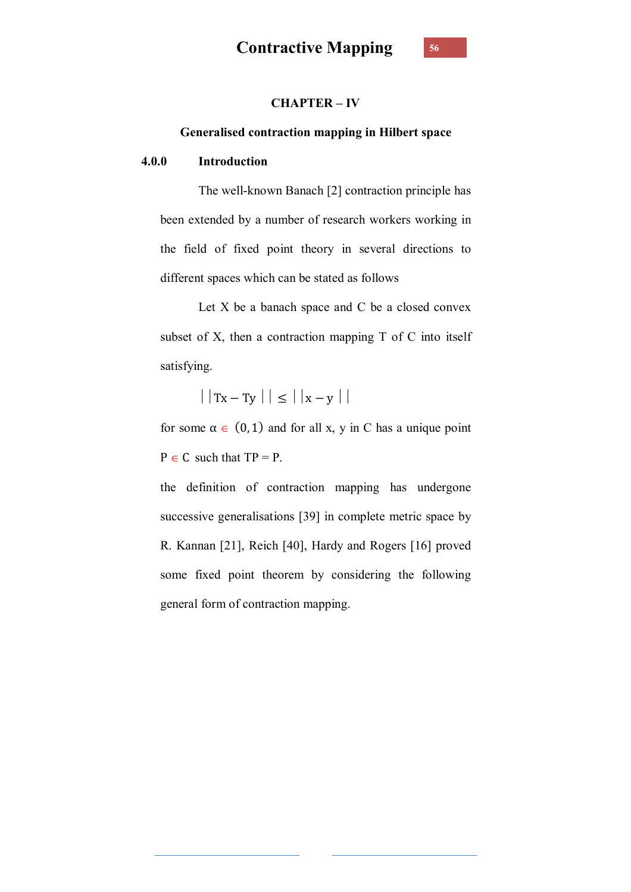## **CHAPTER – IV**

## **Generalised contraction mapping in Hilbert space**

## **4.0.0 Introduction**

The well-known Banach [2] contraction principle has been extended by a number of research workers working in the field of fixed point theory in several directions to different spaces which can be stated as follows

Let X be a banach space and C be a closed convex subset of X, then a contraction mapping  $T$  of  $C$  into itself satisfying.

```
||Tx - Ty|| \le ||x - y||
```
for some  $\alpha \in (0, 1)$  and for all x, y in C has a unique point  $P \in C$  such that  $TP = P$ .

the definition of contraction mapping has undergone successive generalisations [39] in complete metric space by R. Kannan [21], Reich [40], Hardy and Rogers [16] proved some fixed point theorem by considering the following general form of contraction mapping.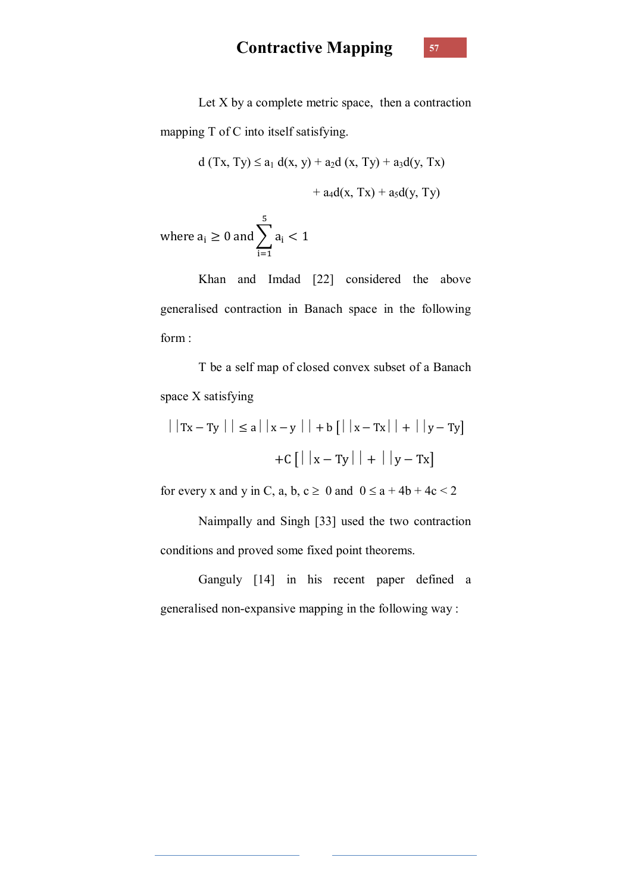Let  $X$  by a complete metric space, then a contraction mapping T of C into itself satisfying.

$$
d(Tx, Ty) \le a_1 d(x, y) + a_2 d(x, Ty) + a_3 d(y, Tx) + a_4 d(x, Tx) + a_5 d(y, Ty)
$$

where  $a_i \geq 0$  and  $\sum a_i < 1$ ହ  $i = 1$ 

Khan and Imdad [22] considered the above generalised contraction in Banach space in the following form :

T be a self map of closed convex subset of a Banach space X satisfying

$$
|\ |Tx - Ty \ | \ | \leq a \ | \ |x - y \ | \ | + b \ [ \ | \ |x - Tx \ | \ | + | \ |y - Ty \ |
$$

$$
+ C \ [ \ | \ |x - Ty \ | \ | + | \ |y - Tx \ ]
$$

for every x and y in C, a, b,  $c \ge 0$  and  $0 \le a + 4b + 4c < 2$ 

Naimpally and Singh [33] used the two contraction conditions and proved some fixed point theorems.

Ganguly [14] in his recent paper defined a generalised non-expansive mapping in the following way :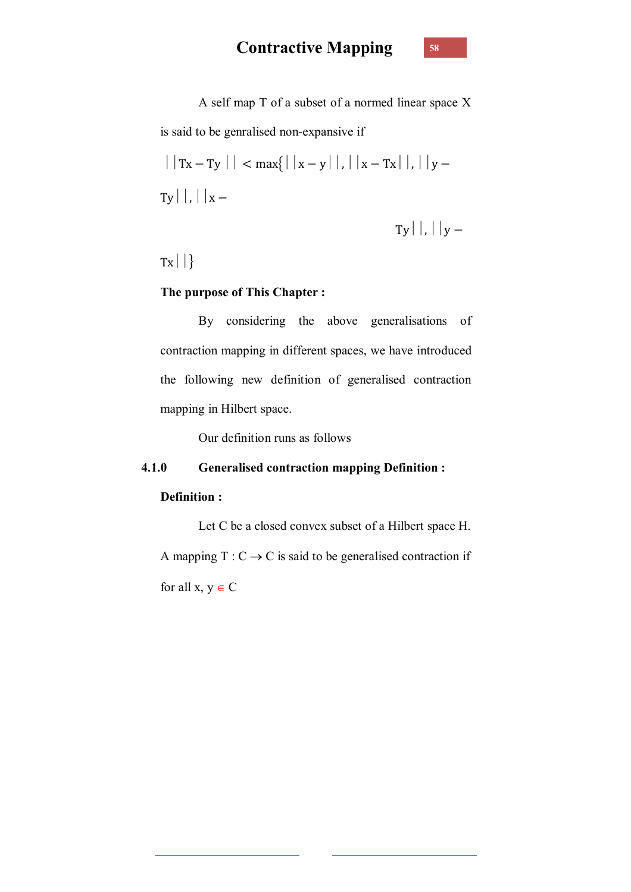A self map T of a subset of a normed linear space X is said to be genralised non-expansive if

$$
|Tx - Ty| < \max\{| |x - y| |, | |x - Tx| |, | |y - xy| |, | |x - y - xy| |, | |x - y - xy| |, | |x - y - xy| |, | |x - y - xy| |, | |x - y - xy| |, | |x - y - xy| |, | |x - y - xy| |, | |x - y - xy| |, | |x - y - xy| |, | |x - y - xy| |, | |x - y - xy| |, | |x - y - xy| |, | |x - y - xy| |, | |x - y - xy| |, | |x - y - xy| |, | |x - y - xy| |, | |x - y - xy| |, | |x - y - xy| |, | |x - y - xy| |, | |x - y - xy| |, | |x - y - xy| |, | |x - y - xy| |, | |x - y - xy| |, | |x - y - xy| |, | |x - y - xy| |, | |x - y - xy| |, | |x - y - xy| |, | |x - y - xy| |, | |x - y - xy| |, | |x - y - xy| |, | |x - y - xy| |, | |x - y - xy| |, | |x - y - xy| |, | |x - y - xy| |, | |x - y - xy| |, | |x - y - xy| |, | |x - y - xy| |, | |x - y - xy| |, | |x - y - xy| |, | |x - y - xy| |, | |x - y - xy| |, | |x - y - xy| |, | |x - y - xy| |, | |x - xy| |, | |x - xy| |, | |x - xy| |, | |x - xy| |, | |x - xy| |, | |x - xy| |, | |x - xy| |, | |x - xy| |, | |x - xy| |, | |x - xy| |, | |x - xy| |, | |x - xy| |, | |x - xy| |, | |x - xy| |, | |x - xy| |, | |x - xy| |, | |x - xy| |, | |x - xy| |, | |x - xy| |, | |x - xy| |, | |x - xy| |, | |x - xy| |, | |x - xy| |, | |x - xy| |, | |x - xy| |, | |x - xy| |, | |x - xy| |, | |x - xy| |, | |x - xy| |, | |x - xy| |, | |x - xy| |, | |x - xy| |, | |x - xy| |, | |x - xy| |, | |x - xy| |, | |x - xy| |, | |x - xy|
$$

 $Tx \mid \cdot$ 

## **The purpose of This Chapter :**

By considering the above generalisations of contraction mapping in different spaces, we have introduced the following new definition of generalised contraction mapping in Hilbert space.

Our definition runs as follows

## **4.1.0 Generalised contraction mapping Definition :**

## **Definition :**

Let C be a closed convex subset of a Hilbert space H. A mapping  $T : C \rightarrow C$  is said to be generalised contraction if for all  $x, y \in C$ 

 $Ty \mid |, |y -$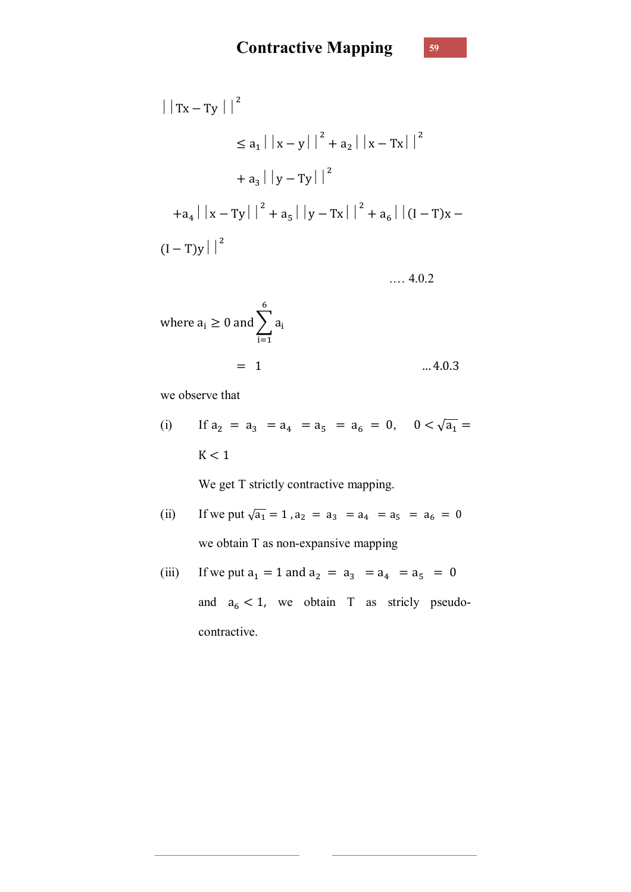$$
||Tx - Ty||2
$$
  
\n
$$
\leq a_1 ||x - y||2 + a_2 ||x - Tx||2
$$
  
\n
$$
+ a_3 ||y - Ty||2
$$
  
\n
$$
+ a_4 ||x - Ty||2 + a_5 ||y - Tx||2 + a_6 ||(I - T)x - (I - T)y||2
$$

.… 4.0.2

where a<sup>୧</sup> ≥ 0 anda<sup>୧</sup> ୧ୀଵ = 1 … 4.0.3

we observe that

(i) If  $a_2 = a_3 = a_4 = a_5 = a_6 = 0$ ,  $0 < \sqrt{a_1} =$  $\rm K < 1$ 

We get T strictly contractive mapping.

(ii) If we put 
$$
\sqrt{a_1} = 1
$$
,  $a_2 = a_3 = a_4 = a_5 = a_6 = 0$   
we obtain T as non-expansive mapping

(iii) If we put  $a_1 = 1$  and  $a_2 = a_3 = a_4 = a_5 = 0$ and  $a_6 < 1$ , we obtain T as stricly pseudocontractive.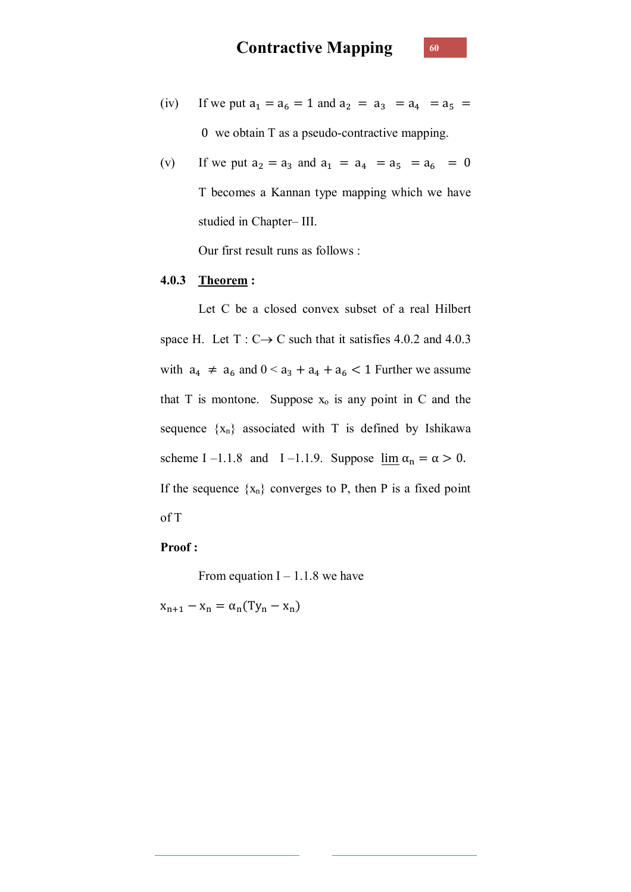(iv) If we put  $a_1 = a_6 = 1$  and  $a_2 = a_3 = a_4 = a_5 = a$ 

0 we obtain T as a pseudo-contractive mapping.

(v) If we put  $a_2 = a_3$  and  $a_1 = a_4 = a_5 = a_6 = 0$ T becomes a Kannan type mapping which we have studied in Chapter– III.

Our first result runs as follows :

## **4.0.3 Theorem :**

Let C be a closed convex subset of a real Hilbert space H. Let T :  $C \rightarrow C$  such that it satisfies 4.0.2 and 4.0.3 with  $a_4 \neq a_6$  and  $0 \leq a_3 + a_4 + a_6 \leq 1$  Further we assume that  $T$  is montone. Suppose  $x_0$  is any point in  $C$  and the sequence  $\{x_n\}$  associated with T is defined by Ishikawa scheme I –1.1.8 and I –1.1.9. Suppose  $\lim_{n \to \infty} \alpha_n = \alpha > 0$ . If the sequence  $\{x_n\}$  converges to P, then P is a fixed point of T

#### **Proof :**

From equation  $I - 1.1.8$  we have

 $x_{n+1} - x_n = \alpha_n(Ty_n - x_n)$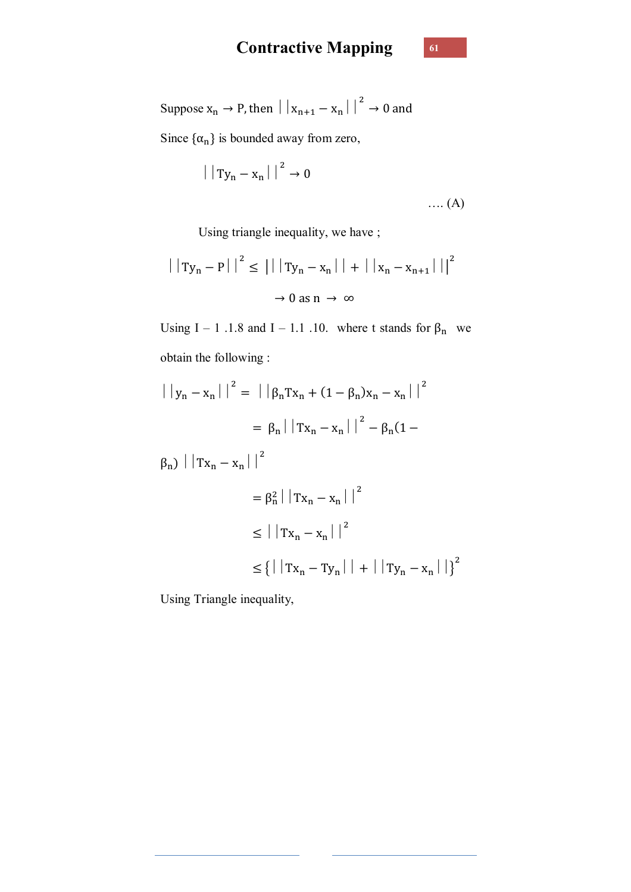Suppose  $x_n \to P$ , then  $\left| \begin{array}{c} |x_{n+1} - x_n| \end{array} \right|^2 \to 0$  and

Since  $\{\alpha_n\}$  is bounded away from zero,

$$
\left|\,\, \left|\, T y_n - x_n\,\right| \,\right|^{\,2} \to 0
$$

…. (A)

Using triangle inequality, we have ;

$$
||Ty_n - P||^2 \le |||Ty_n - x_n|| + ||x_n - x_{n+1}||^2
$$
  
 $\to 0 \text{ as } n \to \infty$ 

Using I – 1 .1.8 and I – 1.1 .10. where t stands for  $\beta_n$  we obtain the following :

$$
||y_{n} - x_{n}||^{2} = ||\beta_{n}Tx_{n} + (1 - \beta_{n})x_{n} - x_{n}||^{2}
$$
  

$$
= \beta_{n}||Tx_{n} - x_{n}||^{2} - \beta_{n}(1 - \beta_{n})||Tx_{n} - x_{n}||^{2}
$$
  

$$
= \beta_{n}^{2}||Tx_{n} - x_{n}||^{2}
$$
  

$$
\leq ||Tx_{n} - x_{n}||^{2}
$$
  

$$
\leq {||Tx_{n} - Ty_{n}|| + ||Ty_{n} - x_{n}||^{2}}
$$

Using Triangle inequality,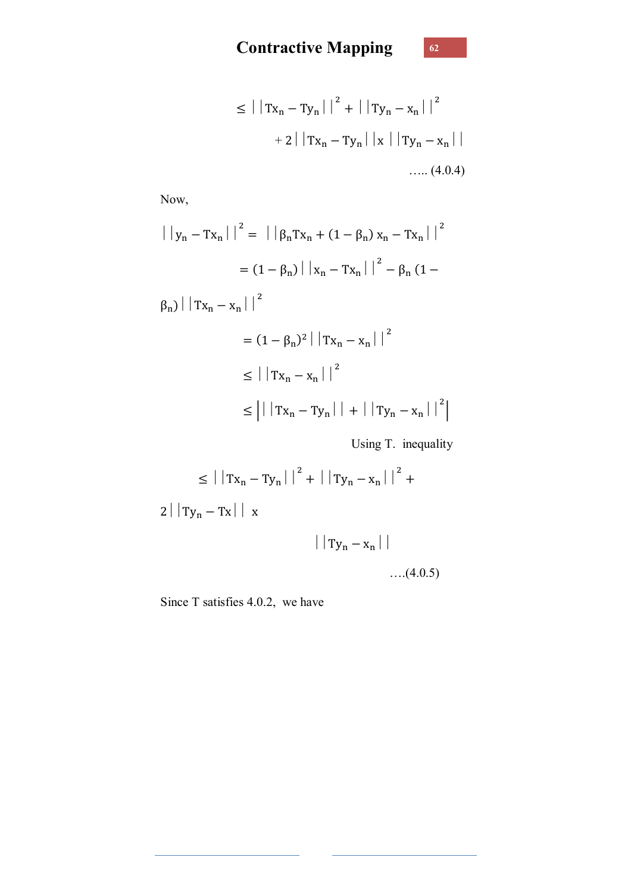$$
\leq ||Tx_{n} - Ty_{n}||^{2} + ||Ty_{n} - x_{n}||^{2}
$$

$$
+ 2||Tx_{n} - Ty_{n}||x||Ty_{n} - x_{n}||
$$

$$
\dots (4.0.4)
$$

Now,

$$
||y_{n} - Tx_{n}||^{2} = ||\beta_{n}Tx_{n} + (1 - \beta_{n})x_{n} - Tx_{n}||^{2}
$$
  

$$
= (1 - \beta_{n}) ||x_{n} - Tx_{n}||^{2} - \beta_{n} (1 - \beta_{n}) ||Tx_{n} - x_{n}||^{2}
$$
  

$$
= (1 - \beta_{n})^{2} ||Tx_{n} - x_{n}||^{2}
$$
  

$$
\le ||Tx_{n} - x_{n}||^{2}
$$
  

$$
\le ||Tx_{n} - Ty_{n}|| + ||Ty_{n} - x_{n}||^{2}
$$

Using T. inequality

$$
\leq ||Tx_{n} - Ty_{n}||^{2} + ||Ty_{n} - x_{n}||^{2} +
$$
  
2||Ty\_{n} - Tx|| x  
||Ty\_{n} - x\_{n}||

….(4.0.5)

Since T satisfies 4.0.2, we have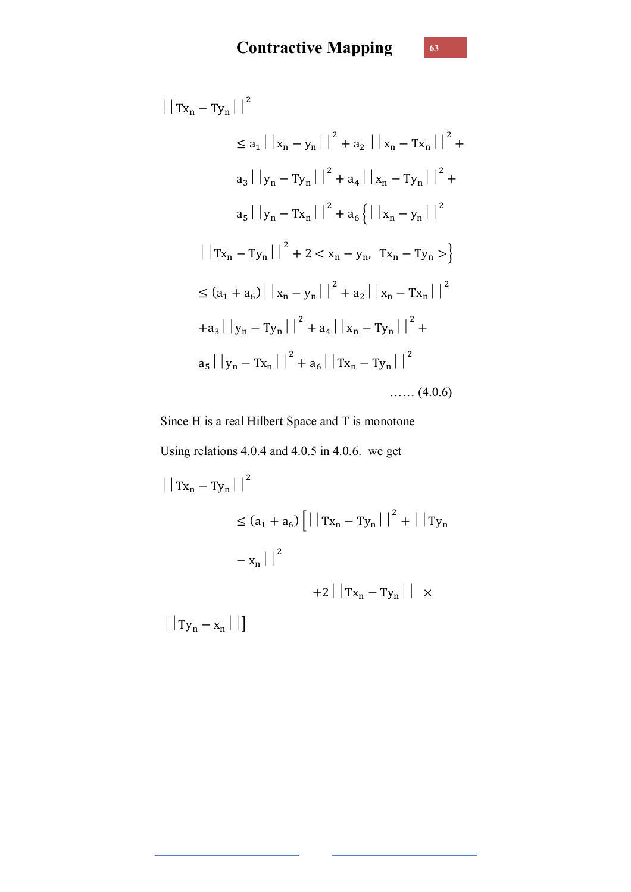$$
||Tx_{n} - Ty_{n}||^{2}
$$
  
\n
$$
\leq a_{1} ||x_{n} - y_{n}||^{2} + a_{2} ||x_{n} - Tx_{n}||^{2} + a_{3} ||y_{n} - Ty_{n}||^{2} + a_{4} ||x_{n} - Ty_{n}||^{2} + a_{5} ||y_{n} - Tx_{n}||^{2} + a_{6} (||x_{n} - y_{n}||^{2})
$$
  
\n
$$
||Tx_{n} - Ty_{n}||^{2} + 2 < x_{n} - y_{n}, Tx_{n} - Ty_{n} >\}
$$
  
\n
$$
\leq (a_{1} + a_{6}) ||x_{n} - y_{n}||^{2} + a_{2} ||x_{n} - Tx_{n}||^{2}
$$
  
\n
$$
+ a_{3} ||y_{n} - Ty_{n}||^{2} + a_{4} ||x_{n} - Ty_{n}||^{2} + a_{5} ||y_{n} - Tx_{n}||^{2}
$$
  
\n.... (4.0.6)

Since H is a real Hilbert Space and T is monotone Using relations 4.0.4 and 4.0.5 in 4.0.6. we get

$$
\begin{aligned} ||Tx_n - Ty_n||^2 &\le (a_1 + a_6) \left[ ||Tx_n - Ty_n||^2 + ||Ty_n|| \right] \\ &- x_n||^2 \\ &+ 2 ||Tx_n - Ty_n|| \times \\ ||Ty_n - x_n||] \end{aligned}
$$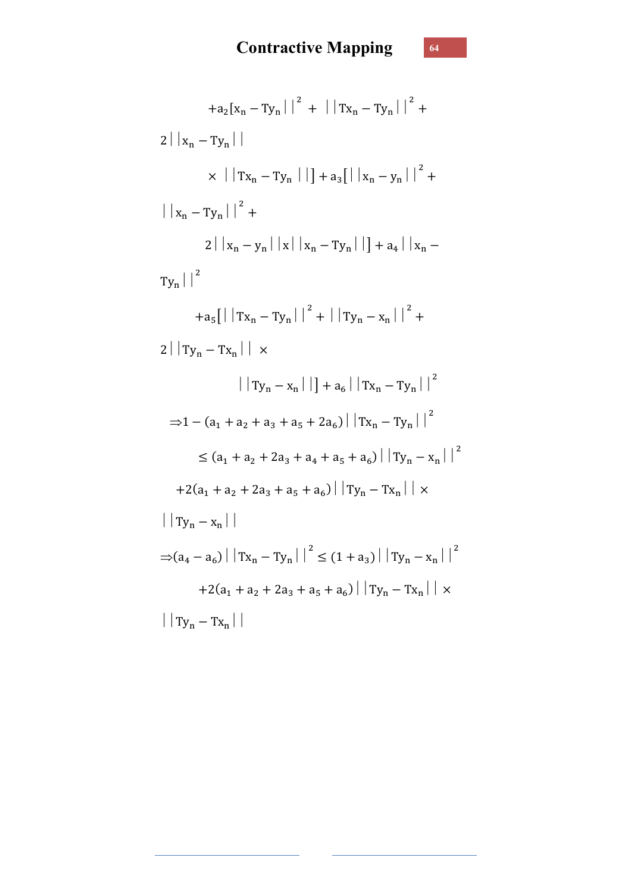$$
+a_{2}[x_{n}-Ty_{n}||^{2} + ||Tx_{n}-Ty_{n}||^{2} +
$$
\n
$$
2||x_{n}-Ty_{n}||
$$
\n
$$
\times ||Tx_{n}-Ty_{n}||^{2} +
$$
\n
$$
||x_{n}-Ty_{n}||^{2} +
$$
\n
$$
2||x_{n}-y_{n}||x||x_{n}-Ty_{n}||^{2} + a_{5}[||Tx_{n}-Ty_{n}||^{2} + a_{6}||Tx_{n}-Ty_{n}||^{2} +
$$
\n
$$
2||Ty_{n}-Tx_{n}|| \times
$$
\n
$$
||Ty_{n}-x_{n}||^{2} + a_{6}||Tx_{n}-Ty_{n}||^{2} +
$$
\n
$$
2||Ty_{n}-Tx_{n}|| \times
$$
\n
$$
||Ty_{n}-x_{n}||^{2} + a_{6}||Tx_{n}-Ty_{n}||^{2} +
$$
\n
$$
\Rightarrow 1 - (a_{1} + a_{2} + a_{3} + a_{5} + 2a_{6})||Tx_{n}-Ty_{n}||^{2} +
$$
\n
$$
\leq (a_{1} + a_{2} + 2a_{3} + a_{4} + a_{5} + a_{6})||Ty_{n}-x_{n}||^{2} +
$$
\n
$$
+2(a_{1} + a_{2} + 2a_{3} + a_{5} + a_{6})||Ty_{n}-Tx_{n}|| \times
$$
\n
$$
||Ty_{n}-x_{n}||
$$
\n
$$
\Rightarrow (a_{4} - a_{6})||Tx_{n}-Ty_{n}||^{2} \leq (1 + a_{3})||Ty_{n}-Tx_{n}||^{2} +
$$
\n
$$
+2(a_{1} + a_{2} + 2a_{3} + a_{5} + a_{6})||Ty_{n}-Tx_{n}|| \times
$$
\n
$$
||Ty_{n}-Tx_{n}||
$$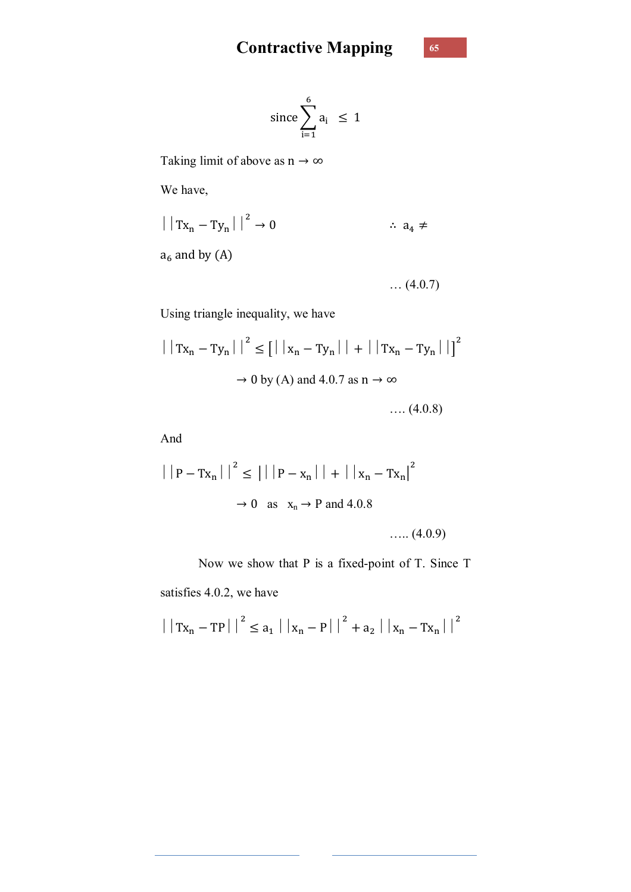$$
\text{since} \sum_{i=1}^6 a_i \ \leq \ 1
$$

Taking limit of above as  $n \to \infty$ 

We have,

$$
|\left|Tx_n - Ty_n\right||^2 \to 0 \qquad \therefore a_4 \neq
$$

 $a_6$  and by (A)

… (4.0.7)

Using triangle inequality, we have

$$
|\left|Tx_n - Ty_n\right| \mid^2 \leq [|\left|x_n - Ty_n\right|| + |\left|Tx_n - Ty_n\right||\right]^2
$$
  

$$
\to 0 \text{ by (A) and 4.0.7 as } n \to \infty
$$
  
.... (4.0.8)

And

$$
||P - Tx_n||^2 \le |||P - x_n|| + ||x_n - Tx_n||^2
$$
  
\n $\rightarrow 0$  as  $x_n \rightarrow P$  and 4.0.8  
\n...... (4.0.9)

Now we show that P is a fixed-point of T. Since T

satisfies 4.0.2, we have

$$
||Tx_n - TP||^2 \le a_1 ||x_n - P||^2 + a_2 ||x_n - Tx_n||^2
$$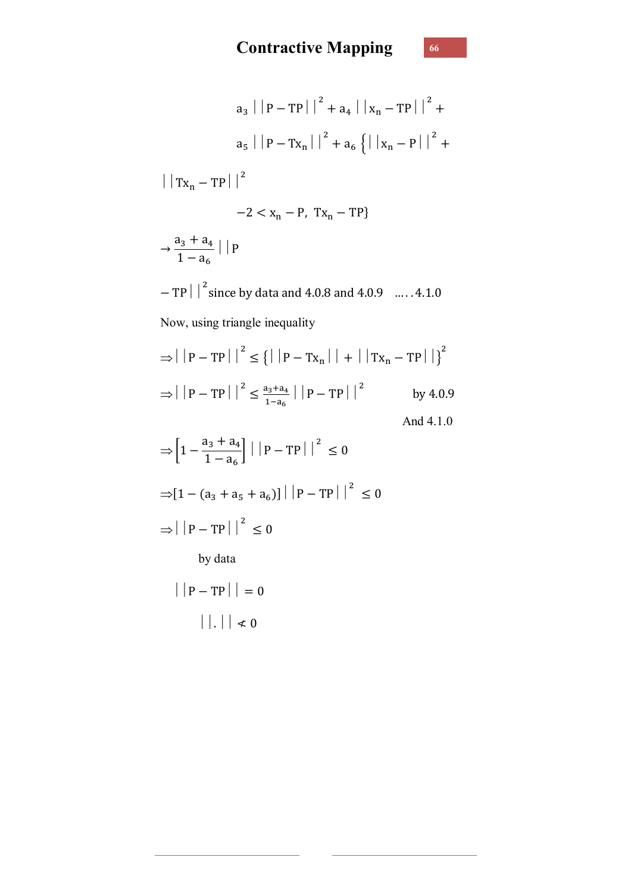$$
a_3 ||P - TP||^2 + a_4 ||x_n - TP||^2 +
$$
  
\n
$$
a_5 ||P - Tx_n||^2 + a_6 (||x_n - P||^2 +
$$
  
\n
$$
||Tx_n - TP||^2
$$
  
\n
$$
-2 < x_n - P, Tx_n - TP
$$
  
\n
$$
\rightarrow \frac{a_3 + a_4}{1 - a_6} ||P
$$
  
\n
$$
- TP||^2
$$
 since by data and 4.0.8 and 4.0.9 .... .4.1.0

Now, using triangle inequality

$$
\Rightarrow | |P - TP| |^2 \leq \{ | |P - Tx_n| | + | |Tx_n - TP| | \}^2
$$
  

$$
\Rightarrow | |P - TP| |^2 \leq \frac{a_3 + a_4}{1 - a_6} | |P - TP| |^2
$$
 by 4.0.9

And 4.1.0

$$
\Rightarrow \left[1 - \frac{a_3 + a_4}{1 - a_6}\right] |P - TP| \Big|^2 \le 0
$$
  

$$
\Rightarrow \left[1 - (a_3 + a_5 + a_6)\right] |P - TP| \Big|^2 \le 0
$$
  

$$
\Rightarrow |P - TP| \Big|^2 \le 0
$$
  
by data  

$$
||P - TP|| = 0
$$
  

$$
||.|| \ne 0
$$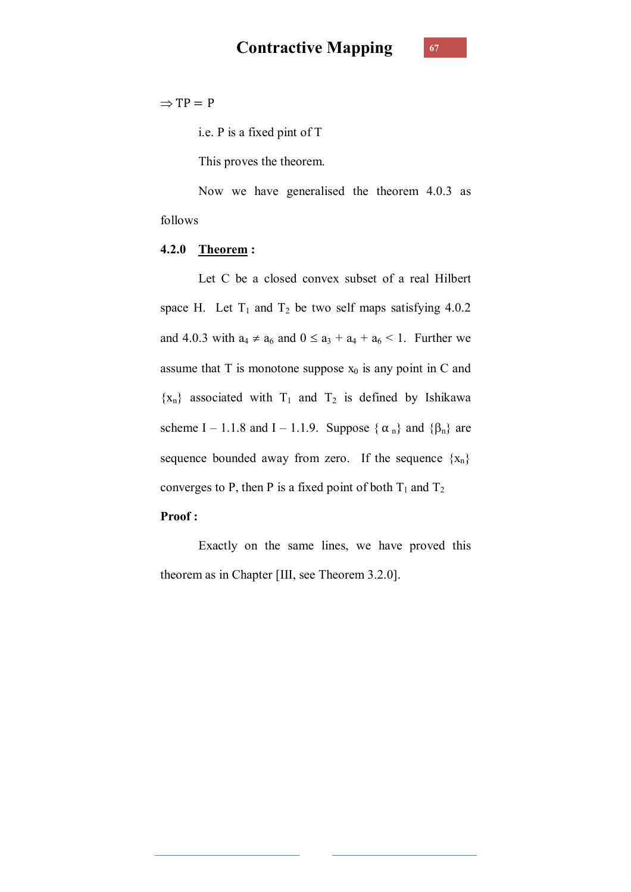$\Rightarrow$  TP = P

i.e. P is a fixed pint of T

This proves the theorem.

Now we have generalised the theorem 4.0.3 as follows

## **4.2.0 Theorem :**

Let C be a closed convex subset of a real Hilbert space H. Let  $T_1$  and  $T_2$  be two self maps satisfying 4.0.2 and 4.0.3 with  $a_4 \neq a_6$  and  $0 \leq a_3 + a_4 + a_6 < 1$ . Further we assume that  $T$  is monotone suppose  $x_0$  is any point in  $C$  and  ${x_n}$  associated with  $T_1$  and  $T_2$  is defined by Ishikawa scheme I – 1.1.8 and I – 1.1.9. Suppose  $\{\alpha_n\}$  and  $\{\beta_n\}$  are sequence bounded away from zero. If the sequence  $\{x_n\}$ converges to P, then P is a fixed point of both  $T_1$  and  $T_2$ 

## **Proof :**

Exactly on the same lines, we have proved this theorem as in Chapter [III, see Theorem 3.2.0].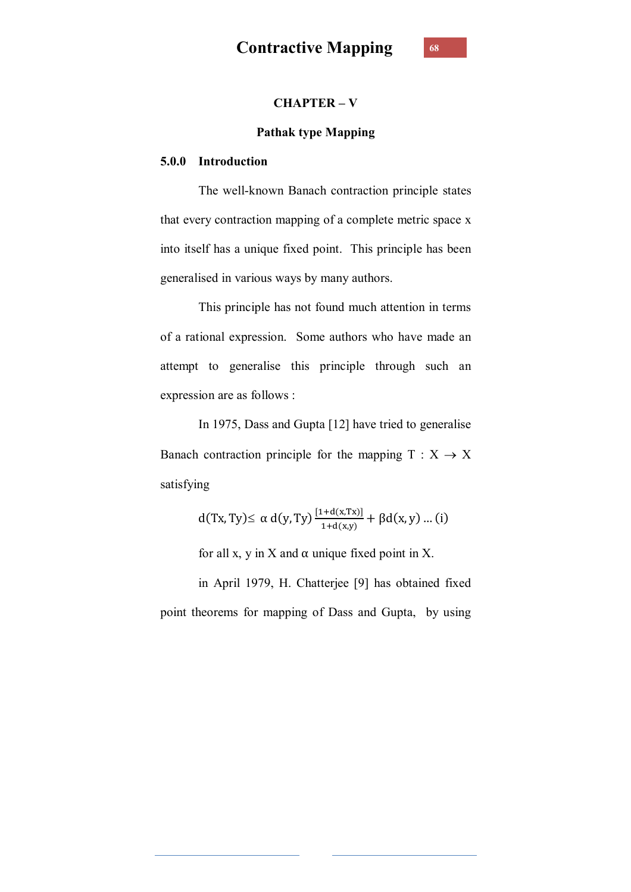## **CHAPTER – V**

## **Pathak type Mapping**

## **5.0.0 Introduction**

The well-known Banach contraction principle states that every contraction mapping of a complete metric space x into itself has a unique fixed point. This principle has been generalised in various ways by many authors.

This principle has not found much attention in terms of a rational expression. Some authors who have made an attempt to generalise this principle through such an expression are as follows :

In 1975, Dass and Gupta [12] have tried to generalise Banach contraction principle for the mapping  $T : X \rightarrow X$ satisfying

$$
d(Tx, Ty) \leq \alpha d(y, Ty) \frac{[1+d(x, Tx)]}{1+d(x,y)} + \beta d(x, y) ... (i)
$$

for all x, y in X and  $\alpha$  unique fixed point in X.

in April 1979, H. Chatterjee [9] has obtained fixed point theorems for mapping of Dass and Gupta, by using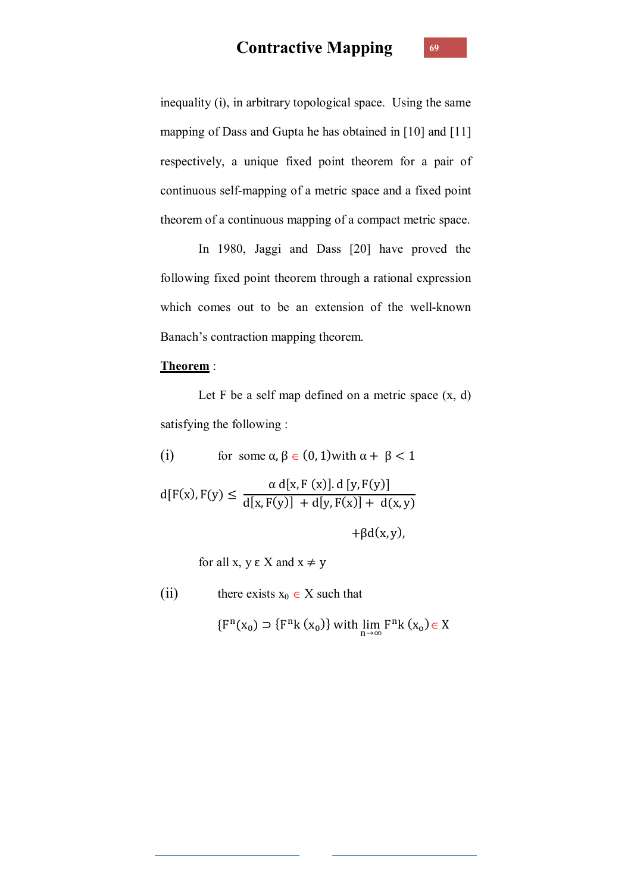inequality (i), in arbitrary topological space. Using the same mapping of Dass and Gupta he has obtained in [10] and [11] respectively, a unique fixed point theorem for a pair of continuous self-mapping of a metric space and a fixed point theorem of a continuous mapping of a compact metric space.

In 1980, Jaggi and Dass [20] have proved the following fixed point theorem through a rational expression which comes out to be an extension of the well-known Banach's contraction mapping theorem.

## **Theorem** :

Let F be a self map defined on a metric space  $(x, d)$ satisfying the following :

(i) for some 
$$
\alpha, \beta \in (0, 1)
$$
 with  $\alpha + \beta < 1$   
\n
$$
d[F(x), F(y) \le \frac{\alpha \, d[x, F(x)]. d[y, F(y)]}{d[x, F(y)] + d[y, F(x)] + d(x, y)}
$$

 $+\beta d(x, y)$ ,

for all x,  $y \in X$  and  $x \neq y$ 

(ii) there exists  $x_0 \in X$  such that

 ${F^n(x_0) \supset F^n k(x_0)}$  with  $\lim_{n \to \infty} F^n k(x_0) \in X$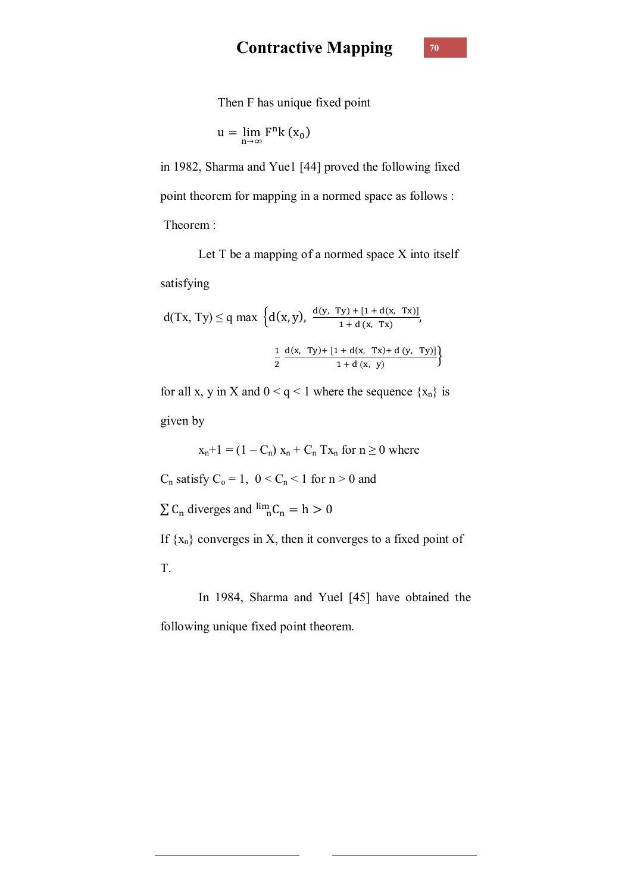Then F has unique fixed point

$$
u=\lim_{n\to\infty}F^{n}k\left(x_{0}\right)
$$

in 1982, Sharma and Yue1 [44] proved the following fixed point theorem for mapping in a normed space as follows : Theorem :

Let T be a mapping of a normed space X into itself satisfying

$$
d(Tx, Ty) \le q \max \left\{ d(x, y), \frac{d(y, Ty) + [1 + d(x, Tx)]}{1 + d(x, Tx)}, \frac{d(x, Ty) + [1 + d(x, Tx) + d(y, Ty)]}{1 + d(x, y)} \right\}
$$

for all x, y in X and  $0 < q < 1$  where the sequence  $\{x_n\}$  is given by

 $x_n+1 = (1 - C_n)x_n + C_n Tx_n$  for  $n \ge 0$  where  $C_n$  satisfy  $C_0 = 1$ ,  $0 < C_n < 1$  for  $n > 0$  and  $\sum C_n$  diverges and  $\lim_{n} C_n = h > 0$ If  $\{x_n\}$  converges in X, then it converges to a fixed point of T.

In 1984, Sharma and Yuel [45] have obtained the following unique fixed point theorem.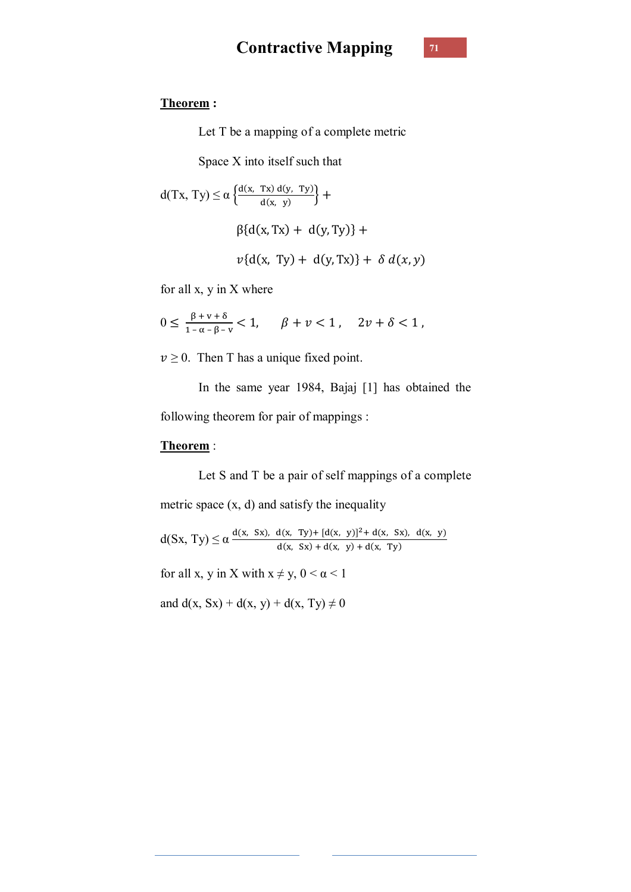## **Theorem :**

Let T be a mapping of a complete metric

Space X into itself such that

$$
d(Tx, Ty) \le \alpha \left\{ \frac{d(x, Tx) d(y, Ty)}{d(x, y)} \right\} +
$$
  
 
$$
\beta \{d(x, Tx) + d(y, Ty)\} +
$$
  
 
$$
v \{d(x, Ty) + d(y, Tx)\} + \delta d(x, y)
$$

for all x, y in X where

$$
0 \le \frac{\beta + \nu + \delta}{1 - \alpha - \beta - \nu} < 1, \quad \beta + \nu < 1, \quad 2\nu + \delta < 1
$$

 $v \ge 0$ . Then T has a unique fixed point.

In the same year 1984, Bajaj [1] has obtained the following theorem for pair of mappings :

## **Theorem** :

Let S and T be a pair of self mappings of a complete metric space  $(x, d)$  and satisfy the inequality

 $d(Sx, Ty) \le \alpha \frac{d(x, Sx), d(x, Ty) + [d(x, y)]^2 + d(x, Sx), d(x, y)}{d(x, Sx) + d(x, y) + d(x, Tx)}$  $d(x, Sx) + d(x, y) + d(x, Ty)$ 

for all x, y in X with  $x \neq y$ ,  $0 \leq \alpha \leq 1$ 

and  $d(x, Sx) + d(x, y) + d(x, Ty) \neq 0$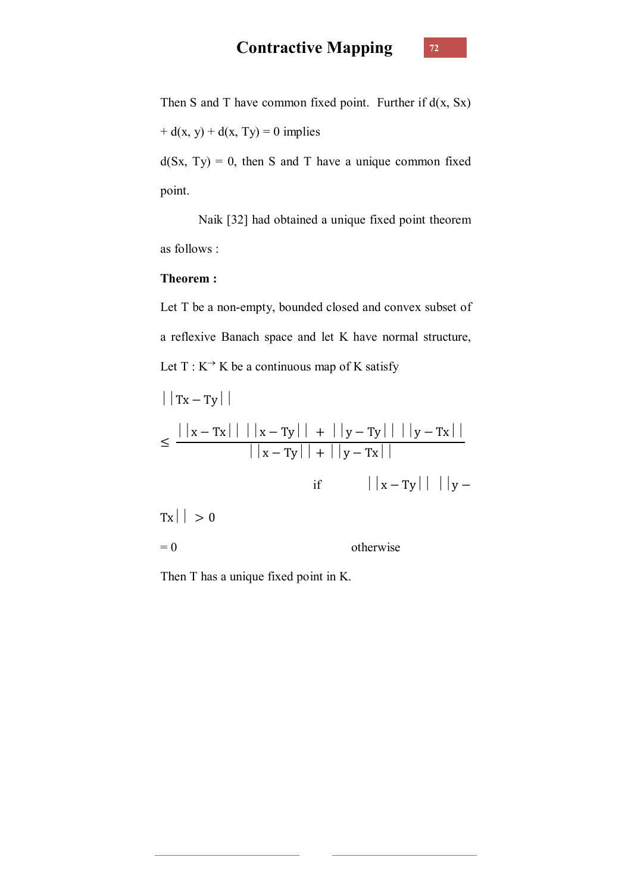Then S and T have common fixed point. Further if  $d(x, Sx)$ 

 $+ d(x, y) + d(x, Ty) = 0$  implies

 $d(Sx, Ty) = 0$ , then S and T have a unique common fixed point.

Naik [32] had obtained a unique fixed point theorem as follows :

## **Theorem :**

Let T be a non-empty, bounded closed and convex subset of a reflexive Banach space and let K have normal structure, Let  $T : K \rightarrow K$  be a continuous map of K satisfy

$$
||Tx - Ty||
$$
  
\n
$$
\leq \frac{||x - Tx|| ||x - Ty|| + ||y - Ty|| ||y - Tx||}{||x - Ty|| + ||y - Tx||}
$$
  
\nif  $||x - Ty|| ||y - Tx||$   
\nif  $||x - Ty|| ||y - xy|| ||y - xy||$ 

Then T has a unique fixed point in K.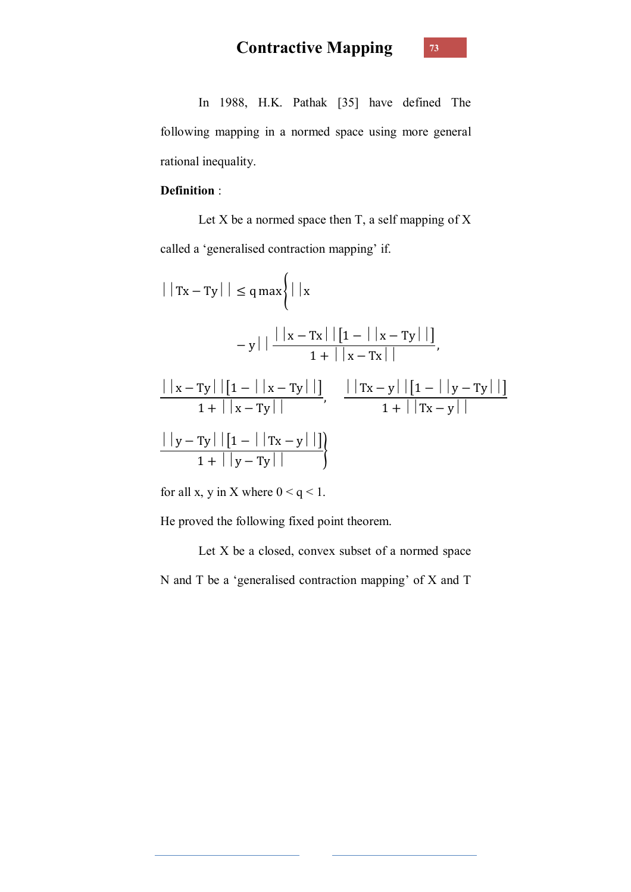In 1988, H.K. Pathak [35] have defined The following mapping in a normed space using more general rational inequality.

#### **Definition** :

Let  $X$  be a normed space then  $T$ , a self mapping of  $X$ called a 'generalised contraction mapping' if.

$$
|\left|Tx - Ty\right| | \le q \max \left\{ \left| \left| x \right. \right. \\ \left| \left| \left| \left| x - Tx \right| \right| \left| \left[ 1 - \left| \left| x - Ty \right| \right| \right] \right. \right\} \right\}
$$
\n
$$
= y \left| \left| \left| \left| \left| x - Ty \right| \right| \left| \left[ 1 - \left| \left| x - Ty \right| \right| \right] \right. \right\}
$$
\n
$$
\frac{||\left| x - Ty \right| \left| \left[ 1 - \left| \left| x - Ty \right| \right| \right|}{1 + ||\left| x - Ty \right|} \right|}{1 + ||\left| Tx - y \right| ||}
$$
\n
$$
\frac{||\left| y - Ty \right| \left| \left[ 1 - \left| \left| Tx - y \right| \right| \right|}{1 + ||\left| y - Ty \right|} \right|}{1 + ||\left| y - Ty \right| ||}
$$

for all x, y in X where  $0 < q < 1$ .

He proved the following fixed point theorem.

Let X be a closed, convex subset of a normed space N and T be a 'generalised contraction mapping' of X and T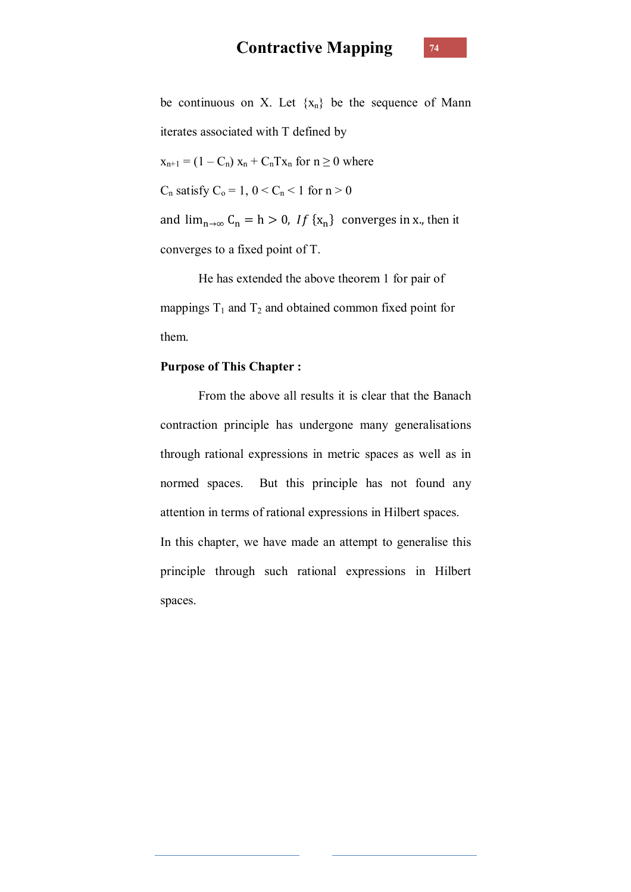be continuous on X. Let  $\{x_n\}$  be the sequence of Mann iterates associated with T defined by  $x_{n+1} = (1 - C_n)x_n + C_nTx_n$  for  $n \ge 0$  where  $C_n$  satisfy  $C_0 = 1$ ,  $0 < C_n < 1$  for  $n > 0$ 

and  $\lim_{n\to\infty} C_n = h > 0$ , If  $\{x_n\}$  converges in x., then it converges to a fixed point of T.

He has extended the above theorem 1 for pair of mappings  $T_1$  and  $T_2$  and obtained common fixed point for them.

#### **Purpose of This Chapter :**

From the above all results it is clear that the Banach contraction principle has undergone many generalisations through rational expressions in metric spaces as well as in normed spaces. But this principle has not found any attention in terms of rational expressions in Hilbert spaces. In this chapter, we have made an attempt to generalise this principle through such rational expressions in Hilbert spaces.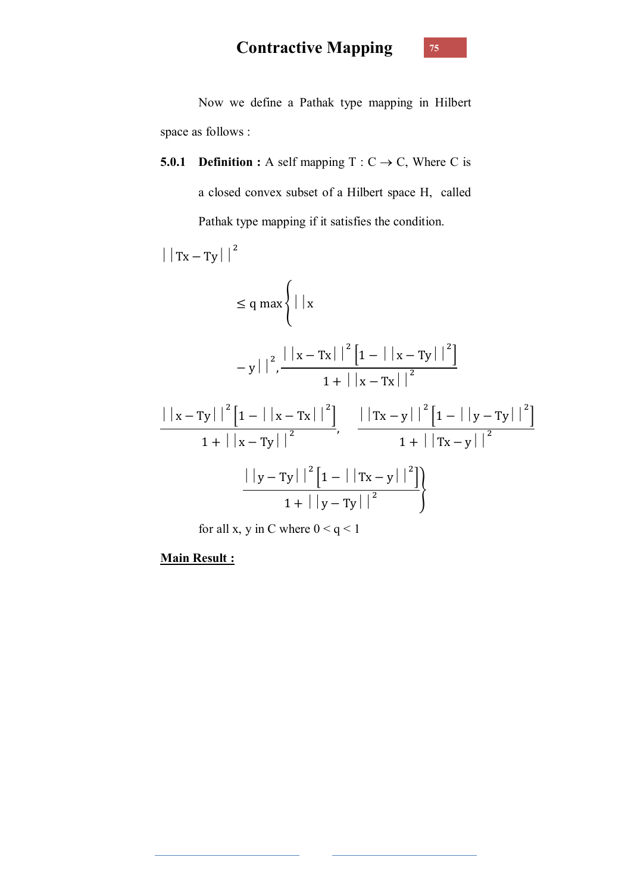Now we define a Pathak type mapping in Hilbert space as follows :

**5.0.1 Definition :** A self mapping  $T : C \rightarrow C$ , Where C is a closed convex subset of a Hilbert space H, called Pathak type mapping if it satisfies the condition.

$$
\begin{aligned}\n &||\mathbf{T} \mathbf{x} - \mathbf{T} \mathbf{y}||^{2} \\
&\leq q \max \left\{ ||\mathbf{x} - \mathbf{T} \mathbf{x}||^{2} \left[1 - ||\mathbf{x} - \mathbf{T} \mathbf{y}||^{2} \right] - \mathbf{y}||^{2}, \frac{||\mathbf{x} - \mathbf{T} \mathbf{x}||^{2} \left[1 - ||\mathbf{x} - \mathbf{T} \mathbf{y}||^{2}\right]}{1 + ||\mathbf{x} - \mathbf{T} \mathbf{x}||^{2}} \right\} \\
&\frac{||\mathbf{x} - \mathbf{T} \mathbf{y}||^{2} \left[1 - ||\mathbf{x} - \mathbf{T} \mathbf{x}||^{2} \right]}{1 + ||\mathbf{x} - \mathbf{T} \mathbf{y}||^{2}}, \quad \frac{||\mathbf{T} \mathbf{x} - \mathbf{y}||^{2} \left[1 - ||\mathbf{y} - \mathbf{T} \mathbf{y}||^{2} \right]}{1 + ||\mathbf{T} \mathbf{x} - \mathbf{y}||^{2}} \\
&\frac{||\mathbf{y} - \mathbf{T} \mathbf{y}||^{2} \left[1 - ||\mathbf{T} \mathbf{x} - \mathbf{y}||^{2} \right]}{1 + ||\mathbf{y} - \mathbf{T} \mathbf{y}||^{2}}\n \end{aligned}
$$

for all x, y in C where  $0 < q < 1$ 

#### **Main Result :**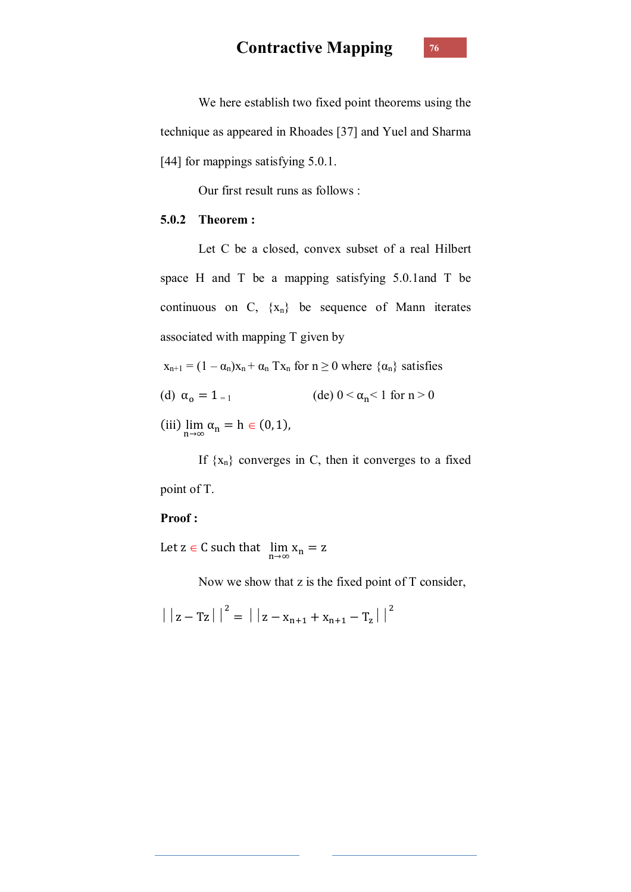We here establish two fixed point theorems using the technique as appeared in Rhoades [37] and Yuel and Sharma [44] for mappings satisfying 5.0.1.

Our first result runs as follows :

#### **5.0.2 Theorem :**

Let C be a closed, convex subset of a real Hilbert space H and T be a mapping satisfying 5.0.1and T be continuous on C,  $\{x_n\}$  be sequence of Mann iterates associated with mapping T given by

- $x_{n+1} = (1 \alpha_n)x_n + \alpha_n Tx_n$  for  $n \ge 0$  where  $\{\alpha_n\}$  satisfies
- (d)  $\alpha_0 = 1_{-1}$  (de)  $0 < \alpha_n < 1$  for  $n > 0$

(iii)  $\lim_{n \to \infty} \alpha_n = h \in (0, 1)$ ,

If  $\{x_n\}$  converges in C, then it converges to a fixed point of T.

#### **Proof :**

Let  $z \in C$  such that  $\lim_{n \to \infty} x_n = z$ 

Now we show that z is the fixed point of T consider,

$$
\left| \ \left| \ z - T z \right| \ \right|^2 = \ \left| \ \left| \ z - x_{n+1} + x_{n+1} - T_z \right| \ \right|^2
$$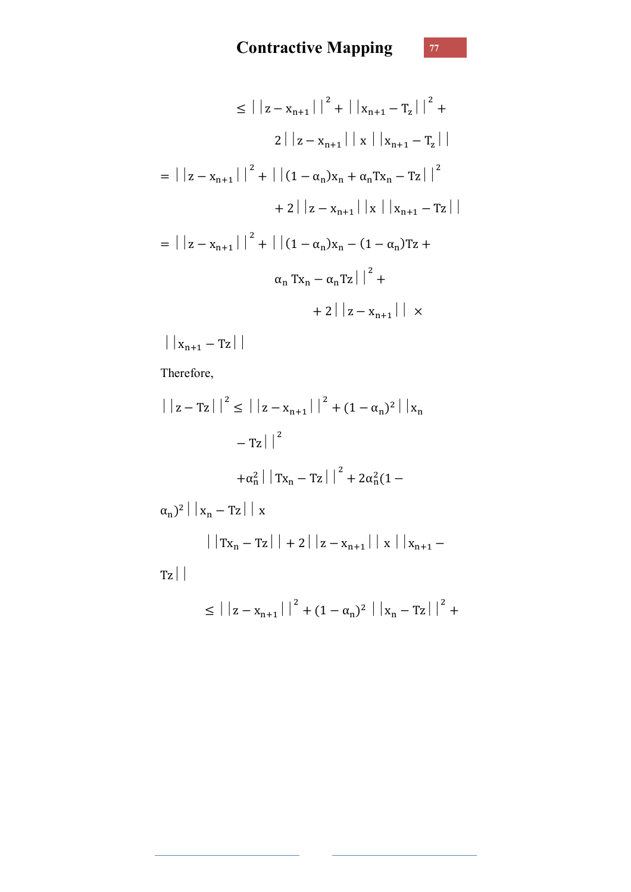$$
\leq ||z - x_{n+1}||^{2} + ||x_{n+1} - T_{z}||^{2} +
$$
\n
$$
2||z - x_{n+1}||x||x_{n+1} - T_{z}||
$$
\n
$$
= ||z - x_{n+1}||^{2} + ||(1 - \alpha_{n})x_{n} + \alpha_{n}Tx_{n} - T_{z}||^{2}
$$
\n
$$
+ 2||z - x_{n+1}||x||x_{n+1} - T_{z}||
$$
\n
$$
= ||z - x_{n+1}||^{2} + ||(1 - \alpha_{n})x_{n} - (1 - \alpha_{n})T_{z} +
$$
\n
$$
\alpha_{n}Tx_{n} - \alpha_{n}T_{z}||^{2} +
$$
\n
$$
+ 2||z - x_{n+1}|| \times
$$

Therefore,

$$
\left| \left| z - Tz \right| \right|^2 \le \left| \left| z - x_{n+1} \right| \right|^2 + (1 - \alpha_n)^2 \left| \left| x_n \right|
$$
  

$$
- Tz \right| \right|^2
$$
  

$$
+ \alpha_n^2 \left| \left| Tx_n - Tz \right| \right|^2 + 2\alpha_n^2 (1 - \alpha_n)^2 \left| \left| x_n - Tz \right| \right| x
$$
  

$$
\left| \left| Tx_n - Tz \right| \right| + 2 \left| \left| z - x_{n+1} \right| \right| x \left| \left| x_{n+1} - Tz \right| \right|
$$
  

$$
Tz \right| \left|
$$

$$
\leq
$$
  $||z - x_{n+1}||^2 + (1 - \alpha_n)^2 ||x_n - Tz||^2$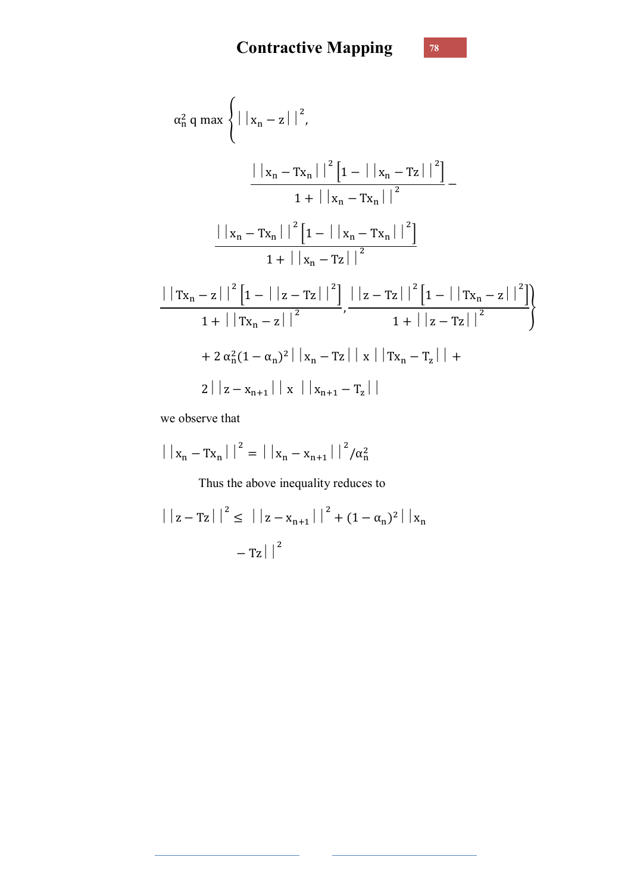$$
\alpha_{n}^{2} q \max \left\{ \left| \left| x_{n} - z \right| \right|^{2}, \right. \\ \left. \frac{\left| \left| x_{n} - Tx_{n} \right| \right|^{2} \left[ 1 - \left| \left| x_{n} - Tz \right| \right|^{2} \right]}{1 + \left| \left| x_{n} - Tx_{n} \right| \right|^{2}} - \\ \frac{\left| \left| x_{n} - Tx_{n} \right| \right|^{2} \left[ 1 - \left| \left| x_{n} - Tx_{n} \right| \right|^{2} \right]}{1 + \left| \left| x_{n} - Tz \right| \right|^{2}} \right] \\ \frac{\left| \left| Tx_{n} - z \right| \right|^{2} \left[ 1 - \left| \left| z - Tz \right| \right|^{2} \right]}{1 + \left| \left| Tx_{n} - z \right| \right|^{2} \left[ 1 - \left| \left| Tx_{n} - z \right| \right|^{2} \right]} + 2 \alpha_{n}^{2} (1 - \alpha_{n})^{2} \left| \left| x_{n} - Tz \right| \right| x \left| \left| Tx_{n} - Tz \right| \right| + \\ 2 \left| \left| z - x_{n+1} \right| \right| x \left| \left| x_{n+1} - Tz \right| \right|
$$

we observe that

$$
|\left| x_{n} - Tx_{n} \right| |^{2} = |\left| x_{n} - x_{n+1} \right| |^{2} / \alpha_{n}^{2}
$$

Thus the above inequality reduces to

$$
||z - Tz||^2 \le ||z - x_{n+1}||^2 + (1 - \alpha_n)^2||x_n - Tz||^2
$$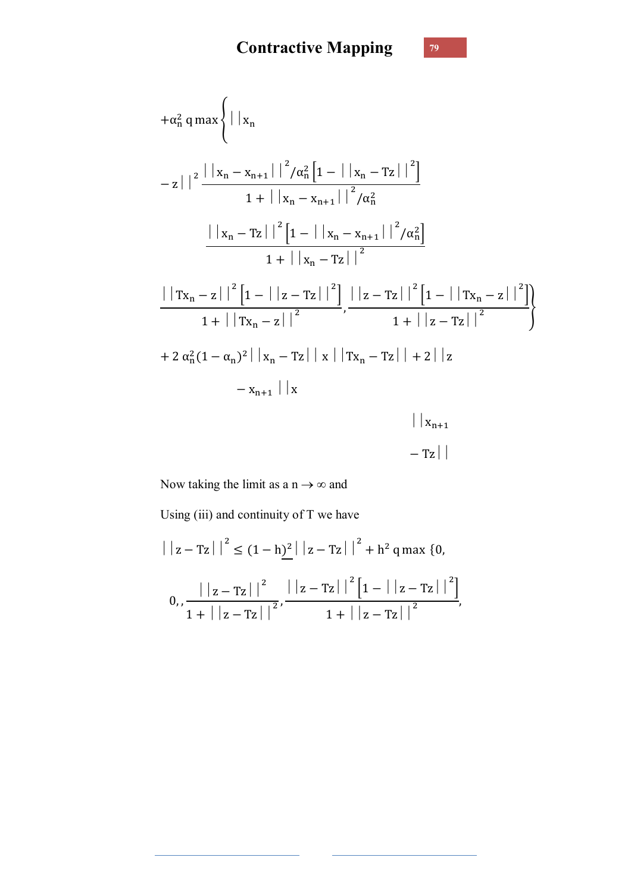$$
+ \alpha_n^2 q \max \Biggl\{ \Bigl||x_n - x_{n+1}||^2 / \alpha_n^2 \Bigl[1 - ||x_n - Tz||^2 \Bigr] - z \Bigl||^2 \frac{||x_n - x_{n+1}||^2 / \alpha_n^2 \Bigl[1 - ||x_n - Tz||^2 \Bigr]}{1 + ||x_n - x_{n+1}||^2 / \alpha_n^2} \frac{||x_n - Tz||^2 \Bigl[1 - ||x_n - x_{n+1}||^2 / \alpha_n^2 \Bigr]}{1 + ||x_n - Tz||^2} \frac{||Tx_n - z||^2 \Bigl[1 - ||z - Tz||^2 \Bigr] \Bigl||z - Tz||^2 \Bigl[1 - ||Tx_n - z||^2 \Bigr]}{1 + ||z - Tz||^2} + 2 \alpha_n^2 (1 - \alpha_n)^2 ||x_n - Tz|| |x|| |Tx_n - Tz|| + 2 ||z| - x_{n+1} ||x \Bigl||x_{n+1} - Tz|| \Biggr\}
$$

Now taking the limit as a n  $\rightarrow \infty$  and

Using (iii) and continuity of T we have

$$
\left| \left| z - Tz \right| \right|^2 \le (1 - h)^2 \left| \left| z - Tz \right| \right|^2 + h^2 \text{ q max } \{0,
$$
  

$$
0, \frac{\left| \left| z - Tz \right| \right|^2}{1 + \left| \left| z - Tz \right| \right|^2}, \frac{\left| \left| z - Tz \right| \right|^2 \left[ 1 - \left| \left| z - Tz \right| \right|^2 \right]}{1 + \left| \left| z - Tz \right| \right|^2},
$$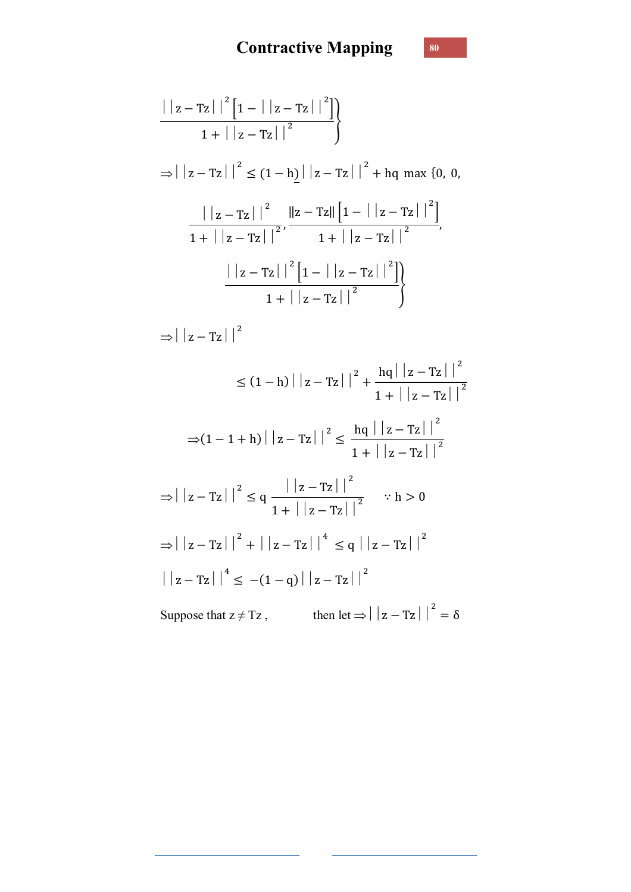$$
\frac{||z - Tz||^2 \left[1 - ||z - Tz||^2\right]}{1 + ||z - Tz||^2} \approx (1 - h)\left||z - Tz||^2 + hq \max \{0, 0\},\right|
$$
  
\n
$$
\frac{||z - Tz||^2 \le (1 - h)\left||z - Tz||^2 + hq \max \{0, 0\},\right|}{1 + ||z - Tz||^2}, \frac{||z - Tz||^2 \left[1 - ||z - Tz||^2\right]}{1 + ||z - Tz||^2}, \frac{||z - Tz||^2 \left[1 - ||z - Tz||^2\right]}{1 + ||z - Tz||^2} \approx ||z - Tz||^2
$$
  
\n
$$
\Rightarrow ||z - Tz||^2
$$
  
\n
$$
\le (1 - h)||z - Tz||^2 + \frac{hq ||z - Tz||^2}{1 + ||z - Tz||^2}
$$
  
\n
$$
\Rightarrow (1 - 1 + h)||z - Tz||^2 \le \frac{hq ||z - Tz||^2}{1 + ||z - Tz||^2}
$$
  
\n
$$
\Rightarrow ||z - Tz||^2 \le q \frac{||z - Tz||^2}{1 + ||z - Tz||^2} \therefore h > 0
$$
  
\n
$$
\Rightarrow ||z - Tz||^2 + ||z - Tz||^2 \le q ||z - Tz||^2
$$
  
\n
$$
||z - Tz||^2 + ||z - Tz||^2 \le q ||z - Tz||^2
$$
  
\n
$$
||z - Tz||^4 \le -(1 - q)||z - Tz||^2
$$
  
\nSuppose that  $z \neq Tz$ , then let  $\Rightarrow ||z - Tz||^2 = \delta$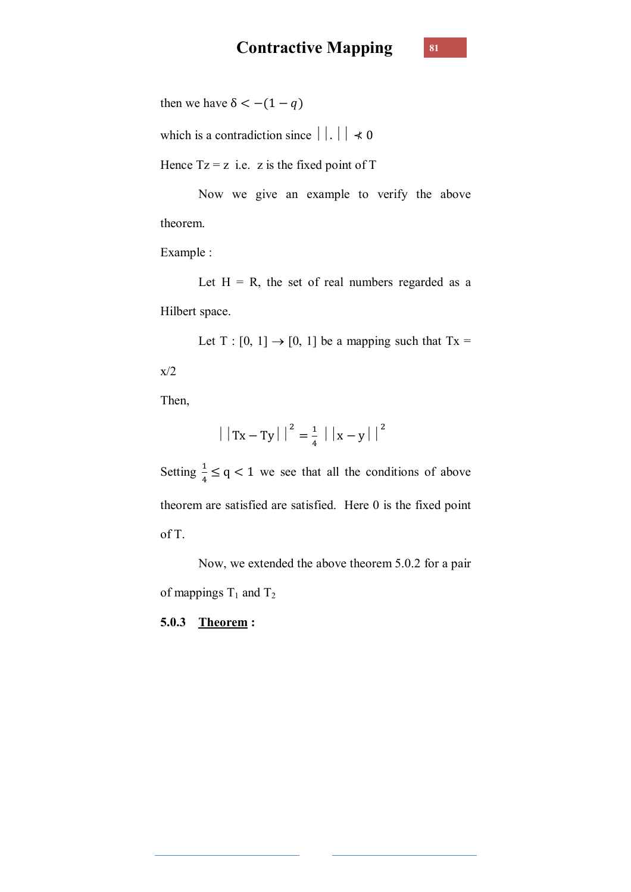then we have  $\delta < -(1-q)$ 

which is a contradiction since  $||.|| \neq 0$ 

Hence  $Tz = z$  i.e. z is the fixed point of T

Now we give an example to verify the above theorem.

Example :

Let  $H = R$ , the set of real numbers regarded as a Hilbert space.

Let T :  $[0, 1] \rightarrow [0, 1]$  be a mapping such that Tx = x/2

Then,

$$
||Tx - Ty||^2 = \frac{1}{4} ||x - y||^2
$$

Setting  $\frac{1}{4} \le q < 1$  we see that all the conditions of above theorem are satisfied are satisfied. Here 0 is the fixed point of T.

Now, we extended the above theorem 5.0.2 for a pair of mappings  $T_1$  and  $T_2$ 

#### **5.0.3 Theorem :**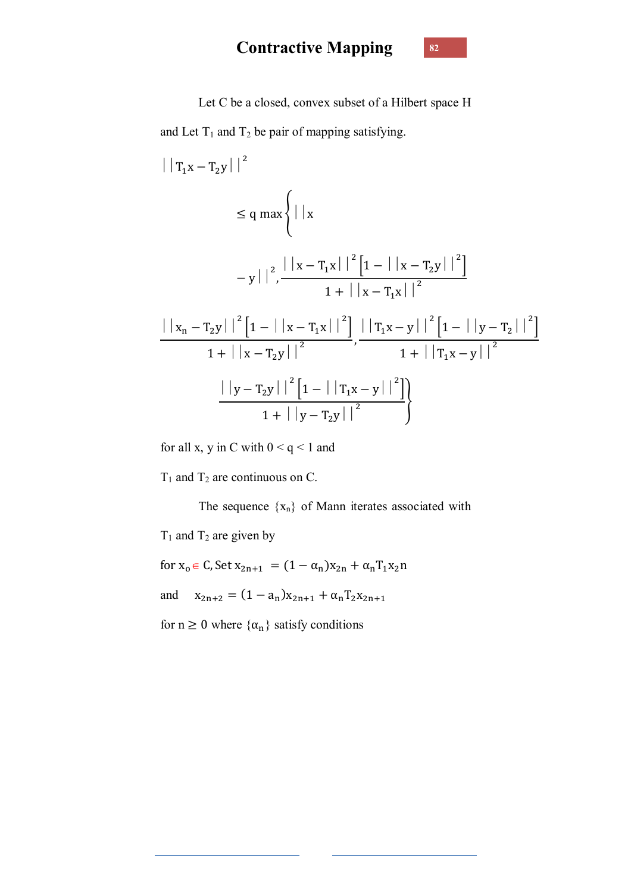Let C be a closed, convex subset of a Hilbert space H

and Let  $T_1$  and  $T_2$  be pair of mapping satisfying.

$$
||T_{1}x - T_{2}y||^{2}
$$
  
\n
$$
\leq q \max \left\{ ||x - T_{1}x||^{2} [1 - ||x - T_{2}y||^{2}] - y ||^{2}, \frac{||x - T_{1}x||^{2} [1 - ||x - T_{1}y||^{2}]}{1 + ||x - T_{1}x||^{2}} \right\}
$$
  
\n
$$
\frac{||x_{n} - T_{2}y||^{2} [1 - ||x - T_{1}x||^{2} |1 - ||T_{1}x - y||^{2} [1 - ||y - T_{2}||^{2}]}{1 + ||x - T_{2}y||^{2}}, \frac{||T_{1}x - y||^{2} [1 - ||y - T_{2}||^{2}]}{1 + ||T_{1}x - y||^{2}} \right\}
$$

for all x, y in C with  $0 < q < 1$  and

 $T_1$  and  $T_2$  are continuous on C.

The sequence  $\{x_n\}$  of Mann iterates associated with

 $T_1$  and  $T_2$  are given by

for  $x_0 \in C$ , Set  $x_{2n+1} = (1 - \alpha_n)x_{2n} + \alpha_n T_1 x_2 n$ 

and  $x_{2n+2} = (1 - a_n)x_{2n+1} + \alpha_n T_2 x_{2n+1}$ 

for  $n \geq 0$  where  $\{\alpha_n\}$  satisfy conditions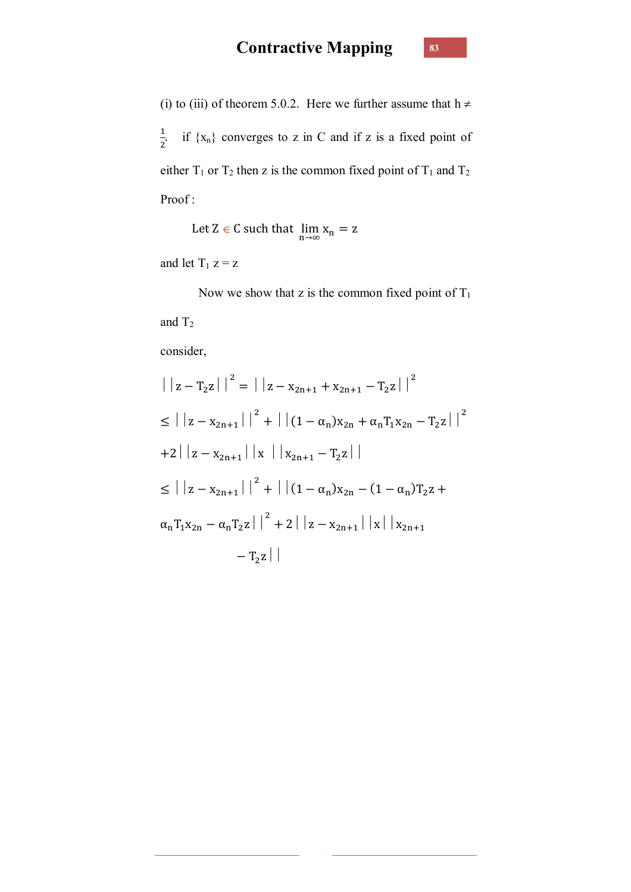(i) to (iii) of theorem 5.0.2. Here we further assume that  $h \neq$  $\mathbf 1$  $\frac{1}{2}$ . if  $\{x_n\}$  converges to z in C and if z is a fixed point of either  $T_1$  or  $T_2$  then z is the common fixed point of  $T_1$  and  $T_2$ Proof :

Let  $Z \in C$  such that  $\lim_{n \to \infty} x_n = z$ 

and let  $T_1 z = z$ 

Now we show that z is the common fixed point of  $T_1$ and  $T_2$ 

consider,

$$
||z - T_2z||^2 = ||z - x_{2n+1} + x_{2n+1} - T_2z||^2
$$
  
\n
$$
\leq ||z - x_{2n+1}||^2 + ||(1 - \alpha_n)x_{2n} + \alpha_n T_1x_{2n} - T_2z||^2
$$
  
\n+2||z - x\_{2n+1}||x ||x\_{2n+1} - T\_2z||  
\n
$$
\leq ||z - x_{2n+1}||^2 + ||(1 - \alpha_n)x_{2n} - (1 - \alpha_n)T_2z + \alpha_n T_1x_{2n} - \alpha_n T_2z||^2 + 2||z - x_{2n+1}||x||_{X_{2n+1}}
$$
  
\n
$$
-T_2z||
$$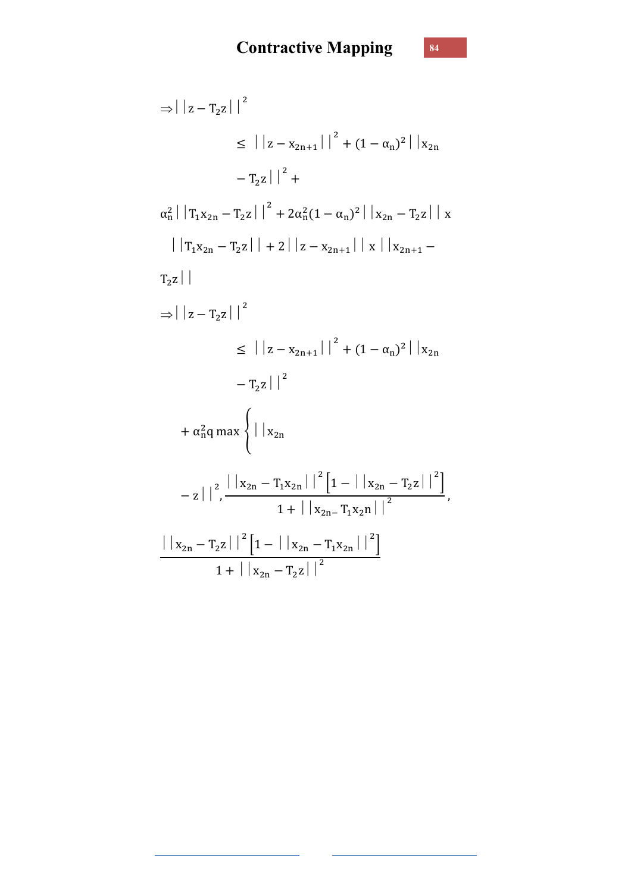$$
\Rightarrow ||z - T_{2}z||^{2}
$$
\n
$$
\leq ||z - x_{2n+1}||^{2} + (1 - \alpha_{n})^{2} ||x_{2n} - T_{2}z||^{2} +
$$
\n
$$
\alpha_{n}^{2} ||T_{1}x_{2n} - T_{2}z||^{2} + 2\alpha_{n}^{2}(1 - \alpha_{n})^{2} ||x_{2n} - T_{2}z|| x
$$
\n
$$
||T_{1}x_{2n} - T_{2}z|| + 2||z - x_{2n+1}||x||_{x_{2n+1}} -
$$
\n
$$
T_{2}z||
$$
\n
$$
\Rightarrow ||z - T_{2}z||^{2}
$$
\n
$$
\leq ||z - x_{2n+1}||^{2} + (1 - \alpha_{n})^{2} ||x_{2n} - T_{2}z||^{2}
$$
\n
$$
+ \alpha_{n}^{2}q \max \left\{ ||x_{2n} - T_{1}x_{2n}||^{2} [1 - ||x_{2n} - T_{2}z||^{2} \right\},
$$
\n
$$
- |z||^{2} + |x_{2n} - T_{1}x_{2n}||^{2} [1 - ||x_{2n} - T_{1}z_{2n}||^{2} \right\},
$$
\n
$$
||x_{2n} - T_{2}z||^{2} [1 - ||x_{2n} - T_{1}x_{2n}||^{2} \right\}
$$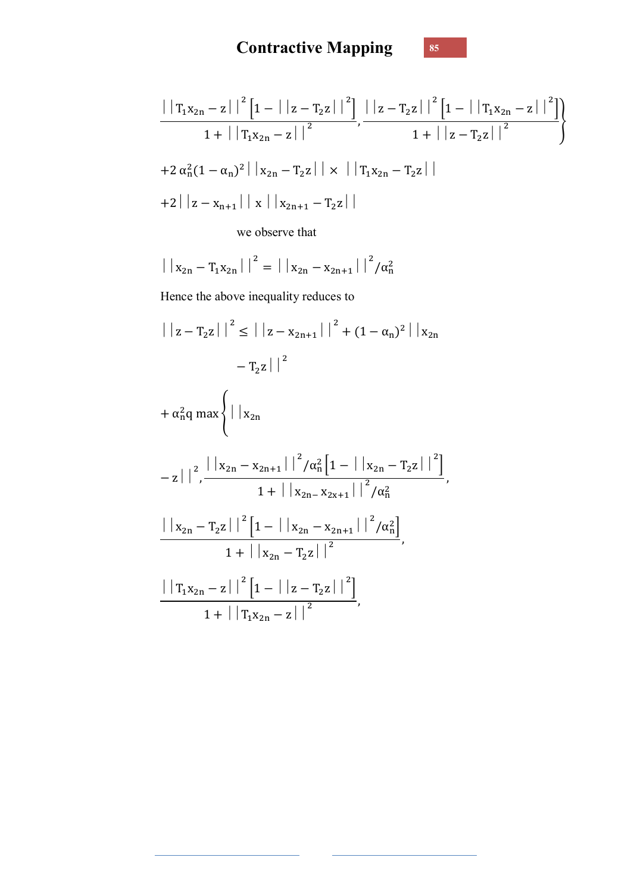$$
\frac{||T_{1}x_{2n} - z||^{2}[1 - ||z - T_{2}z||^{2}]}{1 + ||T_{1}x_{2n} - z||^{2}}, \frac{||z - T_{2}z||^{2}[1 - ||T_{1}x_{2n} - z||^{2}]}{1 + ||z - T_{2}z||^{2}}
$$
  
+2 $\alpha_{n}^{2}(1 - \alpha_{n})^{2}||x_{2n} - T_{2}z|| \times ||T_{1}x_{2n} - T_{2}z||$   
+2||z - x<sub>n+1</sub>||x||x<sub>2n+1</sub> - T<sub>2</sub>z||

we observe that

$$
||x_{2n} - T_1x_{2n}||^2 = ||x_{2n} - x_{2n+1}||^2/\alpha_n^2
$$

Hence the above inequality reduces to

$$
\begin{split} \left|\ \left|z-T_{2}z\right|\ \right|^{2} &\leq \left|\ \left|z-x_{2n+1}\right|\ \right|^{2}+(1-\alpha_{n})^{2}\ \right|\ \left|x_{2n}\right. \\ & \left. -T_{2}z\ \right|\ \right|^{2} \\ &+\alpha_{n}^{2}q\max\left\{\ \left|\ \left|x_{2n}\right.\right. \\ & \left. -z\ \right|\ \right|^{2},\frac{\left|\ \left|x_{2n}-x_{2n+1}\right|\ \right|^{2}/\alpha_{n}^{2}\left[1-\left|\ \left|x_{2n}-T_{2}z\right|\ \right|^{2}\right]}{1+\left|\ \left|x_{2n}-x_{2x+1}\right|\ \right|^{2}/\alpha_{n}^{2}} \\ & \left.\frac{\left|\ \left|x_{2n}-T_{2}z\ \right|\ \right|^{2}\left[1-\left|\ \left|x_{2n}-x_{2n+1}\right|\ \right|^{2}/\alpha_{n}^{2}\right]}{1+\left|\ \left|x_{2n}-T_{2}z\ \right|\ \right|^{2}}, \\ & \left.\frac{\left|\ \left|T_{1}x_{2n}-z\ \right|\ \right|^{2}\left[1-\left|\ \left|z-T_{2}z\ \right|\ \right|^{2}\right]}{1+\left|\ \left|T_{1}x_{2n}-z\ \right|\ \right|^{2}}, \end{split}
$$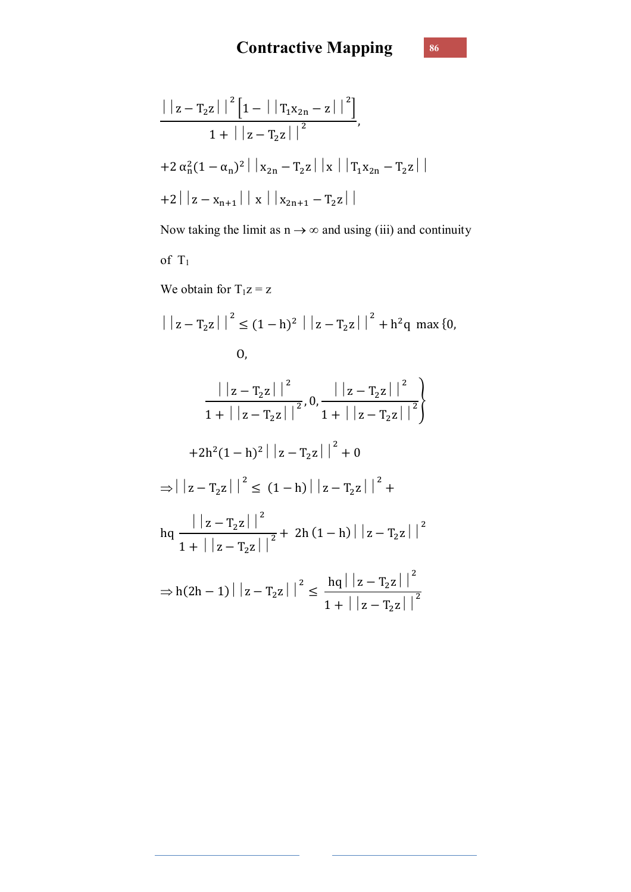$$
\frac{|\left|z - T_{2}z\right| |^{2} \left[1 - \left|\left|T_{1}x_{2n} - z\right|\right|^{2}\right]}{1 + |\left|z - T_{2}z\right| |^{2}},
$$
  
+2 \alpha\_{n}^{2} (1 - \alpha\_{n})^{2} | \left|x\_{2n} - T\_{2}z\right| | x | \left|T\_{1}x\_{2n} - T\_{2}z\right| |  
+2 | \left|z - x\_{n+1}\right| | x | \left|x\_{2n+1} - T\_{2}z\right| |

Now taking the limit as  $n \to \infty$  and using (iii) and continuity of  $T_1$ 

We obtain for  $T_1z = z$ 

$$
||z - T_2z||^2 \le (1 - h)^2 ||z - T_2z||^2 + h^2q \max\{0,
$$
  
\n0,  
\n
$$
\frac{||z - T_2z||^2}{1 + ||z - T_2z||^2}, 0, \frac{||z - T_2z||^2}{1 + ||z - T_2z||^2}
$$
  
\n
$$
+ 2h^2(1 - h)^2 ||z - T_2z||^2 + 0
$$
  
\n
$$
\Rightarrow ||z - T_2z||^2 \le (1 - h) ||z - T_2z||^2 +
$$
  
\n
$$
\frac{||z - T_2z||^2}{1 + ||z - T_2z||^2} + 2h(1 - h) ||z - T_2z||^2
$$
  
\n
$$
\Rightarrow h(2h - 1) ||z - T_2z||^2 \le \frac{hq ||z - T_2z||^2}{1 + ||z - T_2z||^2}
$$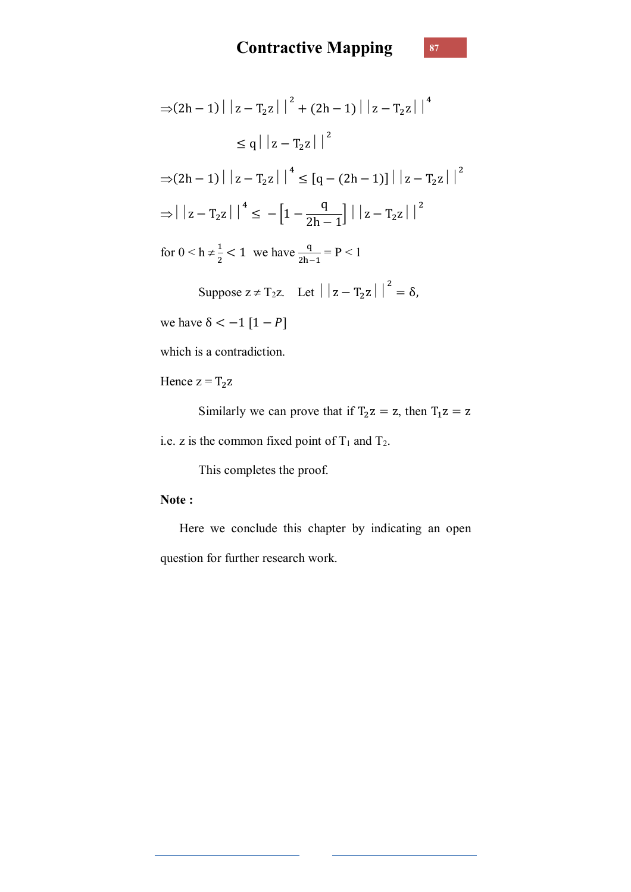$$
\Rightarrow (2h - 1) | |z - T_2 z| |^2 + (2h - 1) | |z - T_2 z| |^4
$$
  
\n
$$
\leq q | |z - T_2 z| |^2
$$
  
\n
$$
\Rightarrow (2h - 1) | |z - T_2 z| |^4 \leq [q - (2h - 1)] | |z - T_2 z| |^2
$$
  
\n
$$
\Rightarrow | |z - T_2 z| |^4 \leq -[1 - \frac{q}{2h - 1}] | |z - T_2 z| |^2
$$
  
\nfor  $0 < h \neq \frac{1}{2} < 1$  we have  $\frac{q}{2h - 1} = P < 1$   
\nSuppose  $z \neq T_2 z$ . Let  $||z - T_2 z||^2 = \delta$ ,

we have  $\delta < -1$  [1 – P]

which is a contradiction.

Hence  $z = T_2 z$ 

Similarly we can prove that if  $T_2z = z$ , then  $T_1z = z$ i.e. z is the common fixed point of  $T_1$  and  $T_2$ .

This completes the proof.

#### **Note :**

Here we conclude this chapter by indicating an open question for further research work.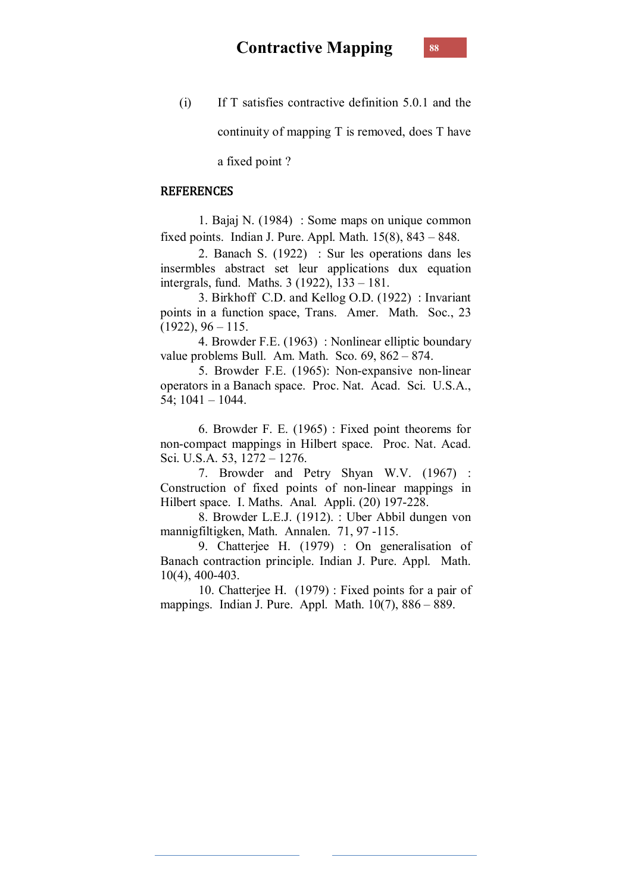(i) If T satisfies contractive definition 5.0.1 and the

continuity of mapping T is removed, does T have

a fixed point ?

#### **REFERENCES**

1. Bajaj N. (1984) : Some maps on unique common fixed points. Indian J. Pure. Appl. Math.  $15(8)$ ,  $843 - 848$ .

2. Banach S. (1922) : Sur les operations dans les insermbles abstract set leur applications dux equation intergrals, fund. Maths. 3 (1922), 133 – 181.

3. Birkhoff C.D. and Kellog O.D. (1922) : Invariant points in a function space, Trans. Amer. Math. Soc., 23  $(1922), 96 - 115.$ 

4. Browder F.E. (1963) : Nonlinear elliptic boundary value problems Bull. Am. Math. Sco. 69, 862 – 874.

5. Browder F.E. (1965): Non-expansive non-linear operators in a Banach space. Proc. Nat. Acad. Sci. U.S.A., 54; 1041 – 1044.

6. Browder F. E. (1965) : Fixed point theorems for non-compact mappings in Hilbert space. Proc. Nat. Acad. Sci. U.S.A. 53, 1272 – 1276.

7. Browder and Petry Shyan W.V. (1967) : Construction of fixed points of non-linear mappings in Hilbert space. I. Maths. Anal. Appli. (20) 197-228.

8. Browder L.E.J. (1912). : Uber Abbil dungen von mannigfiltigken, Math. Annalen. 71, 97 -115.

9. Chatterjee H. (1979) : On generalisation of Banach contraction principle. Indian J. Pure. Appl. Math. 10(4), 400-403.

10. Chatterjee H. (1979) : Fixed points for a pair of mappings. Indian J. Pure. Appl. Math.  $10(7)$ ,  $886 - 889$ .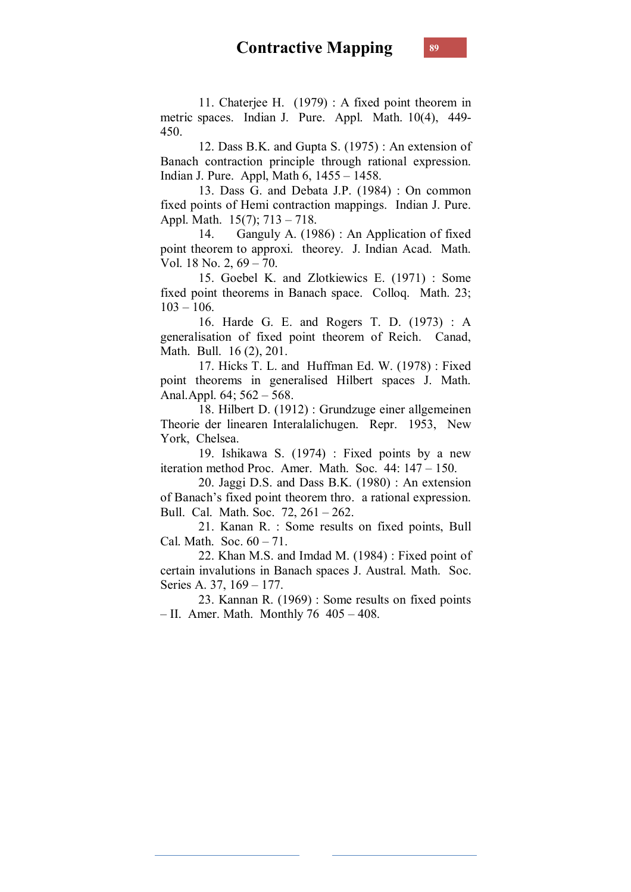11. Chaterjee H. (1979) : A fixed point theorem in metric spaces. Indian J. Pure. Appl. Math. 10(4), 449- 450.

12. Dass B.K. and Gupta S. (1975) : An extension of Banach contraction principle through rational expression. Indian J. Pure. Appl, Math 6, 1455 – 1458.

13. Dass G. and Debata J.P. (1984) : On common fixed points of Hemi contraction mappings. Indian J. Pure. Appl. Math. 15(7); 713 – 718.

14. Ganguly A. (1986) : An Application of fixed point theorem to approxi. theorey. J. Indian Acad. Math. Vol. 18 No. 2, 69 – 70.

15. Goebel K. and Zlotkiewics E. (1971) : Some fixed point theorems in Banach space. Colloq. Math. 23;  $103 - 106.$ 

16. Harde G. E. and Rogers T. D. (1973) : A generalisation of fixed point theorem of Reich. Canad, Math. Bull. 16 (2), 201.

17. Hicks T. L. and Huffman Ed. W. (1978) : Fixed point theorems in generalised Hilbert spaces J. Math. Anal.Appl. 64; 562 – 568.

18. Hilbert D. (1912) : Grundzuge einer allgemeinen Theorie der linearen Interalalichugen. Repr. 1953, New York, Chelsea.

19. Ishikawa S. (1974) : Fixed points by a new iteration method Proc. Amer. Math. Soc. 44: 147 – 150.

20. Jaggi D.S. and Dass B.K. (1980) : An extension of Banach's fixed point theorem thro. a rational expression. Bull. Cal. Math. Soc. 72, 261 – 262.

21. Kanan R. : Some results on fixed points, Bull Cal. Math. Soc.  $60 - 71$ .

22. Khan M.S. and Imdad M. (1984) : Fixed point of certain invalutions in Banach spaces J. Austral. Math. Soc. Series A. 37, 169 – 177.

23. Kannan R. (1969) : Some results on fixed points – II. Amer. Math. Monthly  $76 \, 405 - 408$ .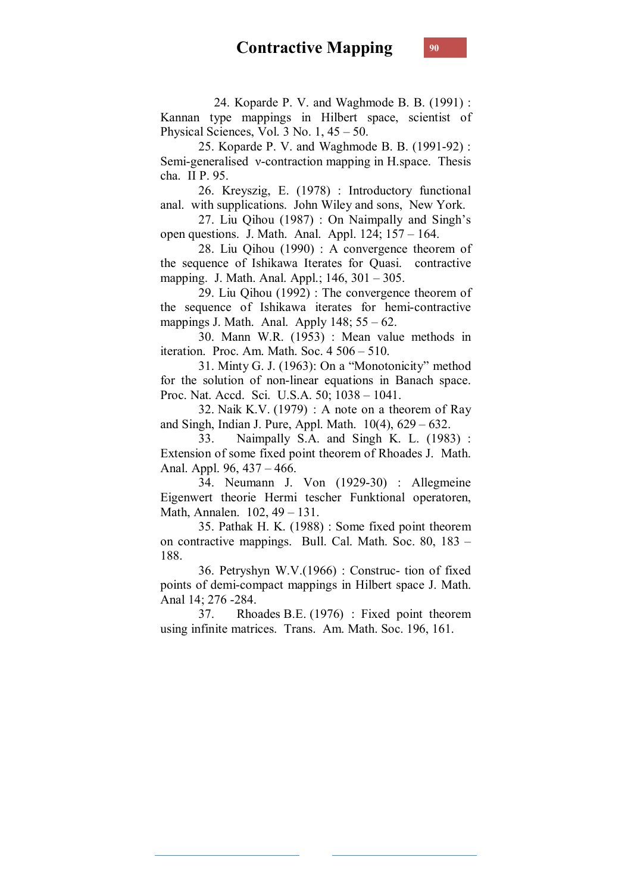24. Koparde P. V. and Waghmode B. B. (1991) : Kannan type mappings in Hilbert space, scientist of Physical Sciences, Vol. 3 No. 1, 45 – 50.

25. Koparde P. V. and Waghmode B. B. (1991-92) : Semi-generalised ν-contraction mapping in H.space. Thesis cha. II P. 95.

26. Kreyszig, E. (1978) : Introductory functional anal. with supplications. John Wiley and sons, New York.

27. Liu Qihou (1987) : On Naimpally and Singh's open questions. J. Math. Anal. Appl. 124; 157 – 164.

28. Liu Qihou (1990) : A convergence theorem of the sequence of Ishikawa Iterates for Quasi. contractive mapping. J. Math. Anal. Appl.; 146, 301 – 305.

29. Liu Qihou (1992) : The convergence theorem of the sequence of Ishikawa iterates for hemi-contractive mappings J. Math. Anal. Apply  $148$ ;  $55 - 62$ .

30. Mann W.R. (1953) : Mean value methods in iteration. Proc. Am. Math. Soc. 4 506 – 510.

31. Minty G. J. (1963): On a "Monotonicity" method for the solution of non-linear equations in Banach space. Proc. Nat. Accd. Sci. U.S.A. 50; 1038 – 1041.

32. Naik K.V. (1979) : A note on a theorem of Ray and Singh, Indian J. Pure, Appl. Math. 10(4), 629 – 632.

33. Naimpally S.A. and Singh K. L. (1983) : Extension of some fixed point theorem of Rhoades J. Math. Anal. Appl. 96, 437 – 466.

34. Neumann J. Von (1929-30) : Allegmeine Eigenwert theorie Hermi tescher Funktional operatoren, Math, Annalen. 102, 49 – 131.

35. Pathak H. K. (1988) : Some fixed point theorem on contractive mappings. Bull. Cal. Math. Soc. 80, 183 – 188.

36. Petryshyn W.V.(1966) : Construc- tion of fixed points of demi-compact mappings in Hilbert space J. Math. Anal 14; 276 -284.

37. Rhoades B.E. (1976) : Fixed point theorem using infinite matrices. Trans. Am. Math. Soc. 196, 161.